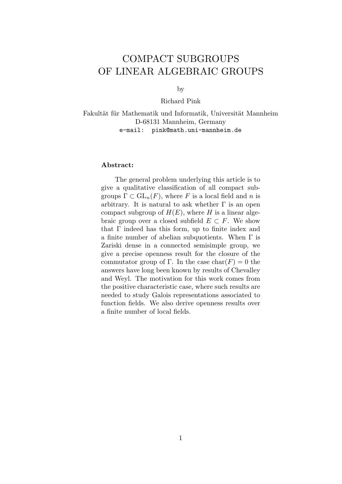# COMPACT SUBGROUPS OF LINEAR ALGEBRAIC GROUPS

by

Richard Pink

Fakultät für Mathematik und Informatik, Universität Mannheim D-68131 Mannheim, Germany e-mail: pink@math.uni-mannheim.de

# Abstract:

The general problem underlying this article is to give a qualitative classification of all compact subgroups  $\Gamma \subset GL_n(F)$ , where F is a local field and n is arbitrary. It is natural to ask whether  $\Gamma$  is an open compact subgroup of  $H(E)$ , where H is a linear algebraic group over a closed subfield  $E \subset F$ . We show that  $\Gamma$  indeed has this form, up to finite index and a finite number of abelian subquotients. When Γ is Zariski dense in a connected semisimple group, we give a precise openness result for the closure of the commutator group of Γ. In the case  $char(F) = 0$  the answers have long been known by results of Chevalley and Weyl. The motivation for this work comes from the positive characteristic case, where such results are needed to study Galois representations associated to function fields. We also derive openness results over a finite number of local fields.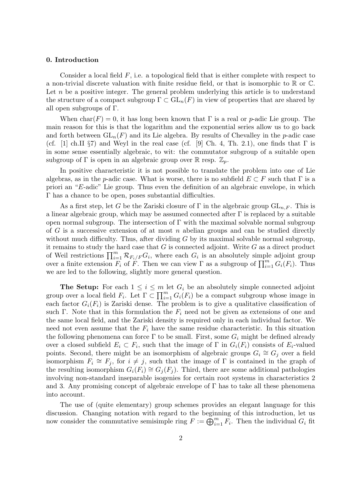# 0. Introduction

Consider a local field  $F$ , i.e. a topological field that is either complete with respect to a non-trivial discrete valuation with finite residue field, or that is isomorphic to  $\mathbb R$  or  $\mathbb C$ . Let  $n$  be a positive integer. The general problem underlying this article is to understand the structure of a compact subgroup  $\Gamma \subset GL_n(F)$  in view of properties that are shared by all open subgroups of Γ.

When char(F) = 0, it has long been known that  $\Gamma$  is a real or p-adic Lie group. The main reason for this is that the logarithm and the exponential series allow us to go back and forth between  $GL_n(F)$  and its Lie algebra. By results of Chevalley in the p-adic case (cf. [1] ch.II  $\S7$ ) and Weyl in the real case (cf. [9] Ch. 4, Th. 2.1), one finds that  $\Gamma$  is in some sense essentially algebraic, to wit: the commutator subgroup of a suitable open subgroup of  $\Gamma$  is open in an algebraic group over  $\mathbb R$  resp.  $\mathbb Z_p$ .

In positive characteristic it is not possible to translate the problem into one of Lie algebras, as in the p-adic case. What is worse, there is no subfield  $E \subset F$  such that  $\Gamma$  is a priori an "E-adic" Lie group. Thus even the definition of an algebraic envelope, in which Γ has a chance to be open, poses substantial difficulties.

As a first step, let G be the Zariski closure of  $\Gamma$  in the algebraic group  $GL_{n,F}$ . This is a linear algebraic group, which may be assumed connected after  $\Gamma$  is replaced by a suitable open normal subgroup. The intersection of  $\Gamma$  with the maximal solvable normal subgroup of G is a successive extension of at most n abelian groups and can be studied directly without much difficulty. Thus, after dividing  $G$  by its maximal solvable normal subgroup, it remains to study the hard case that  $G$  is connected adjoint. Write  $G$  as a direct product of Weil restrictions  $\prod_{i=1}^m \mathcal{R}_{F_i/F} G_i$ , where each  $G_i$  is an absolutely simple adjoint group over a finite extension  $F_i$  of F. Then we can view  $\Gamma$  as a subgroup of  $\prod_{i=1}^m G_i(F_i)$ . Thus we are led to the following, slightly more general question.

**The Setup:** For each  $1 \leq i \leq m$  let  $G_i$  be an absolutely simple connected adjoint group over a local field  $F_i$ . Let  $\Gamma \subset \prod_{i=1}^m G_i(F_i)$  be a compact subgroup whose image in each factor  $G_i(F_i)$  is Zariski dense. The problem is to give a qualitative classification of such Γ. Note that in this formulation the  $F_i$  need not be given as extensions of one and the same local field, and the Zariski density is required only in each individual factor. We need not even assume that the  $F_i$  have the same residue characteristic. In this situation the following phenomena can force  $\Gamma$  to be small. First, some  $G_i$  might be defined already over a closed subfield  $E_i \subset F_i$ , such that the image of  $\Gamma$  in  $G_i(F_i)$  consists of  $E_i$ -valued points. Second, there might be an isomorphism of algebraic groups  $G_i \cong G_j$  over a field isomorphism  $F_i \cong F_j$ , for  $i \neq j$ , such that the image of  $\Gamma$  is contained in the graph of the resulting isomorphism  $G_i(F_i) \cong G_i(F_i)$ . Third, there are some additional pathologies involving non-standard inseparable isogenies for certain root systems in characteristics 2 and 3. Any promising concept of algebraic envelope of  $\Gamma$  has to take all these phenomena into account.

The use of (quite elementary) group schemes provides an elegant language for this discussion. Changing notation with regard to the beginning of this introduction, let us now consider the commutative semisimple ring  $F := \bigoplus_{i=1}^{m} F_i$ . Then the individual  $G_i$  fit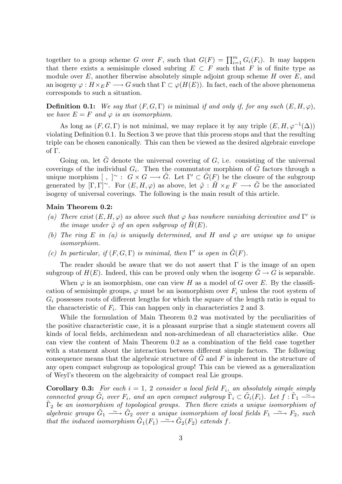together to a group scheme G over F, such that  $G(F) = \prod_{i=1}^{m} G_i(F_i)$ . It may happen that there exists a semisimple closed subring  $E \subset F$  such that F is of finite type as module over  $E$ , another fiberwise absolutely simple adjoint group scheme  $H$  over  $E$ , and an isogeny  $\varphi: H \times_E F \longrightarrow G$  such that  $\Gamma \subset \varphi(H(E))$ . In fact, each of the above phenomena corresponds to such a situation.

**Definition 0.1:** We say that  $(F, G, \Gamma)$  is minimal if and only if, for any such  $(E, H, \varphi)$ , we have  $E = F$  and  $\varphi$  is an isomorphism.

As long as  $(F, G, \Gamma)$  is not minimal, we may replace it by any triple  $(E, H, \varphi^{-1}(\Delta))$ violating Definition 0.1. In Section 3 we prove that this process stops and that the resulting triple can be chosen canonically. This can then be viewed as the desired algebraic envelope of Γ.

Going on, let  $\tilde{G}$  denote the universal covering of G, i.e. consisting of the universal coverings of the individual  $G_i$ . Then the commutator morphism of  $\tilde{G}$  factors through a unique morphism [, ]  $\sim$  :  $G \times G \longrightarrow \tilde{G}$ . Let  $\Gamma' \subset \tilde{G}(F)$  be the closure of the subgroup generated by  $[\Gamma,\Gamma]^\sim$ . For  $(E,H,\varphi)$  as above, let  $\tilde{\varphi}:\tilde{H}\times_E F\longrightarrow \tilde{G}$  be the associated isogeny of universal coverings. The following is the main result of this article.

### Main Theorem 0.2:

- (a) There exist  $(E, H, \varphi)$  as above such that  $\varphi$  has nowhere vanishing derivative and Γ' is the image under  $\tilde{\varphi}$  of an open subgroup of  $\tilde{H}(E)$ .
- (b) The ring E in (a) is uniquely determined, and H and  $\varphi$  are unique up to unique isomorphism.
- (c) In particular, if  $(F, G, \Gamma)$  is minimal, then  $\Gamma'$  is open in  $\tilde{G}(F)$ .

The reader should be aware that we do not assert that  $\Gamma$  is the image of an open subgroup of  $H(E)$ . Indeed, this can be proved only when the isogeny  $G \to G$  is separable.

When  $\varphi$  is an isomorphism, one can view H as a model of G over E. By the classification of semisimple groups,  $\varphi$  must be an isomorphism over  $F_i$  unless the root system of  $G_i$  possesses roots of different lengths for which the square of the length ratio is equal to the characteristic of  $F_i$ . This can happen only in characteristics 2 and 3.

While the formulation of Main Theorem 0.2 was motivated by the peculiarities of the positive characteristic case, it is a pleasant surprise that a single statement covers all kinds of local fields, archimedean and non-archimedean of all characteristics alike. One can view the content of Main Theorem 0.2 as a combination of the field case together with a statement about the interaction between different simple factors. The following consequence means that the algebraic structure of  $G$  and  $F$  is inherent in the structure of any open compact subgroup as topological group! This can be viewed as a generalization of Weyl's theorem on the algebraicity of compact real Lie groups.

**Corollary 0.3:** For each  $i = 1, 2$  consider a local field  $F_i$ , an absolutely simple simply connected group  $\tilde{G}_i$  over  $F_i$ , and an open compact subgroup  $\tilde{\Gamma}_i \subset \tilde{G}_i(F_i)$ . Let  $f : \tilde{\Gamma}_1 \longrightarrow$  $\tilde{\Gamma}_2$  be an isomorphism of topological groups. Then there exists a unique isomorphism of algebraic groups  $\tilde{G}_1 \stackrel{\sim}{\longrightarrow} \tilde{G}_2$  over a unique isomorphism of local fields  $F_1 \stackrel{\sim}{\longrightarrow} F_2$ , such that the induced isomorphism  $\tilde{G}_1(F_1) \longrightarrow \tilde{G}_2(F_2)$  extends f.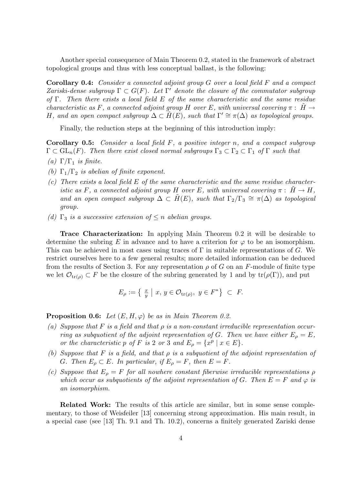Another special consequence of Main Theorem 0.2, stated in the framework of abstract topological groups and thus with less conceptual ballast, is the following:

Corollary 0.4: Consider a connected adjoint group G over a local field F and a compact Zariski-dense subgroup  $\Gamma \subset G(F)$ . Let  $\Gamma'$  denote the closure of the commutator subgroup of  $\Gamma$ . Then there exists a local field E of the same characteristic and the same residue characteristic as F, a connected adjoint group H over E, with universal covering  $\pi$ : H  $\rightarrow$ H, and an open compact subgroup  $\Delta \subset \tilde{H}(E)$ , such that  $\Gamma' \cong \pi(\Delta)$  as topological groups.

Finally, the reduction steps at the beginning of this introduction imply:

**Corollary 0.5:** Consider a local field  $F$ , a positive integer n, and a compact subgroup  $\Gamma \subset GL_n(F)$ . Then there exist closed normal subgroups  $\Gamma_3 \subset \Gamma_2 \subset \Gamma_1$  of  $\Gamma$  such that

- (a)  $\Gamma/\Gamma_1$  is finite.
- (b)  $\Gamma_1/\Gamma_2$  is abelian of finite exponent.
- $(c)$  There exists a local field E of the same characteristic and the same residue characteristic as F, a connected adjoint group H over E, with universal covering  $\pi$ :  $H \rightarrow H$ , and an open compact subgroup  $\Delta \subset \tilde{H}(E)$ , such that  $\Gamma_2/\Gamma_3 \cong \pi(\Delta)$  as topological group.
- (d)  $\Gamma_3$  is a successive extension of  $\leq n$  abelian groups.

Trace Characterization: In applying Main Theorem 0.2 it will be desirable to determine the subring E in advance and to have a criterion for  $\varphi$  to be an isomorphism. This can be achieved in most cases using traces of  $\Gamma$  in suitable representations of G. We restrict ourselves here to a few general results; more detailed information can be deduced from the results of Section 3. For any representation  $\rho$  of G on an F-module of finite type we let  $\mathcal{O}_{tr(\rho)} \subset F$  be the closure of the subring generated by 1 and by  $tr(\rho(\Gamma))$ , and put

$$
E_{\rho} := \left\{ \begin{array}{c} \frac{x}{y} \mid x, y \in \mathcal{O}_{\text{tr}(\rho)}, y \in F^* \right\} \subset F. \end{array} \right.
$$

**Proposition 0.6:** Let  $(E, H, \varphi)$  be as in Main Theorem 0.2.

- (a) Suppose that F is a field and that  $\rho$  is a non-constant irreducible representation occurring as subquotient of the adjoint representation of G. Then we have either  $E_{\rho} = E$ , or the characteristic p of F is 2 or 3 and  $E_{\rho} = \{x^p \mid x \in E\}.$
- (b) Suppose that F is a field, and that  $\rho$  is a subquotient of the adjoint representation of G. Then  $E_{\rho} \subset E$ . In particular, if  $E_{\rho} = F$ , then  $E = F$ .
- (c) Suppose that  $E_{\rho} = F$  for all nowhere constant fiberwise irreducible representations  $\rho$ which occur as subquotients of the adjoint representation of G. Then  $E = F$  and  $\varphi$  is an isomorphism.

Related Work: The results of this article are similar, but in some sense complementary, to those of Weisfeiler [13] concerning strong approximation. His main result, in a special case (see [13] Th. 9.1 and Th. 10.2), concerns a finitely generated Zariski dense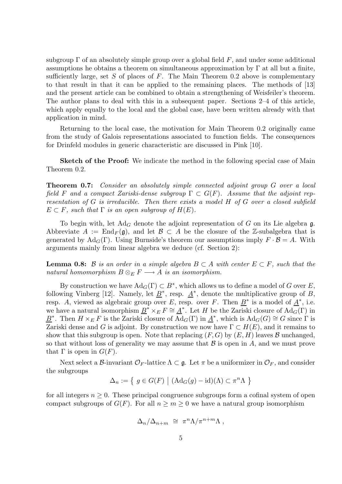subgroup  $\Gamma$  of an absolutely simple group over a global field F, and under some additional assumptions he obtains a theorem on simultaneous approximation by  $\Gamma$  at all but a finite, sufficiently large, set S of places of  $F$ . The Main Theorem 0.2 above is complementary to that result in that it can be applied to the remaining places. The methods of [13] and the present article can be combined to obtain a strengthening of Weisfeiler's theorem. The author plans to deal with this in a subsequent paper. Sections 2–4 of this article, which apply equally to the local and the global case, have been written already with that application in mind.

Returning to the local case, the motivation for Main Theorem 0.2 originally came from the study of Galois representations associated to function fields. The consequences for Drinfeld modules in generic characteristic are discussed in Pink [10].

**Sketch of the Proof:** We indicate the method in the following special case of Main Theorem 0.2.

Theorem 0.7: Consider an absolutely simple connected adjoint group G over a local field F and a compact Zariski-dense subgroup  $\Gamma \subset G(F)$ . Assume that the adjoint representation of G is irreducible. Then there exists a model H of G over a closed subfield  $E \subset F$ , such that  $\Gamma$  is an open subgroup of  $H(E)$ .

To begin with, let  $Ad<sub>G</sub>$  denote the adjoint representation of G on its Lie algebra g. Abbreviate  $A := \text{End}_F(\mathfrak{g})$ , and let  $\mathcal{B} \subset A$  be the closure of the Z-subalgebra that is generated by  $\text{Ad}_G(\Gamma)$ . Using Burnside's theorem our assumptions imply  $F \cdot \mathcal{B} = A$ . With arguments mainly from linear algebra we deduce (cf. Section 2):

**Lemma 0.8:** B is an order in a simple algebra  $B \subset A$  with center  $E \subset F$ , such that the natural homomorphism  $B \otimes_E F \longrightarrow A$  is an isomorphism.

By construction we have  $\text{Ad}_G(\Gamma) \subset B^*$ , which allows us to define a model of G over E, following Vinberg [12]. Namely, let  $\underline{B}^*$ , resp.  $\underline{A}^*$ , denote the multiplicative group of B, resp. A, viewed as algebraic group over E, resp. over F. Then  $\underline{B}^*$  is a model of  $\underline{A}^*$ , i.e. we have a natural isomorphism  $\underline{B}^* \times_E F \cong \underline{A}^*$ . Let H be the Zariski closure of  $\text{Ad}_G(\Gamma)$  in  $\underline{B}^*$ . Then  $H \times_E F$  is the Zariski closure of  $\overline{\mathrm{Ad}}_G(\Gamma)$  in  $\underline{A}^*$ , which is  $\mathrm{Ad}_G(G) \cong G$  since  $\Gamma$  is Zariski dense and G is adjoint. By construction we now have  $\Gamma \subset H(E)$ , and it remains to show that this subgroup is open. Note that replacing  $(F, G)$  by  $(E, H)$  leaves  $\mathcal B$  unchanged, so that without loss of generality we may assume that  $\mathcal B$  is open in A, and we must prove that  $\Gamma$  is open in  $G(F)$ .

Next select a B-invariant  $\mathcal{O}_F$ -lattice  $\Lambda \subset \mathfrak{g}$ . Let  $\pi$  be a uniformizer in  $\mathcal{O}_F$ , and consider the subgroups

$$
\Delta_n := \{ g \in G(F) \mid (Ad_G(g) - id)(\Lambda) \subset \pi^n \Lambda \}
$$

for all integers  $n \geq 0$ . These principal congruence subgroups form a cofinal system of open compact subgroups of  $G(F)$ . For all  $n \ge m \ge 0$  we have a natural group isomorphism

$$
\Delta_n/\Delta_{n+m} \ \cong \ \pi^n \Lambda/\pi^{n+m} \Lambda \ ,
$$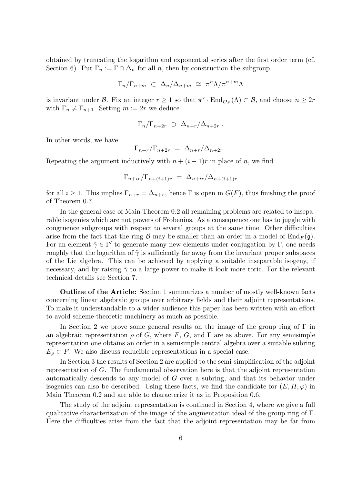obtained by truncating the logarithm and exponential series after the first order term (cf. Section 6). Put  $\Gamma_n := \Gamma \cap \Delta_n$  for all n, then by construction the subgroup

$$
\Gamma_n/\Gamma_{n+m} \ \subset \ \Delta_n/\Delta_{n+m} \ \cong \ \pi^n\Lambda/\pi^{n+m}\Lambda
$$

is invariant under  $\mathcal{B}$ . Fix an integer  $r \geq 1$  so that  $\pi^r \cdot \text{End}_{\mathcal{O}_F}(\Lambda) \subset \mathcal{B}$ , and choose  $n \geq 2r$ with  $\Gamma_n \neq \Gamma_{n+1}$ . Setting  $m := 2r$  we deduce

$$
\Gamma_n/\Gamma_{n+2r} \supset \Delta_{n+r}/\Delta_{n+2r} .
$$

In other words, we have

$$
\Gamma_{n+r}/\Gamma_{n+2r} = \Delta_{n+r}/\Delta_{n+2r} .
$$

Repeating the argument inductively with  $n + (i - 1)r$  in place of n, we find

$$
\Gamma_{n+ir}/\Gamma_{n+(i+1)r} = \Delta_{n+ir}/\Delta_{n+(i+1)r}
$$

for all  $i \geq 1$ . This implies  $\Gamma_{n+r} = \Delta_{n+r}$ , hence  $\Gamma$  is open in  $G(F)$ , thus finishing the proof of Theorem 0.7.

In the general case of Main Theorem 0.2 all remaining problems are related to inseparable isogenies which are not powers of Frobenius. As a consequence one has to juggle with congruence subgroups with respect to several groups at the same time. Other difficulties arise from the fact that the ring  $\beta$  may be smaller than an order in a model of  $\text{End}_F(\mathfrak{g})$ . For an element  $\tilde{\gamma} \in \Gamma'$  to generate many new elements under conjugation by  $\Gamma$ , one needs roughly that the logarithm of  $\tilde{\gamma}$  is sufficiently far away from the invariant proper subspaces of the Lie algebra. This can be achieved by applying a suitable inseparable isogeny, if necessary, and by raising  $\tilde{\gamma}$  to a large power to make it look more toric. For the relevant technical details see Section 7.

Outline of the Article: Section 1 summarizes a number of mostly well-known facts concerning linear algebraic groups over arbitrary fields and their adjoint representations. To make it understandable to a wider audience this paper has been written with an effort to avoid scheme-theoretic machinery as much as possible.

In Section 2 we prove some general results on the image of the group ring of  $\Gamma$  in an algebraic representation  $\rho$  of G, where F, G, and  $\Gamma$  are as above. For any semisimple representation one obtains an order in a semisimple central algebra over a suitable subring  $E_{\rho} \subset F$ . We also discuss reducible representations in a special case.

In Section 3 the results of Section 2 are applied to the semi-simplification of the adjoint representation of G. The fundamental observation here is that the adjoint representation automatically descends to any model of G over a subring, and that its behavior under isogenies can also be described. Using these facts, we find the candidate for  $(E, H, \varphi)$  in Main Theorem 0.2 and are able to characterize it as in Proposition 0.6.

The study of the adjoint representation is continued in Section 4, where we give a full qualitative characterization of the image of the augmentation ideal of the group ring of Γ. Here the difficulties arise from the fact that the adjoint representation may be far from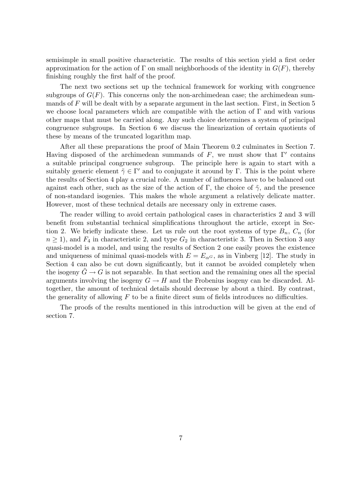semisimple in small positive characteristic. The results of this section yield a first order approximation for the action of  $\Gamma$  on small neighborhoods of the identity in  $G(F)$ , thereby finishing roughly the first half of the proof.

The next two sections set up the technical framework for working with congruence subgroups of  $G(F)$ . This concerns only the non-archimedean case; the archimedean summands of  $F$  will be dealt with by a separate argument in the last section. First, in Section 5 we choose local parameters which are compatible with the action of  $\Gamma$  and with various other maps that must be carried along. Any such choice determines a system of principal congruence subgroups. In Section 6 we discuss the linearization of certain quotients of these by means of the truncated logarithm map.

After all these preparations the proof of Main Theorem 0.2 culminates in Section 7. Having disposed of the archimedean summands of F, we must show that  $\Gamma'$  contains a suitable principal congruence subgroup. The principle here is again to start with a suitably generic element  $\tilde{\gamma} \in \Gamma'$  and to conjugate it around by  $\Gamma$ . This is the point where the results of Section 4 play a crucial role. A number of influences have to be balanced out against each other, such as the size of the action of Γ, the choice of  $\tilde{\gamma}$ , and the presence of non-standard isogenies. This makes the whole argument a relatively delicate matter. However, most of these technical details are necessary only in extreme cases.

The reader willing to avoid certain pathological cases in characteristics 2 and 3 will benefit from substantial technical simplifications throughout the article, except in Section 2. We briefly indicate these. Let us rule out the root systems of type  $B_n$ ,  $C_n$  (for  $n \geq 1$ , and  $F_4$  in characteristic 2, and type  $G_2$  in characteristic 3. Then in Section 3 any quasi-model is a model, and using the results of Section 2 one easily proves the existence and uniqueness of minimal quasi-models with  $E = E_{\alpha} \sigma$ , as in Vinberg [12]. The study in Section 4 can also be cut down significantly, but it cannot be avoided completely when the isogeny  $G \to G$  is not separable. In that section and the remaining ones all the special arguments involving the isogeny  $G \to H$  and the Frobenius isogeny can be discarded. Altogether, the amount of technical details should decrease by about a third. By contrast, the generality of allowing  $F$  to be a finite direct sum of fields introduces no difficulties.

The proofs of the results mentioned in this introduction will be given at the end of section 7.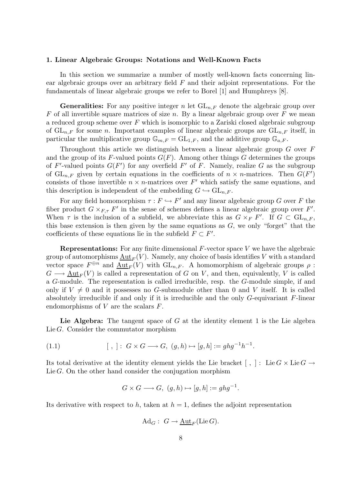#### 1. Linear Algebraic Groups: Notations and Well-Known Facts

In this section we summarize a number of mostly well-known facts concerning linear algebraic groups over an arbitrary field  $F$  and their adjoint representations. For the fundamentals of linear algebraic groups we refer to Borel [1] and Humphreys [8].

**Generalities:** For any positive integer n let  $GL_{n,F}$  denote the algebraic group over F of all invertible square matrices of size n. By a linear algebraic group over F we mean a reduced group scheme over  $F$  which is isomorphic to a Zariski closed algebraic subgroup of  $GL_{n,F}$  for some n. Important examples of linear algebraic groups are  $GL_{n,F}$  itself, in particular the multiplicative group  $\mathbb{G}_{m,F} = GL_{1,F}$ , and the additive group  $\mathbb{G}_{a,F}$ .

Throughout this article we distinguish between a linear algebraic group G over F and the group of its F-valued points  $G(F)$ . Among other things G determines the groups of F'-valued points  $G(F')$  for any overfield F' of F. Namely, realize G as the subgroup of  $\operatorname{GL}_{n,F}$  given by certain equations in the coefficients of  $n \times n$ -matrices. Then  $G(F')$ consists of those invertible  $n \times n$ -matrices over F' which satisfy the same equations, and this description is independent of the embedding  $G \hookrightarrow GL_{n,F}$ .

For any field homomorphism  $\tau : F \hookrightarrow F'$  and any linear algebraic group G over F the fiber product  $G \times_{F,\tau} F'$  in the sense of schemes defines a linear algebraic group over  $F'$ . When  $\tau$  is the inclusion of a subfield, we abbreviate this as  $G \times_F F'$ . If  $G \subset GL_{n,F}$ , this base extension is then given by the same equations as  $G$ , we only "forget" that the coefficients of these equations lie in the subfield  $F \subset F'$ .

**Representations:** For any finite dimensional  $F$ -vector space  $V$  we have the algebraic group of automorphisms  $\text{Aut}_F(V)$ . Namely, any choice of basis identifies V with a standard vector space  $F^{\oplus n}$  and  $\underline{\mathrm{Aut}}_F(V)$  with  $\mathrm{GL}_{n,F}$ . A homomorphism of algebraic groups  $\rho$ :  $G \longrightarrow \text{Aut}_F(V)$  is called a representation of G on V, and then, equivalently, V is called a G-module. The representation is called irreducible, resp. the G-module simple, if and only if  $V \neq 0$  and it possesses no G-submodule other than 0 and V itself. It is called absolutely irreducible if and only if it is irreducible and the only  $G$ -equivariant  $F$ -linear endomorphisms of  $V$  are the scalars  $F$ .

Lie Algebra: The tangent space of  $G$  at the identity element 1 is the Lie algebra Lie  $G$ . Consider the commutator morphism

$$
(1.1) \t\t\t [ , ]: G \times G \longrightarrow G, (g, h) \mapsto [g, h] := ghg^{-1}h^{-1}.
$$

Its total derivative at the identity element yields the Lie bracket [, ]: Lie  $G \times \text{Lie } G \rightarrow$ Lie  $G$ . On the other hand consider the conjugation morphism

$$
G \times G \longrightarrow G, \ (g, h) \mapsto [g, h] := ghg^{-1}.
$$

Its derivative with respect to h, taken at  $h = 1$ , defines the adjoint representation

$$
\mathrm{Ad}_G:\; G\to \underline{\mathrm{Aut}}_F(\mathrm{Lie}\,G).
$$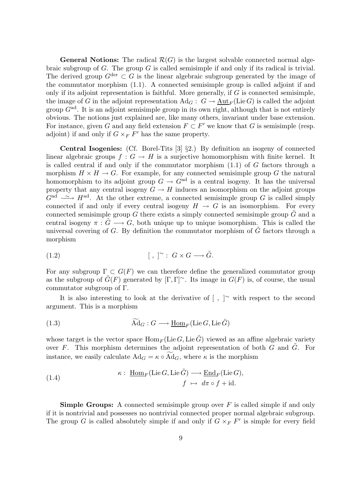**General Notions:** The radical  $\mathcal{R}(G)$  is the largest solvable connected normal algebraic subgroup of  $G$ . The group  $G$  is called semisimple if and only if its radical is trivial. The derived group  $G^{\text{der}} \subset G$  is the linear algebraic subgroup generated by the image of the commutator morphism (1.1). A connected semisimple group is called adjoint if and only if its adjoint representation is faithful. More generally, if  $G$  is connected semisimple, the image of G in the adjoint representation  $\text{Ad}_G: G \to \text{Aut}_F(\text{Lie }G)$  is called the adjoint group  $G<sup>ad</sup>$ . It is an adjoint semisimple group in its own right, although that is not entirely obvious. The notions just explained are, like many others, invariant under base extension. For instance, given G and any field extension  $F \subset F'$  we know that G is semisimple (resp. adjoint) if and only if  $G \times_F F'$  has the same property.

Central Isogenies: (Cf. Borel-Tits [3] §2.) By definition an isogeny of connected linear algebraic groups  $f: G \to H$  is a surjective homomorphism with finite kernel. It is called central if and only if the commutator morphism (1.1) of G factors through a morphism  $H \times H \to G$ . For example, for any connected semisimple group G the natural homomorphism to its adjoint group  $G \to G^{ad}$  is a central isogeny. It has the universal property that any central isogeny  $G \to H$  induces an isomorphism on the adjoint groups  $G^{\text{ad}} \longrightarrow H^{\text{ad}}$ . At the other extreme, a connected semisimple group G is called simply connected if and only if every central isogeny  $H \to G$  is an isomorphism. For every connected semisimple group  $G$  there exists a simply connected semisimple group  $G$  and a central isogeny  $\pi : \tilde{G} \longrightarrow G$ , both unique up to unique isomorphism. This is called the universal covering of  $G$ . By definition the commutator morphism of  $G$  factors through a morphism

$$
(1.2) \t\t\t\t\t [ , ]^{\sim} : G \times G \longrightarrow \tilde{G}.
$$

For any subgroup  $\Gamma \subset G(F)$  we can therefore define the generalized commutator group as the subgroup of  $\tilde{G}(F)$  generated by  $[\Gamma, \Gamma]$ <sup>∼</sup>. Its image in  $G(F)$  is, of course, the usual commutator subgroup of Γ.

It is also interesting to look at the derivative of  $[ , ]^{\sim}$  with respect to the second argument. This is a morphism

(1.3) 
$$
\widetilde{\mathrm{Ad}}_G : G \longrightarrow \underline{\mathrm{Hom}}_F(\mathrm{Lie }G, \mathrm{Lie } \tilde{G})
$$

whose target is the vector space  $\text{Hom}_F(\text{Lie }G, \text{Lie }\tilde{G})$  viewed as an affine algebraic variety over F. This morphism determines the adjoint representation of both  $G$  and  $\tilde{G}$ . For instance, we easily calculate  $\text{Ad}_G = \kappa \circ \text{Ad}_G$ , where  $\kappa$  is the morphism

(1.4) 
$$
\kappa: \underline{\text{Hom}}_F(\text{Lie }G, \text{Lie } \tilde{G}) \longrightarrow \underline{\text{End}}_F(\text{Lie }G),
$$

$$
f \mapsto d\pi \circ f + \text{id}.
$$

**Simple Groups:** A connected semisimple group over  $F$  is called simple if and only if it is nontrivial and possesses no nontrivial connected proper normal algebraic subgroup. The group G is called absolutely simple if and only if  $G \times_F F'$  is simple for every field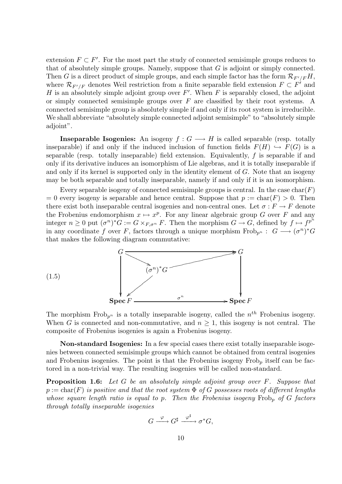extension  $F \subset F'$ . For the most part the study of connected semisimple groups reduces to that of absolutely simple groups. Namely, suppose that  $G$  is adjoint or simply connected. Then G is a direct product of simple groups, and each simple factor has the form  $\mathcal{R}_{F'/F}H$ , where  $\mathcal{R}_{F'/F}$  denotes Weil restriction from a finite separable field extension  $F \subset F'$  and H is an absolutely simple adjoint group over  $F'$ . When F is separably closed, the adjoint or simply connected semisimple groups over  $F$  are classified by their root systems. A connected semisimple group is absolutely simple if and only if its root system is irreducible. We shall abbreviate "absolutely simple connected adjoint semisimple" to "absolutely simple adjoint".

**Inseparable Isogenies:** An isogeny  $f : G \longrightarrow H$  is called separable (resp. totally inseparable) if and only if the induced inclusion of function fields  $F(H) \hookrightarrow F(G)$  is a separable (resp. totally inseparable) field extension. Equivalently,  $f$  is separable if and only if its derivative induces an isomorphism of Lie algebras, and it is totally inseparable if and only if its kernel is supported only in the identity element of G. Note that an isogeny may be both separable and totally inseparable, namely if and only if it is an isomorphism.

Every separable isogeny of connected semisimple groups is central. In the case  $char(F)$  $= 0$  every isogeny is separable and hence central. Suppose that  $p := \text{char}(F) > 0$ . Then there exist both inseparable central isogenies and non-central ones. Let  $\sigma : F \to F$  denote the Frobenius endomorphism  $x \mapsto x^p$ . For any linear algebraic group G over F and any integer  $n \geq 0$  put  $(\sigma^n)^* G := G \times_{F, \sigma^n} F$ . Then the morphism  $G \to G$ , defined by  $f \mapsto f^{p^n}$ in any coordinate f over F, factors through a unique morphism  $Frob_{p^n} : G \longrightarrow (\sigma^n)^*G$ that makes the following diagram commutative:



The morphism Frob<sub>p<sup>n</sub></sup> is a totally inseparable isogeny, called the  $n^{th}$  Frobenius isogeny.</sub> When G is connected and non-commutative, and  $n \geq 1$ , this isogeny is not central. The composite of Frobenius isogenies is again a Frobenius isogeny.

Non-standard Isogenies: In a few special cases there exist totally inseparable isogenies between connected semisimple groups which cannot be obtained from central isogenies and Frobenius isogenies. The point is that the Frobenius isogeny  $Frob<sub>p</sub>$  itself can be factored in a non-trivial way. The resulting isogenies will be called non-standard.

**Proposition 1.6:** Let G be an absolutely simple adjoint group over F. Suppose that  $p := \text{char}(F)$  is positive and that the root system  $\Phi$  of G possesses roots of different lengths whose square length ratio is equal to p. Then the Frobenius isogeny  $Frob_p$  of G factors through totally inseparable isogenies

$$
G\stackrel{\varphi}{\longrightarrow}G^{\sharp}\stackrel{\varphi^{\sharp}}{\xrightarrow{\hspace*{1cm}}} \sigma^{*}G,
$$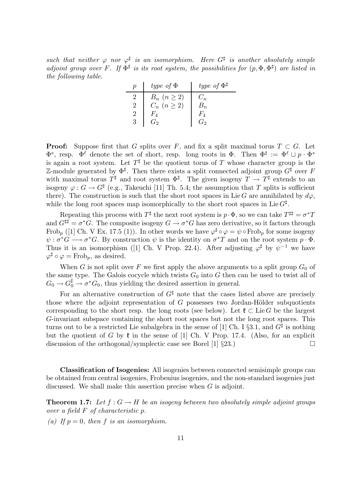such that neither  $\varphi$  nor  $\varphi^{\sharp}$  is an isomorphism. Here  $G^{\sharp}$  is another absolutely simple adjoint group over F. If  $\Phi^{\sharp}$  is its root system, the possibilities for  $(p, \Phi, \Phi^{\sharp})$  are listed in the following table.

|   | type of $\Phi$                           | type of $\Phi^{\sharp}$ |
|---|------------------------------------------|-------------------------|
|   |                                          |                         |
|   | $B_n$ $(n \geq 2)$<br>$C_n$ $(n \geq 2)$ |                         |
|   |                                          |                         |
| 3 |                                          |                         |

**Proof:** Suppose first that G splits over F, and fix a split maximal torus  $T \subset G$ . Let  $\Phi^s$ , resp.  $\Phi^{\ell}$  denote the set of short, resp. long roots in  $\Phi$ . Then  $\Phi^{\sharp} := \Phi^{\ell} \sqcup p \cdot \Phi^s$ is again a root system. Let  $T^{\sharp}$  be the quotient torus of T whose character group is the Z-module generated by  $\Phi^{\sharp}$ . Then there exists a split connected adjoint group  $G^{\sharp}$  over F with maximal torus  $T^{\sharp}$  and root system  $\Phi^{\sharp}$ . The given isogeny  $T \to T^{\sharp}$  extends to an isogeny  $\varphi: G \to G^{\sharp}$  (e.g., Takeuchi [11] Th. 5.4; the assumption that T splits is sufficient there). The construction is such that the short root spaces in Lie G are annihilated by  $d\varphi$ , while the long root spaces map isomorphically to the short root spaces in Lie  $G^{\sharp}$ .

Repeating this process with  $T^{\sharp}$  the next root system is  $p \cdot \Phi$ , so we can take  $T^{\sharp\sharp} = \sigma^* T$ and  $G^{\sharp\sharp} = \sigma^*G$ . The composite isogeny  $G \to \sigma^*G$  has zero derivative, so it factors through Frob<sub>p</sub> ([1] Ch. V Ex. 17.5 (1)). In other words we have  $\varphi^{\sharp} \circ \varphi = \psi \circ \text{Frob}_p$  for some isogeny  $\psi: \sigma^*G \longrightarrow \sigma^*G$ . By construction  $\psi$  is the identity on  $\sigma^*T$  and on the root system  $p \cdot \Phi$ . Thus it is an isomorphism ([1] Ch. V Prop. 22.4). After adjusting  $\varphi^{\sharp}$  by  $\psi^{-1}$  we have  $\varphi^{\sharp} \circ \varphi = \text{Frob}_{p}, \text{ as desired.}$ 

When G is not split over F we first apply the above arguments to a split group  $G_0$  of the same type. The Galois cocycle which twists  $G_0$  into G then can be used to twist all of  $G_0 \to G_0^{\sharp} \to \sigma^* G_0$ , thus yielding the desired assertion in general.

For an alternative construction of  $G^{\sharp}$  note that the cases listed above are precisely those where the adjoint representation of  $G$  possesses two Jordan-Hölder subquotients corresponding to the short resp. the long roots (see below). Let  $\mathfrak{k} \subset \text{Lie } G$  be the largest G-invariant subspace containing the short root spaces but not the long root spaces. This turns out to be a restricted Lie subalgebra in the sense of [1] Ch. I  $\S 3.1$ , and  $G^{\sharp}$  is nothing but the quotient of G by  $\mathfrak k$  in the sense of [1] Ch. V Prop. 17.4. (Also, for an explicit discussion of the orthogonal/symplectic case see Borel [1]  $\S 23$ .)

Classification of Isogenies: All isogenies between connected semisimple groups can be obtained from central isogenies, Frobenius isogenies, and the non-standard isogenies just discussed. We shall make this assertion precise when G is adjoint.

**Theorem 1.7:** Let  $f: G \to H$  be an isogeny between two absolutely simple adjoint groups over a field F of characteristic p.

(a) If  $p = 0$ , then f is an isomorphism.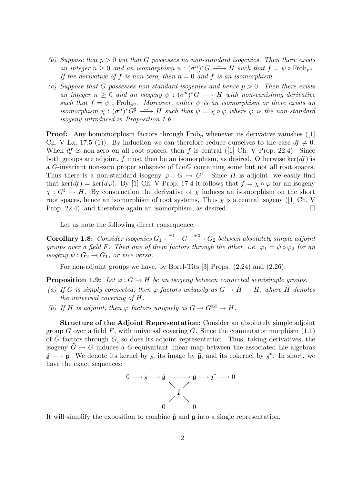- (b) Suppose that  $p > 0$  but that G possesses no non-standard isogenies. Then there exists an integer  $n \geq 0$  and an isomorphism  $\psi : (\sigma^n)^* G \longrightarrow H$  such that  $f = \psi \circ \text{Frob}_{p^n}$ . If the derivative of f is non-zero, then  $n = 0$  and f is an isomorphism.
- (c) Suppose that G possesses non-standard isogenies and hence  $p > 0$ . Then there exists an integer  $n \geq 0$  and an isogeny  $\psi : (\sigma^n)^* G \longrightarrow H$  with non-vanishing derivative such that  $f = \psi \circ \text{Frob}_{p^n}$ . Moreover, either  $\psi$  is an isomorphism or there exists an isomorphism  $\chi: (\sigma^n)^* \tilde{G}^{\sharp} \longrightarrow H$  such that  $\psi = \chi \circ \varphi$  where  $\varphi$  is the non-standard isogeny introduced in Proposition 1.6.

**Proof:** Any homomorphism factors through Frob<sub>p</sub> whenever its derivative vanishes ([1] Ch. V Ex. 17.5 (1)). By induction we can therefore reduce ourselves to the case  $df \neq 0$ . When *df* is non-zero on all root spaces, then f is central ([1] Ch. V Prop. 22.4). Since both groups are adjoint, f must then be an isomorphism, as desired. Otherwise ker(df) is a G-invariant non-zero proper subspace of  $Lie G$  containing some but not all root spaces. Thus there is a non-standard isogeny  $\varphi: G \to G^{\sharp}$ . Since H is adjoint, we easily find that ker(df) = ker(d $\varphi$ ). By [1] Ch. V Prop. 17.4 it follows that  $f = \chi \circ \varphi$  for an isogeny  $\chi: G^{\sharp} \to H$ . By construction the derivative of  $\chi$  induces an isomorphism on the short root spaces, hence an isomorphism of root systems. Thus  $\chi$  is a central isogeny ([1] Ch. V Prop. 22.4), and therefore again an isomorphism, as desired.

Let us note the following direct consequence.

**Corollary 1.8:** Consider isogenies  $G_1 \xleftarrow{\varphi_1} G \xrightarrow{\varphi_2} G_2$  between absolutely simple adjoint groups over a field F. Then one of them factors through the other, i.e.  $\varphi_1 = \psi \circ \varphi_2$  for an isogeny  $\psi: G_2 \to G_1$ , or vice versa.

For non-adjoint groups we have, by Borel-Tits [3] Props. (2.24) and (2.26):

**Proposition 1.9:** Let  $\varphi$  :  $G \to H$  be an isogeny between connected semisimple groups.

- (a) If G is simply connected, then  $\varphi$  factors uniquely as  $G \to \tilde{H} \to H$ , where  $\tilde{H}$  denotes the universal covering of H.
- (b) If H is adjoint, then  $\varphi$  factors uniquely as  $G \to G^{ad} \to H$ .

Structure of the Adjoint Representation: Consider an absolutely simple adjoint group G over a field F, with universal covering  $\tilde{G}$ . Since the commutator morphism (1.1) of  $\tilde{G}$  factors through  $G$ , so does its adjoint representation. Thus, taking derivatives, the isogeny  $G \to G$  induces a G-equivariant linear map between the associated Lie algebras  $\tilde{\mathfrak{g}} \longrightarrow \mathfrak{g}$ . We denote its kernel by  $\mathfrak{z}$ , its image by  $\bar{\mathfrak{g}}$ , and its cokernel by  $\mathfrak{z}^*$ . In short, we have the exact sequences:



It will simplify the exposition to combine  $\tilde{\mathfrak{g}}$  and  $\mathfrak{g}$  into a single representation.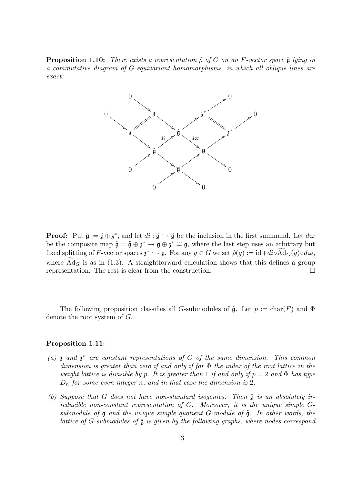**Proposition 1.10:** There exists a representation  $\hat{\rho}$  of G on an F-vector space  $\hat{\mathfrak{g}}$  lying in a commutative diagram of G-equivariant homomorphisms, in which all oblique lines are exact:



**Proof:** Put  $\hat{\mathfrak{g}} := \tilde{\mathfrak{g}} \oplus \mathfrak{z}^*$ , and let  $di : \tilde{\mathfrak{g}} \hookrightarrow \hat{\mathfrak{g}}$  be the inclusion in the first summand. Let  $d\varpi$ be the composite map  $\hat{\mathfrak{g}} = \tilde{\mathfrak{g}} \oplus \mathfrak{z}^* \to \bar{\mathfrak{g}} \oplus \mathfrak{z}^* \cong \mathfrak{g}$ , where the last step uses an arbitrary but fixed splitting of F-vector spaces  $\mathfrak{z}^* \hookrightarrow \mathfrak{g}$ . For any  $g \in G$  we set  $\hat{\rho}(g) := id + di \circ \widetilde{\text{Ad}}_G(g) \circ d\varpi$ , where  $\overline{Ad}_G$  is as in (1.3). A straightforward calculation shows that this defines a group representation. The rest is clear from the construction.

The following proposition classifies all G-submodules of  $\hat{\mathfrak{g}}$ . Let  $p := \text{char}(F)$  and  $\Phi$ denote the root system of G.

# Proposition 1.11:

- (a)  $\mathfrak z$  and  $\mathfrak z^*$  are constant representations of G of the same dimension. This common dimension is greater than zero if and only if for  $\Phi$  the index of the root lattice in the weight lattice is divisible by p. It is greater than 1 if and only if  $p = 2$  and  $\Phi$  has type  $D_n$  for some even integer n, and in that case the dimension is 2.
- (b) Suppose that G does not have non-standard isogenies. Then  $\bar{\mathfrak{g}}$  is an absolutely irreducible non-constant representation of G. Moreover, it is the unique simple Gsubmodule of  $\mathfrak g$  and the unique simple quotient G-module of  $\tilde{\mathfrak g}$ . In other words, the lattice of G-submodules of  $\hat{\mathfrak{g}}$  is given by the following graphs, where nodes correspond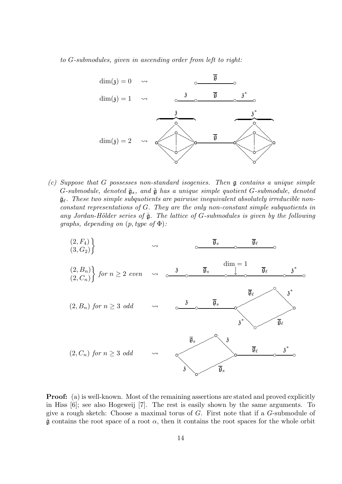to G-submodules, given in ascending order from left to right:



(c) Suppose that G possesses non-standard isogenies. Then g contains a unique simple G-submodule, denoted  $\bar{\mathfrak{g}}_s$ , and  $\tilde{\mathfrak{g}}$  has a unique simple quotient G-submodule, denoted  $\bar{\mathfrak{g}}_{\ell}$ . These two simple subquotients are pairwise inequivalent absolutely irreducible nonconstant representations of G. They are the only non-constant simple subquotients in any Jordan-Hölder series of  $\hat{\mathfrak{g}}$ . The lattice of G-submodules is given by the following graphs, depending on  $(p, type \ of \Phi)$ :



**Proof:** (a) is well-known. Most of the remaining assertions are stated and proved explicitly in Hiss [6]; see also Hogeweij [7]. The rest is easily shown by the same arguments. To give a rough sketch: Choose a maximal torus of G. First note that if a G-submodule of  $\hat{\mathfrak{g}}$  contains the root space of a root  $\alpha$ , then it contains the root spaces for the whole orbit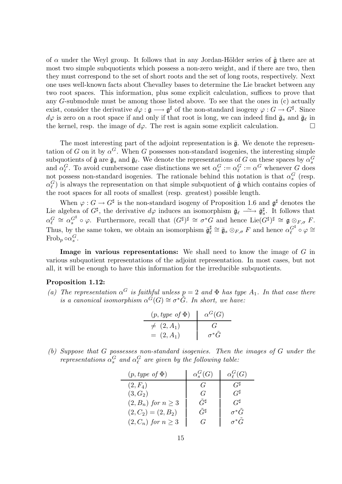of  $\alpha$  under the Weyl group. It follows that in any Jordan-Hölder series of  $\hat{\mathfrak{g}}$  there are at most two simple subquotients which possess a non-zero weight, and if there are two, then they must correspond to the set of short roots and the set of long roots, respectively. Next one uses well-known facts about Chevalley bases to determine the Lie bracket between any two root spaces. This information, plus some explicit calculation, suffices to prove that any G-submodule must be among those listed above. To see that the ones in (c) actually exist, consider the derivative  $d\varphi : \mathfrak{g} \longrightarrow \mathfrak{g}^{\sharp}$  of the non-standard isogeny  $\varphi : G \longrightarrow G^{\sharp}$ . Since  $d\varphi$  is zero on a root space if and only if that root is long, we can indeed find  $\bar{\mathfrak{g}}_s$  and  $\bar{\mathfrak{g}}_\ell$  in the kernel, resp. the image of  $d\varphi$ . The rest is again some explicit calculation.

The most interesting part of the adjoint representation is  $\bar{g}$ . We denote the representation of G on it by  $\alpha^G$ . When G possesses non-standard isogenies, the interesting simple subquotients of  $\hat{\mathfrak{g}}$  are  $\bar{\mathfrak{g}}_s$  and  $\bar{\mathfrak{g}}_\ell$ . We denote the representations of G on these spaces by  $\alpha_s^G$ and  $\alpha_{\ell}^G$ . To avoid cumbersome case distinctions we set  $\alpha_s^G := \alpha_{\ell}^G := \alpha^G$  whenever G does not possess non-standard isogenies. The rationale behind this notation is that  $\alpha_s^G$  (resp.  $\alpha_{\ell}^G$ ) is always the representation on that simple subquotient of  $\hat{\mathfrak{g}}$  which contains copies of the root spaces for all roots of smallest (resp. greatest) possible length.

When  $\varphi: G \to G^{\sharp}$  is the non-standard isogeny of Proposition 1.6 and  $\mathfrak{g}^{\sharp}$  denotes the Lie algebra of  $G^{\sharp}$ , the derivative  $d\varphi$  induces an isomorphism  $\bar{\mathfrak{g}}_{\ell} \longrightarrow \bar{\mathfrak{g}}_{s}^{\sharp}$ . It follows that  $\alpha_{\ell}^G \cong \alpha_s^{G^{\sharp}} \circ \varphi$ . Furthermore, recall that  $(G^{\sharp})^{\sharp} \cong \sigma^*G$  and hence  $\text{Lie}(G^{\sharp})^{\sharp} \cong \mathfrak{g} \otimes_{F, \sigma} F$ . Thus, by the same token, we obtain an isomorphism  $\bar{\mathfrak{g}}_k^{\sharp}$  $\frac{\sharp}{\ell} \cong \bar{\mathfrak{g}}_s \otimes_{F,\sigma} F$  and hence  $\alpha_{\ell}^{G^{\sharp}} \circ \varphi \cong$ Frob<sub>p</sub>  $\circ \alpha_s^G$ .

Image in various representations: We shall need to know the image of G in various subquotient representations of the adjoint representation. In most cases, but not all, it will be enough to have this information for the irreducible subquotients.

# Proposition 1.12:

(a) The representation  $\alpha^G$  is faithful unless  $p = 2$  and  $\Phi$  has type  $A_1$ . In that case there is a canonical isomorphism  $\alpha^{\tilde{G}}(G) \cong \sigma^* \tilde{G}$ . In short, we have:

| $(p, type \text{ of } \Phi)$ | $\alpha^G(G)$ |
|------------------------------|---------------|
| $\neq (2, A_1)$              | $\mathbf{r}$  |
| $= (2, A_1)$                 | $\sigma^*G$   |

(b) Suppose that G possesses non-standard isogenies. Then the images of G under the representations  $\alpha_s^G$  and  $\alpha_\ell^G$  are given by the following table:

| $(p, type \text{ of } \Phi)$ | $\alpha_{\rm e}^G(G)$ | $\alpha_\ell^G(G)$  |
|------------------------------|-----------------------|---------------------|
| $(2, F_4)$                   | $\mathcal{C}$         | $G^{\sharp}$        |
| $(3, G_2)$                   | G                     | $G^\sharp$          |
| $(2, B_n)$ for $n \geq 3$    | $\tilde{G}^\sharp$    | $G^{\sharp}$        |
| $(2, C_2) = (2, B_2)$        | $\tilde{G}^\sharp$    | $\sigma^*\tilde{G}$ |
| $(2, C_n)$ for $n \geq 3$    | G                     | $\sigma^*\tilde{G}$ |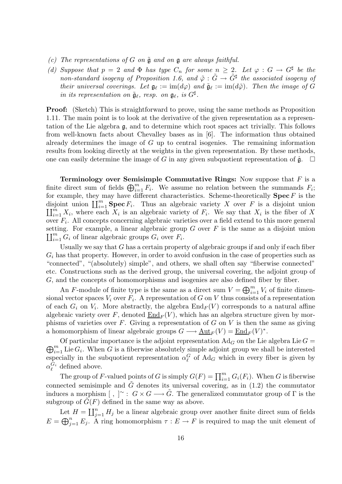- (c) The representations of G on  $\tilde{\mathfrak{g}}$  and on  $\mathfrak{g}$  are always faithful.
- (d) Suppose that  $p = 2$  and  $\Phi$  has type  $C_n$  for some  $n \geq 2$ . Let  $\varphi : G \to G^{\sharp}$  be the non-standard isogeny of Proposition 1.6, and  $\tilde{\varphi}: \tilde{G} \to \tilde{G}^{\sharp}$  the associated isogeny of their universal coverings. Let  $\mathfrak{g}_\ell := \text{im}(d\varphi)$  and  $\tilde{\mathfrak{g}}_\ell := \text{im}(d\tilde{\varphi})$ . Then the image of G in its representation on  $\tilde{\mathfrak{g}}_\ell$ , resp. on  $\mathfrak{g}_\ell$ , is  $G^\sharp$ .

Proof: (Sketch) This is straightforward to prove, using the same methods as Proposition 1.11. The main point is to look at the derivative of the given representation as a representation of the Lie algebra g, and to determine which root spaces act trivially. This follows from well-known facts about Chevalley bases as in [6]. The information thus obtained already determines the image of G up to central isogenies. The remaining information results from looking directly at the weights in the given representation. By these methods, one can easily determine the image of G in any given subquotient representation of  $\hat{\mathfrak{g}}$ .

**Terminology over Semisimple Commutative Rings:** Now suppose that  $F$  is a finite direct sum of fields  $\bigoplus_{i=1}^m F_i$ . We assume no relation between the summands  $F_i$ ; for example, they may have different characteristics. Scheme-theoretically  $\textbf{Spec}\,F$  is the disjoint union  $\coprod_{i=1}^m$  **Spec**  $F_i$ . Thus an algebraic variety X over F is a disjoint union  $\prod_{i=1}^m X_i$ , where each  $X_i$  is an algebraic variety of  $F_i$ . We say that  $X_i$  is the fiber of X over  $F_i$ . All concepts concerning algebraic varieties over a field extend to this more general setting. For example, a linear algebraic group  $G$  over  $F$  is the same as a disjoint union  $\prod_{i=1}^m G_i$  of linear algebraic groups  $G_i$  over  $F_i$ .

Usually we say that  $G$  has a certain property of algebraic groups if and only if each fiber  $G_i$  has that property. However, in order to avoid confusion in the case of properties such as "connected", "(absolutely) simple", and others, we shall often say "fiberwise connected" etc. Constructions such as the derived group, the universal covering, the adjoint group of G, and the concepts of homomorphisms and isogenies are also defined fiber by fiber.

An F-module of finite type is the same as a direct sum  $V = \bigoplus_{i=1}^{m} V_i$  of finite dimensional vector spaces  $V_i$  over  $F_i$ . A representation of G on V thus consists of a representation of each  $G_i$  on  $V_i$ . More abstractly, the algebra  $\text{End}_F(V)$  corresponds to a natural affine algebraic variety over F, denoted  $\underline{End}_F(V)$ , which has an algebra structure given by morphisms of varieties over  $F$ . Giving a representation of  $G$  on  $V$  is then the same as giving a homomorphism of linear algebraic groups  $G \longrightarrow \underline{\mathrm{Aut}}_F(V) = \underline{\mathrm{End}}_F(V)^*$ .

 $\bigoplus_{i=1}^m \text{Lie } G_i$ . When G is a fiberwise absolutely simple adjoint group we shall be interested Of particular importance is the adjoint representation  $Ad_G$  on the Lie algebra Lie  $G =$ especially in the subquotient representation  $\alpha_{\ell}^G$  of  $\text{Ad}_G$  which in every fiber is given by  $\alpha_{\ell}^{G_i}$  $\mathcal{C}^{i}$  defined above.

The group of F-valued points of G is simply  $G(F) = \prod_{i=1}^{m} G_i(F_i)$ . When G is fiberwise connected semisimple and  $\tilde{G}$  denotes its universal covering, as in (1.2) the commutator induces a morphism  $[ , ]^{\sim} : G \times G \longrightarrow \tilde{G}$ . The generalized commutator group of  $\Gamma$  is the subgroup of  $G(F)$  defined in the same way as above.

Let  $H = \coprod_{j=1}^n H_j$  be a linear algebraic group over another finite direct sum of fields  $E = \bigoplus_{j=1}^n E_j$ . A ring homomorphism  $\tau : E \to F$  is required to map the unit element of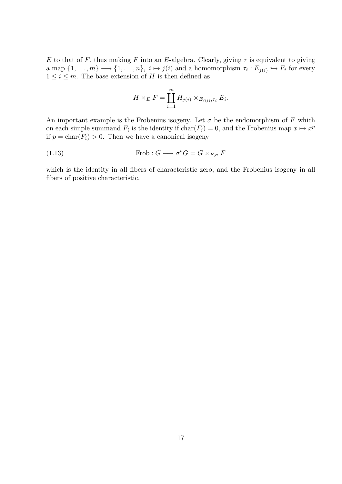E to that of F, thus making F into an E-algebra. Clearly, giving  $\tau$  is equivalent to giving a map  $\{1,\ldots,m\}\longrightarrow\{1,\ldots,n\},\ i\mapsto j(i)$  and a homomorphism  $\tau_i:E_{j(i)}\hookrightarrow F_i$  for every  $1 \leq i \leq m$ . The base extension of H is then defined as

$$
H \times_E F = \prod_{i=1}^m H_{j(i)} \times_{E_{j(i)}, \tau_i} E_i.
$$

An important example is the Frobenius isogeny. Let  $\sigma$  be the endomorphism of F which on each simple summand  $F_i$  is the identity if  $char(F_i) = 0$ , and the Frobenius map  $x \mapsto x^p$ if  $p = \text{char}(F_i) > 0$ . Then we have a canonical isogeny

(1.13) 
$$
\text{Frob}: G \longrightarrow \sigma^*G = G \times_{F, \sigma} F
$$

which is the identity in all fibers of characteristic zero, and the Frobenius isogeny in all fibers of positive characteristic.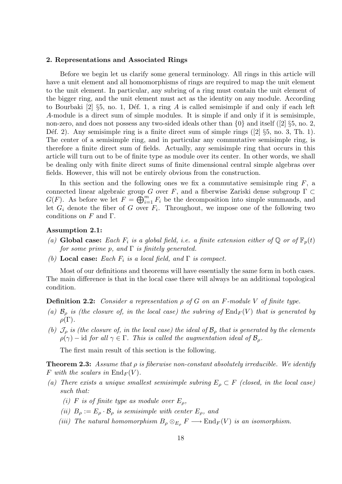#### 2. Representations and Associated Rings

Before we begin let us clarify some general terminology. All rings in this article will have a unit element and all homomorphisms of rings are required to map the unit element to the unit element. In particular, any subring of a ring must contain the unit element of the bigger ring, and the unit element must act as the identity on any module. According to Bourbaki [2]  $\S5$ , no. 1, Déf. 1, a ring A is called semisimple if and only if each left A-module is a direct sum of simple modules. It is simple if and only if it is semisimple, non-zero, and does not possess any two-sided ideals other than  $\{0\}$  and itself ([2]  $\S5$ , no. 2, Déf. 2). Any semisimple ring is a finite direct sum of simple rings  $(2)$  §5, no. 3, Th. 1). The center of a semisimple ring, and in particular any commutative semisimple ring, is therefore a finite direct sum of fields. Actually, any semisimple ring that occurs in this article will turn out to be of finite type as module over its center. In other words, we shall be dealing only with finite direct sums of finite dimensional central simple algebras over fields. However, this will not be entirely obvious from the construction.

In this section and the following ones we fix a commutative semisimple ring  $F$ , a connected linear algebraic group G over F, and a fiberwise Zariski dense subgroup  $\Gamma \subset$  $G(F)$ . As before we let  $F = \bigoplus_{i=1}^{m} F_i$  be the decomposition into simple summands, and let  $G_i$  denote the fiber of G over  $F_i$ . Throughout, we impose one of the following two conditions on  $F$  and  $\Gamma$ .

# Assumption 2.1:

- (a) Global case: Each  $F_i$  is a global field, i.e. a finite extension either of Q or of  $\mathbb{F}_p(t)$ for some prime p, and  $\Gamma$  is finitely generated.
- (b) Local case: Each  $F_i$  is a local field, and  $\Gamma$  is compact.

Most of our definitions and theorems will have essentially the same form in both cases. The main difference is that in the local case there will always be an additional topological condition.

**Definition 2.2:** Consider a representation  $\rho$  of G on an F-module V of finite type.

- (a)  $\mathcal{B}_o$  is (the closure of, in the local case) the subring of  $\text{End}_F(V)$  that is generated by  $\rho(\Gamma)$ .
- (b)  $\mathcal{J}_{\rho}$  is (the closure of, in the local case) the ideal of  $\mathcal{B}_{\rho}$  that is generated by the elements  $\rho(\gamma)$  – id for all  $\gamma \in \Gamma$ . This is called the augmentation ideal of  $\mathcal{B}_{\rho}$ .

The first main result of this section is the following.

**Theorem 2.3:** Assume that  $\rho$  is fiberwise non-constant absolutely irreducible. We identify F with the scalars in  $\text{End}_F(V)$ .

- (a) There exists a unique smallest semisimple subring  $E_o \subset F$  (closed, in the local case) such that:
	- (i) F is of finite type as module over  $E_{\rho}$ ,
	- (ii)  $B_{\rho} := E_{\rho} \cdot \mathcal{B}_{\rho}$  is semisimple with center  $E_{\rho}$ , and
	- (iii) The natural homomorphism  $B_\rho \otimes_{E_\rho} F \longrightarrow \text{End}_F(V)$  is an isomorphism.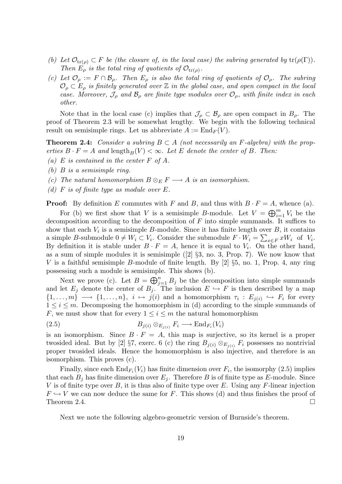- (b) Let  $\mathcal{O}_{tr(\rho)} \subset F$  be (the closure of, in the local case) the subring generated by  $tr(\rho(\Gamma))$ . Then  $E_{\rho}$  is the total ring of quotients of  $\mathcal{O}_{tr(\rho)}$ .
- (c) Let  $\mathcal{O}_{\rho} := F \cap \mathcal{B}_{\rho}$ . Then  $E_{\rho}$  is also the total ring of quotients of  $\mathcal{O}_{\rho}$ . The subring  $\mathcal{O}_{\rho} \subset E_{\rho}$  is finitely generated over  $\mathbb Z$  in the global case, and open compact in the local case. Moreover,  $\mathcal{J}_{\rho}$  and  $\mathcal{B}_{\rho}$  are finite type modules over  $\mathcal{O}_{\rho}$ , with finite index in each other.

Note that in the local case (c) implies that  $\mathcal{J}_{\rho} \subset \mathcal{B}_{\rho}$  are open compact in  $B_{\rho}$ . The proof of Theorem 2.3 will be somewhat lengthy. We begin with the following technical result on semisimple rings. Let us abbreviate  $A := \text{End}_F(V)$ .

**Theorem 2.4:** Consider a subring  $B \subset A$  (not necessarily an F-algebra) with the properties  $B \cdot F = A$  and length  $_B(V) < \infty$ . Let E denote the center of B. Then:

- (a) E is contained in the center  $F$  of  $A$ .
- (b) B is a semisimple ring.
- (c) The natural homomorphism  $B \otimes_E F \longrightarrow A$  is an isomorphism.
- (d)  $F$  is of finite type as module over  $E$ .

**Proof:** By definition E commutes with F and B, and thus with  $B \cdot F = A$ , whence (a).

For (b) we first show that V is a semisimple B-module. Let  $V = \bigoplus_{i=1}^{m} V_i$  be the decomposition according to the decomposition of  $F$  into simple summands. It suffices to show that each  $V_i$  is a semisimple B-module. Since it has finite length over B, it contains a simple B-submodule  $0 \neq W_i \subset V_i$ . Consider the submodule  $F \cdot W_i = \sum_{x \in F} xW_i$  of  $V_i$ . By definition it is stable under  $B \cdot F = A$ , hence it is equal to  $V_i$ . On the other hand, as a sum of simple modules it is semisimple  $(2)$  §3, no. 3, Prop. 7). We now know that V is a faithful semisimple B-module of finite length. By  $[2]$   $\S5$ , no. 1, Prop. 4, any ring possessing such a module is semisimple. This shows (b).

Next we prove (c). Let  $B = \bigoplus_{j=1}^n B_j$  be the decomposition into simple summands and let  $E_j$  denote the center of  $B_j$ . The inclusion  $E \hookrightarrow F$  is then described by a map  $\{1,\ldots,m\} \longrightarrow \{1,\ldots,n\},\ i\mapsto j(i)$  and a homomorphism  $\tau_i: E_{j(i)} \hookrightarrow F_i$  for every  $1 \leq i \leq m$ . Decomposing the homomorphism in (d) according to the simple summands of F, we must show that for every  $1 \leq i \leq m$  the natural homomorphism

$$
(2.5) \t\t B_{j(i)} \otimes_{E_{j(i)}} F_i \longrightarrow \text{End}_{F_i}(V_i)
$$

is an isomorphism. Since  $B \cdot F = A$ , this map is surjective, so its kernel is a proper twosided ideal. But by [2] §7, exerc. 6 (c) the ring  $B_{j(i)} \otimes_{E_{j(i)}} F_i$  possesses no nontrivial proper twosided ideals. Hence the homomorphism is also injective, and therefore is an isomorphism. This proves (c).

Finally, since each  $\text{End}_{F_i}(V_i)$  has finite dimension over  $F_i$ , the isomorphy  $(2.5)$  implies that each  $B_j$  has finite dimension over  $E_j$ . Therefore B is of finite type as E-module. Since V is of finite type over B, it is thus also of finite type over E. Using any F-linear injection  $F \hookrightarrow V$  we can now deduce the same for F. This shows (d) and thus finishes the proof of Theorem 2.4.  $\Box$ 

Next we note the following algebro-geometric version of Burnside's theorem.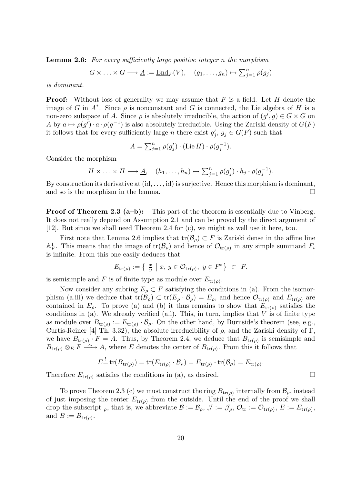Lemma 2.6: For every sufficiently large positive integer n the morphism

$$
G \times \ldots \times G \longrightarrow \underline{A} := \underline{\text{End}}_F(V), \quad (g_1, \ldots, g_n) \mapsto \sum_{j=1}^n \rho(g_j)
$$

is dominant.

**Proof:** Without loss of generality we may assume that  $F$  is a field. Let  $H$  denote the image of G in  $\underline{A}^*$ . Since  $\rho$  is nonconstant and G is connected, the Lie algebra of H is a non-zero subspace of A. Since  $\rho$  is absolutely irreducible, the action of  $(g', g) \in G \times G$  on A by  $a \mapsto \rho(g') \cdot a \cdot \rho(g^{-1})$  is also absolutely irreducible. Using the Zariski density of  $G(F)$ it follows that for every sufficiently large *n* there exist  $g_i'$  $j, g_j \in G(F)$  such that

$$
A = \sum_{j=1}^{n} \rho(g'_j) \cdot (\text{Lie } H) \cdot \rho(g_j^{-1}).
$$

Consider the morphism

$$
H \times \ldots \times H \longrightarrow \underline{A}, \quad (h_1, \ldots, h_n) \mapsto \sum_{j=1}^n \rho(g'_j) \cdot h_j \cdot \rho(g_j^{-1}).
$$

By construction its derivative at  $(id, \ldots, id)$  is surjective. Hence this morphism is dominant, and so is the morphism in the lemma.

**Proof of Theorem 2.3 (a–b):** This part of the theorem is essentially due to Vinberg. It does not really depend on Assumption 2.1 and can be proved by the direct argument of [12]. But since we shall need Theorem 2.4 for (c), we might as well use it here, too.

First note that Lemma 2.6 implies that  $tr(\mathcal{B}_{\rho}) \subset F$  is Zariski dense in the affine line  $\mathbb{A}_F^1$ . This means that the image of  $\text{tr}(\mathcal{B}_{\rho})$  and hence of  $\mathcal{O}_{\text{tr}(\rho)}$  in any simple summand  $F_i$ is infinite. From this one easily deduces that

$$
E_{\text{tr}(\rho)} := \left\{ \begin{array}{c} \frac{x}{y} \mid x, y \in \mathcal{O}_{\text{tr}(\rho)}, y \in F^* \right\} \subset F. \end{array} \right.
$$

is semisimple and F is of finite type as module over  $E_{\text{tr}(\rho)}$ .

Now consider any subring  $E_{\rho} \subset F$  satisfying the conditions in (a). From the isomorphism (a.iii) we deduce that  $tr(\mathcal{B}_{\rho}) \subset tr(E_{\rho} \cdot \mathcal{B}_{\rho}) = E_{\rho}$ , and hence  $\mathcal{O}_{tr(\rho)}$  and  $E_{tr(\rho)}$  are contained in  $E_{\rho}$ . To prove (a) and (b) it thus remains to show that  $E_{tr(\rho)}$  satisfies the conditions in (a). We already verified (a.i). This, in turn, implies that  $V$  is of finite type as module over  $B_{\text{tr}(\rho)} := E_{\text{tr}(\rho)} \cdot \mathcal{B}_{\rho}$ . On the other hand, by Burnside's theorem (see, e.g., Curtis-Reiner [4] Th. 3.32), the absolute irreducibility of  $\rho$ , and the Zariski density of Γ, we have  $B_{\text{tr}(\rho)} \cdot F = A$ . Thus, by Theorem 2.4, we deduce that  $B_{\text{tr}(\rho)}$  is semisimple and  $B_{\text{tr}(\rho)} \otimes_E F \longrightarrow A$ , where E denotes the center of  $B_{\text{tr}(\rho)}$ . From this it follows that

$$
E^{\perp} = \text{tr}(B_{\text{tr}(\rho)}) = \text{tr}(E_{\text{tr}(\rho)} \cdot \mathcal{B}_{\rho}) = E_{\text{tr}(\rho)} \cdot \text{tr}(\mathcal{B}_{\rho}) = E_{\text{tr}(\rho)}.
$$

Therefore  $E_{\text{tr}(\rho)}$  satisfies the conditions in (a), as desired.

To prove Theorem 2.3 (c) we must construct the ring  $B_{\text{tr}(\rho)}$  internally from  $\mathcal{B}_{\rho}$ , instead of just imposing the center  $E_{\text{tr}(\rho)}$  from the outside. Until the end of the proof we shall drop the subscript <sub>ρ</sub>, that is, we abbreviate  $\mathcal{B} := \mathcal{B}_{\rho}, \mathcal{J} := \mathcal{J}_{\rho}, \mathcal{O}_{tr} := \mathcal{O}_{tr(\rho)}, E := E_{tr(\rho)},$ and  $B := B_{\text{tr}(\rho)}$ .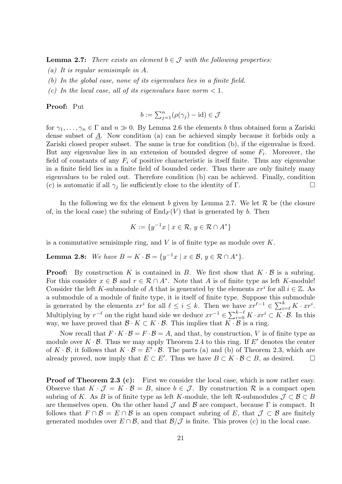**Lemma 2.7:** There exists an element  $b \in \mathcal{J}$  with the following properties:

- (a) It is regular semisimple in A.
- (b) In the global case, none of its eigenvalues lies in a finite field.
- (c) In the local case, all of its eigenvalues have norm  $< 1$ .

#### Proof: Put

$$
b := \sum_{j=1}^{n} (\rho(\gamma_j) - \mathrm{id}) \in \mathcal{J}
$$

for  $\gamma_1, \ldots, \gamma_n \in \Gamma$  and  $n \gg 0$ . By Lemma 2.6 the elements b thus obtained form a Zariski dense subset of A. Now condition (a) can be achieved simply because it forbids only a Zariski closed proper subset. The same is true for condition (b), if the eigenvalue is fixed. But any eigenvalue lies in an extension of bounded degree of some  $F_i$ . Moreover, the field of constants of any  $F_i$  of positive characteristic is itself finite. Thus any eigenvalue in a finite field lies in a finite field of bounded order. Thus there are only finitely many eigenvalues to be ruled out. Therefore condition (b) can be achieved. Finally, condition (c) is automatic if all  $\gamma_i$  lie sufficiently close to the identity of Γ.

In the following we fix the element b given by Lemma 2.7. We let  $R$  be (the closure of, in the local case) the subring of  $\text{End}_F(V)$  that is generated by b. Then

$$
K := \{ y^{-1}x \mid x \in \mathcal{R}, y \in \mathcal{R} \cap A^* \}
$$

is a commutative semisimple ring, and  $V$  is of finite type as module over  $K$ .

**Lemma 2.8:** We have  $B = K \cdot \mathcal{B} = \{y^{-1}x \mid x \in \mathcal{B}, y \in \mathcal{R} \cap A^*\}.$ 

**Proof:** By construction K is contained in B. We first show that  $K \cdot B$  is a subring. For this consider  $x \in \mathcal{B}$  and  $r \in \mathcal{R} \cap A^*$ . Note that A is of finite type as left K-module! Consider the left K-submodule of A that is generated by the elements  $xr^i$  for all  $i \in \mathbb{Z}$ . As a submodule of a module of finite type, it is itself of finite type. Suppose this submodule is generated by the elements  $xr^i$  for all  $\ell \leq i \leq k$ . Then we have  $xr^{\ell-1} \in \sum_{i=\ell}^k K \cdot xr^i$ . Multiplying by  $r^{-\ell}$  on the right hand side we deduce  $xr^{-1} \in \sum_{i=0}^{k-\ell} K \cdot xr^i \subset K \cdot \mathcal{B}$ . In this way, we have proved that  $\mathcal{B} \cdot K \subset K \cdot \mathcal{B}$ . This implies that  $K \cdot \mathcal{B}$  is a ring.

Now recall that  $F \cdot K \cdot \mathcal{B} = F \cdot \mathcal{B} = A$ , and that, by construction, V is of finite type as module over  $K \cdot \mathcal{B}$ . Thus we may apply Theorem 2.4 to this ring. If E' denotes the center of  $K \cdot \mathcal{B}$ , it follows that  $K \cdot \mathcal{B} = E' \cdot \mathcal{B}$ . The parts (a) and (b) of Theorem 2.3, which are already proved, now imply that  $E \subset E'$ . Thus we have  $B \subset K \cdot B \subset B$ , as desired.  $\square$ 

Proof of Theorem 2.3 (c): First we consider the local case, which is now rather easy. Observe that  $K \cdot \mathcal{J} = K \cdot \mathcal{B} = B$ , since  $b \in \mathcal{J}$ . By construction R is a compact open subring of K. As B is of finite type as left K-module, the left R-submodules  $\mathcal{J} \subset \mathcal{B} \subset B$ are themselves open. On the other hand  $\mathcal J$  and  $\mathcal B$  are compact, because  $\Gamma$  is compact. It follows that  $F \cap B = E \cap B$  is an open compact subring of E, that  $\mathcal{J} \subset \mathcal{B}$  are finitely generated modules over  $E \cap B$ , and that  $B/\mathcal{J}$  is finite. This proves (c) in the local case.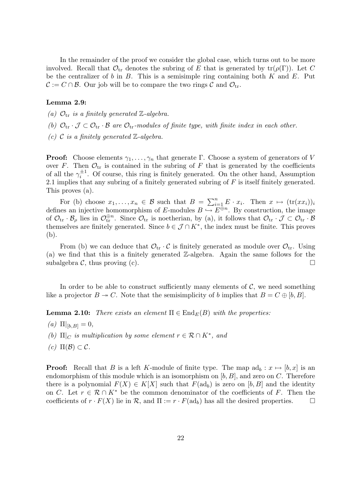In the remainder of the proof we consider the global case, which turns out to be more involved. Recall that  $\mathcal{O}_{tr}$  denotes the subring of E that is generated by  $tr(\rho(\Gamma))$ . Let C be the centralizer of b in B. This is a semisimple ring containing both K and E. Put  $\mathcal{C} := C \cap \mathcal{B}$ . Our job will be to compare the two rings  $\mathcal{C}$  and  $\mathcal{O}_{tr}$ .

#### Lemma 2.9:

- (a)  $\mathcal{O}_{\text{tr}}$  is a finitely generated Z-algebra.
- (b)  $\mathcal{O}_{tr} \cdot \mathcal{J} \subset \mathcal{O}_{tr} \cdot \mathcal{B}$  are  $\mathcal{O}_{tr}$ -modules of finite type, with finite index in each other.
- (c)  $\mathcal C$  is a finitely generated  $\mathbb Z$ -algebra.

**Proof:** Choose elements  $\gamma_1, \ldots, \gamma_n$  that generate Γ. Choose a system of generators of V over F. Then  $\mathcal{O}_{tr}$  is contained in the subring of F that is generated by the coefficients of all the  $\gamma_i^{\pm 1}$  $i^{\pm 1}$ . Of course, this ring is finitely generated. On the other hand, Assumption 2.1 implies that any subring of a finitely generated subring of  $F$  is itself finitely generated. This proves (a).

For (b) choose  $x_1, \ldots, x_n \in \mathcal{B}$  such that  $B = \sum_{i=1}^n E \cdot x_i$ . Then  $x \mapsto (\text{tr}(xx_i))_i$ defines an injective homomorphism of E-modules  $B \hookrightarrow \overline{E^{\oplus n}}$ . By construction, the image of  $\mathcal{O}_{tr} \cdot \mathcal{B}_{\rho}$  lies in  $\mathcal{O}_{tr}^{\oplus n}$ . Since  $\mathcal{O}_{tr}$  is noetherian, by (a), it follows that  $\mathcal{O}_{tr} \cdot \mathcal{J} \subset \mathcal{O}_{tr} \cdot \mathcal{B}$ themselves are finitely generated. Since  $b \in \mathcal{J} \cap K^*$ , the index must be finite. This proves (b).

From (b) we can deduce that  $\mathcal{O}_{tr} \cdot \mathcal{C}$  is finitely generated as module over  $\mathcal{O}_{tr}$ . Using (a) we find that this is a finitely generated Z-algebra. Again the same follows for the subalgebra C, thus proving (c).

In order to be able to construct sufficiently many elements of  $C$ , we need something like a projector  $B \to C$ . Note that the semisimplicity of b implies that  $B = C \oplus [b, B]$ .

**Lemma 2.10:** There exists an element  $\Pi \in \text{End}_E(B)$  with the properties:

- (a)  $\Pi|_{[b,B]} = 0$ ,
- (b)  $\Pi|_C$  is multiplication by some element  $r \in \mathcal{R} \cap K^*$ , and
- $(c) \Pi(\mathcal{B}) \subset \mathcal{C}.$

**Proof:** Recall that B is a left K-module of finite type. The map  $ad_b : x \mapsto [b, x]$  is an endomorphism of this module which is an isomorphism on  $[b, B]$ , and zero on C. Therefore there is a polynomial  $F(X) \in K[X]$  such that  $F(\text{ad}_b)$  is zero on [b, B] and the identity on C. Let  $r \in \mathcal{R} \cap K^*$  be the common denominator of the coefficients of F. Then the coefficients of  $r \cdot F(X)$  lie in R, and  $\Pi := r \cdot F(\text{ad}_b)$  has all the desired properties.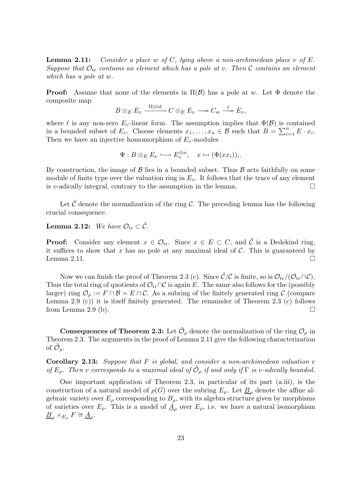**Lemma 2.11:** Consider a place w of C, lying above a non-archimedean place v of E. Suppose that  $\mathcal{O}_{tr}$  contains an element which has a pole at v. Then C contains an element which has a pole at w.

**Proof:** Assume that none of the elements in  $\Pi(\mathcal{B})$  has a pole at w. Let  $\Phi$  denote the composite map

$$
B\otimes_E E_v\xrightarrow{\Pi\otimes\mathrm{id}} C\otimes_E E_v \longrightarrow G_w\xrightarrow{\ell} E_v,
$$

where  $\ell$  is any non-zero  $E_v$ -linear form. The assumption implies that  $\Phi(\mathcal{B})$  is contained in a bounded subset of  $E_v$ . Choose elements  $x_1, \ldots, x_n \in \mathcal{B}$  such that  $B = \sum_{i=1}^n E \cdot x_i$ . Then we have an injective homomorphism of  $E_v$ -modules

$$
\Psi: B \otimes_E E_v \longrightarrow E_v^{\oplus n}, \quad x \mapsto (\Phi(xx_i))_i.
$$

By construction, the image of  $\beta$  lies in a bounded subset. Thus  $\beta$  acts faithfully on some module of finite type over the valuation ring in  $E_v$ . It follows that the trace of any element is v-adically integral, contrary to the assumption in the lemma.  $\Box$ 

Let  $\tilde{\mathcal{C}}$  denote the normalization of the ring  $\mathcal{C}$ . The preceding lemma has the following crucial consequence.

# **Lemma 2.12:** We have  $\mathcal{O}_{tr} \subset \tilde{\mathcal{C}}$ .

**Proof:** Consider any element  $x \in \mathcal{O}_{tr}$ . Since  $x \in E \subset C$ , and  $\tilde{C}$  is a Dedekind ring, it suffices to show that x has no pole at any maximal ideal of  $\mathcal{C}$ . This is guaranteed by Lemma 2.11.  $\Box$ 

Now we can finish the proof of Theorem 2.3 (c). Since  $\tilde{\mathcal{C}}/\mathcal{C}$  is finite, so is  $\mathcal{O}_{tr}/(\mathcal{O}_{tr}\cap\mathcal{C})$ . Thus the total ring of quotients of  $\mathcal{O}_{tr} \cap \mathcal{C}$  is again E. The same also follows for the (possibly larger) ring  $\mathcal{O}_{\rho} := F \cap \mathcal{B} = E \cap \mathcal{C}$ . As a subring of the finitely generated ring C (compare Lemma 2.9 (c)) it is itself finitely generated. The remainder of Theorem 2.3 (c) follows from Lemma 2.9 (b).  $\Box$ 

**Consequences of Theorem 2.3:** Let  $\tilde{\mathcal{O}}_\rho$  denote the normalization of the ring  $\mathcal{O}_\rho$  in Theorem 2.3. The arguments in the proof of Lemma 2.11 give the following characterization of  $\tilde{\cal O}_\rho.$ 

Corollary 2.13: Suppose that F is global, and consider a non-archimedean valuation v of  $E_\rho$ . Then v corresponds to a maximal ideal of  $\tilde{\mathcal{O}}_\rho$  if and only if  $\Gamma$  is v-adically bounded.

One important application of Theorem 2.3, in particular of its part (a.iii), is the construction of a natural model of  $\rho(G)$  over the subring  $E_{\rho}$ . Let  $\underline{B}_{\rho}$  denote the affine algebraic variety over  $E_{\rho}$  corresponding to  $B_{\rho}$ , with its algebra structure given by morphisms of varieties over  $E_{\rho}$ . This is a model of  $\underline{A}_{\rho}$  over  $E_{\rho}$ , i.e. we have a natural isomorphism  $\underline{B}_{\rho} \times_{E_{\rho}} F \cong \underline{A}_{\rho}.$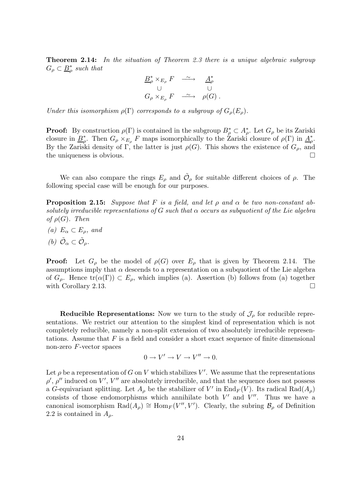Theorem 2.14: In the situation of Theorem 2.3 there is a unique algebraic subgroup  $G_{\rho} \subset \underline{B}_{\rho}^*$  $_{\rho}^{\ast}$  such that

$$
\begin{array}{ccc}\n\underline{B}_{\rho}^{*} \times_{E_{\rho}} F & \xrightarrow{\sim} & \underline{A}_{\rho}^{*} \\
\cup & & \cup & \\
G_{\rho} \times_{E_{\rho}} F & \xrightarrow{\sim} & \rho(G)\n\end{array}.
$$

Under this isomorphism  $\rho(\Gamma)$  corresponds to a subgroup of  $G_{\rho}(E_{\rho})$ .

**Proof:** By construction  $\rho(\Gamma)$  is contained in the subgroup  $B^*_{\rho} \subset A^*_{\rho}$ . Let  $G_{\rho}$  be its Zariski closure in  $B_o^*$ <sup>\*</sup><sub>ρ</sub>. Then  $G_{\rho} \times_{E_{\rho}} F$  maps isomorphically to the Zariski closure of  $\rho(\Gamma)$  in  $\underline{A}_{\rho}^{*}$ \*<br>ρ• By the Zariski density of Γ, the latter is just  $\rho(G)$ . This shows the existence of  $G_{\rho}$ , and the uniqueness is obvious.  $\Box$ 

We can also compare the rings  $E_{\rho}$  and  $\tilde{\mathcal{O}}_{\rho}$  for suitable different choices of  $\rho$ . The following special case will be enough for our purposes.

**Proposition 2.15:** Suppose that F is a field, and let  $\rho$  and  $\alpha$  be two non-constant absolutely irreducible representations of G such that  $\alpha$  occurs as subquotient of the Lie algebra of  $\rho(G)$ . Then

- (a)  $E_{\alpha} \subset E_{\alpha}$ , and
- (b)  $\tilde{\mathcal{O}}_{\alpha} \subset \tilde{\mathcal{O}}_{\rho}$ .

**Proof:** Let  $G_{\rho}$  be the model of  $\rho(G)$  over  $E_{\rho}$  that is given by Theorem 2.14. The assumptions imply that  $\alpha$  descends to a representation on a subquotient of the Lie algebra of  $G_{\rho}$ . Hence  $tr(\alpha(\Gamma)) \subset E_{\rho}$ , which implies (a). Assertion (b) follows from (a) together with Corollary 2.13.

**Reducible Representations:** Now we turn to the study of  $\mathcal{J}_{\rho}$  for reducible representations. We restrict our attention to the simplest kind of representation which is not completely reducible, namely a non-split extension of two absolutely irreducible representations. Assume that  $F$  is a field and consider a short exact sequence of finite dimensional non-zero F-vector spaces

$$
0 \to V' \to V \to V'' \to 0.
$$

Let  $\rho$  be a representation of G on V which stabilizes V'. We assume that the representations  $\rho'$ ,  $\rho''$  induced on V', V'' are absolutely irreducible, and that the sequence does not possess a G-equivariant splitting. Let  $A_{\rho}$  be the stabilizer of V' in  $\text{End}_F(V)$ . Its radical  $\text{Rad}(A_{\rho})$ consists of those endomorphisms which annihilate both  $V'$  and  $V''$ . Thus we have a canonical isomorphism  $\text{Rad}(A_{\rho}) \cong \text{Hom}_F(V'', V')$ . Clearly, the subring  $\mathcal{B}_{\rho}$  of Definition 2.2 is contained in  $A_{\rho}$ .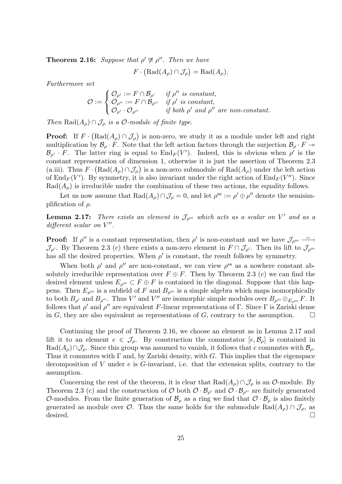**Theorem 2.16:** Suppose that  $\rho' \ncong \rho''$ . Then we have

 $F \cdot (\text{Rad}(A_{\rho}) \cap \mathcal{J}_{\rho}) = \text{Rad}(A_{\rho}).$ 

Furthermore set

$$
\mathcal{O} := \begin{cases} \mathcal{O}_{\rho'} := F \cap \mathcal{B}_{\rho'} & \text{if } \rho'' \text{ is constant,} \\ \mathcal{O}_{\rho''} := F \cap \mathcal{B}_{\rho''} & \text{if } \rho' \text{ is constant,} \\ \mathcal{O}_{\rho'} \cdot \mathcal{O}_{\rho''} & \text{if both } \rho' \text{ and } \rho'' \text{ are non-constant.} \end{cases}
$$

Then  $\text{Rad}(A_{\rho}) \cap \mathcal{J}_{\rho}$  is a  $\mathcal{O}\text{-module of finite type.}$ 

**Proof:** If  $F \cdot (\text{Rad}(A_{\rho}) \cap \mathcal{J}_{\rho})$  is non-zero, we study it as a module under left and right multiplication by  $\mathcal{B}_{\rho} \cdot F$ . Note that the left action factors through the surjection  $\mathcal{B}_{\rho} \cdot F \rightarrow$  $\mathcal{B}_{\rho'} \cdot F$ . The latter ring is equal to  $\text{End}_F(V')$ . Indeed, this is obvious when  $\rho'$  is the constant representation of dimension 1, otherwise it is just the assertion of Theorem 2.3 (a.iii). Thus  $F \cdot (\text{Rad}(A_{\rho}) \cap \mathcal{J}_{\rho})$  is a non-zero submodule of  $\text{Rad}(A_{\rho})$  under the left action of  $\text{End}_F(V')$ . By symmetry, it is also invariant under the right action of  $\text{End}_F(V'')$ . Since  $Rad(A_{\rho})$  is irreducible under the combination of these two actions, the equality follows.

Let us now assume that  $\text{Rad}(A_{\rho}) \cap \mathcal{J}_{\rho} = 0$ , and let  $\rho^{\text{ss}} := \rho' \oplus \rho''$  denote the semisimplification of  $\rho$ .

**Lemma 2.17:** There exists an element in  $\mathcal{J}_{\rho^{ss}}$  which acts as a scalar on V' and as a  $differential scalar on V''.$ 

**Proof:** If  $\rho''$  is a constant representation, then  $\rho'$  is non-constant and we have  $\mathcal{J}_{\rho^{ss}} \longrightarrow$  $\mathcal{J}_{\rho'}$ . By Theorem 2.3 (c) there exists a non-zero element in  $F \cap \mathcal{J}_{\rho'}$ . Then its lift to  $\mathcal{J}_{\rho^{ss}}$ has all the desired properties. When  $\rho'$  is constant, the result follows by symmetry.

When both  $\rho'$  and  $\rho''$  are non-constant, we can view  $\rho^{ss}$  as a nowhere constant absolutely irreducible representation over  $F \oplus F$ . Then by Theorem 2.3 (c) we can find the desired element unless  $E_{\rho^{ss}} \subset F \oplus F$  is contained in the diagonal. Suppose that this happens. Then  $E_{\rho^{\text{ss}}}$  is a subfield of F and  $B_{\rho^{\text{ss}}}$  is a simple algebra which maps isomorphically to both  $B_{\rho'}$  and  $B_{\rho''}$ . Thus V' and V'' are isomorphic simple modules over  $B_{\rho^{ss}} \otimes_{E_{\rho^{ss}}} F$ . It follows that  $\rho'$  and  $\rho''$  are equivalent F-linear representations of Γ. Since Γ is Zariski dense in G, they are also equivalent as representations of G, contrary to the assumption.  $\Box$ 

Continuing the proof of Theorem 2.16, we choose an element as in Lemma 2.17 and lift it to an element  $e \in \mathcal{J}_{\rho}$ . By construction the commutator  $[e, \mathcal{B}_{\rho}]$  is contained in  $\text{Rad}(A_{\rho})\cap \mathcal{J}_{\rho}$ . Since this group was assumed to vanish, it follows that e commutes with  $\mathcal{B}_{\rho}$ . Thus it commutes with  $\Gamma$  and, by Zariski density, with G. This implies that the eigenspace decomposition of V under  $e$  is  $G$ -invariant, i.e. that the extension splits, contrary to the assumption.

Concerning the rest of the theorem, it is clear that  $\text{Rad}(A_{\rho}) \cap \mathcal{J}_{\rho}$  is an  $\mathcal{O}\text{-module}$ . By Theorem 2.3 (c) and the construction of  $\mathcal O$  both  $\mathcal O \cdot \mathcal B_{\rho'}$  and  $\mathcal O \cdot \mathcal B_{\rho''}$  are finitely generated O-modules. From the finite generation of  $\mathcal{B}_{\rho}$  as a ring we find that  $\mathcal{O} \cdot \mathcal{B}_{\rho}$  is also finitely generated as module over  $\mathcal{O}$ . Thus the same holds for the submodule  $\text{Rad}(A_{\rho}) \cap \mathcal{J}_{\rho}$ , as  $\qquad \qquad \Box$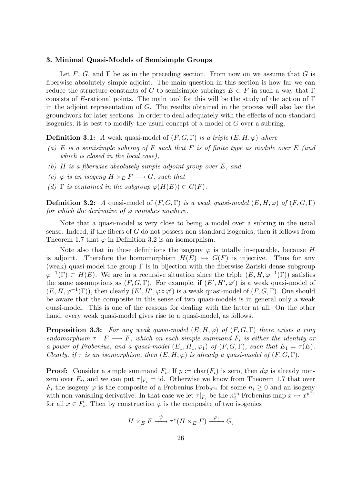# 3. Minimal Quasi-Models of Semisimple Groups

Let F, G, and  $\Gamma$  be as in the preceding section. From now on we assume that G is fiberwise absolutely simple adjoint. The main question in this section is how far we can reduce the structure constants of G to semisimple subrings  $E \subset F$  in such a way that  $\Gamma$ consists of E-rational points. The main tool for this will be the study of the action of  $\Gamma$ in the adjoint representation of G. The results obtained in the process will also lay the groundwork for later sections. In order to deal adequately with the effects of non-standard isogenies, it is best to modify the usual concept of a model of G over a subring.

**Definition 3.1:** A weak quasi-model of  $(F, G, \Gamma)$  is a triple  $(E, H, \varphi)$  where

- (a) E is a semisimple subring of F such that F is of finite type as module over  $E$  (and which is closed in the local case),
- (b) H is a fiberwise absolutely simple adjoint group over E, and
- (c)  $\varphi$  is an isogeny  $H \times_E F \longrightarrow G$ , such that
- (d)  $\Gamma$  is contained in the subgroup  $\varphi(H(E)) \subset G(F)$ .

**Definition 3.2:** A quasi-model of  $(F, G, \Gamma)$  is a weak quasi-model  $(E, H, \varphi)$  of  $(F, G, \Gamma)$ for which the derivative of  $\varphi$  vanishes nowhere.

Note that a quasi-model is very close to being a model over a subring in the usual sense. Indeed, if the fibers of  $G$  do not possess non-standard isogenies, then it follows from Theorem 1.7 that  $\varphi$  in Definition 3.2 is an isomorphism.

Note also that in these definitions the isogeny  $\varphi$  is totally inseparable, because H is adjoint. Therefore the homomorphism  $H(E) \hookrightarrow G(F)$  is injective. Thus for any (weak) quasi-model the group  $\Gamma$  is in bijection with the fiberwise Zariski dense subgroup  $\varphi^{-1}(\Gamma) \subset H(E)$ . We are in a recursive situation since the triple  $(E, H, \varphi^{-1}(\Gamma))$  satisfies the same assumptions as  $(F, G, \Gamma)$ . For example, if  $(E', H', \varphi')$  is a weak quasi-model of  $(E, H, \varphi^{-1}(\Gamma))$ , then clearly  $(E', H', \varphi \circ \varphi')$  is a weak quasi-model of  $(F, G, \Gamma)$ . One should be aware that the composite in this sense of two quasi-models is in general only a weak quasi-model. This is one of the reasons for dealing with the latter at all. On the other hand, every weak quasi-model gives rise to a quasi-model, as follows.

**Proposition 3.3:** For any weak quasi-model  $(E, H, \varphi)$  of  $(F, G, \Gamma)$  there exists a ring endomorphism  $\tau : F \longrightarrow F$ , which on each simple summand  $F_i$  is either the identity or a power of Frobenius, and a quasi-model  $(E_1, H_1, \varphi_1)$  of  $(F, G, \Gamma)$ , such that  $E_1 = \tau(E)$ . Clearly, if  $\tau$  is an isomorphism, then  $(E, H, \varphi)$  is already a quasi-model of  $(F, G, \Gamma)$ .

**Proof:** Consider a simple summand  $F_i$ . If  $p := \text{char}(F_i)$  is zero, then  $d\varphi$  is already nonzero over  $F_i$ , and we can put  $\tau|_{F_i} = id$ . Otherwise we know from Theorem 1.7 that over  $F_i$  the isogeny  $\varphi$  is the composite of a Frobenius Frob<sub>p<sup>n<sub>i</sub></sub> for some  $n_i \geq 0$  and an isogeny</sub></sup> with non-vanishing derivative. In that case we let  $\tau|_{F_i}$  be the  $n_i^{\text{th}}$  Frobenius map  $x \mapsto x^{p^{n_i}}$ for all  $x \in F_i$ . Then by construction  $\varphi$  is the composite of two isogenies

$$
H \times_E F \xrightarrow{\psi} \tau^*(H \times_E F) \xrightarrow{\varphi_1} G,
$$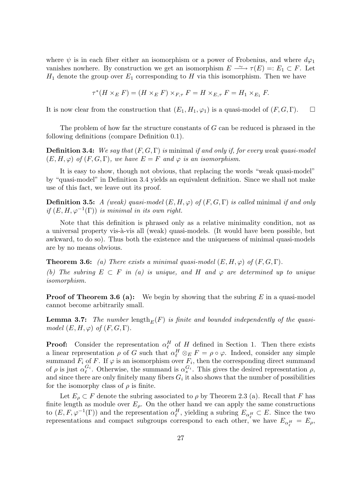where  $\psi$  is in each fiber either an isomorphism or a power of Frobenius, and where  $d\varphi_1$ vanishes nowhere. By construction we get an isomorphism  $E \rightharpoonup \tau(E) =: E_1 \subset F$ . Let  $H_1$  denote the group over  $E_1$  corresponding to H via this isomorphism. Then we have

$$
\tau^*(H \times_E F) = (H \times_E F) \times_{F,\tau} F = H \times_{E,\tau} F = H_1 \times_{E_1} F.
$$

It is now clear from the construction that  $(E_1, H_1, \varphi_1)$  is a quasi-model of  $(F, G, \Gamma)$ .  $\Box$ 

The problem of how far the structure constants of G can be reduced is phrased in the following definitions (compare Definition 0.1).

**Definition 3.4:** We say that  $(F, G, \Gamma)$  is minimal if and only if, for every weak quasi-model  $(E, H, \varphi)$  of  $(F, G, \Gamma)$ , we have  $E = F$  and  $\varphi$  is an isomorphism.

It is easy to show, though not obvious, that replacing the words "weak quasi-model" by "quasi-model" in Definition 3.4 yields an equivalent definition. Since we shall not make use of this fact, we leave out its proof.

**Definition 3.5:** A (weak) quasi-model  $(E, H, \varphi)$  of  $(F, G, \Gamma)$  is called minimal if and only if  $(E, H, \varphi^{-1}(\Gamma))$  is minimal in its own right.

Note that this definition is phrased only as a relative minimality condition, not as a universal property vis-à-vis all (weak) quasi-models. (It would have been possible, but awkward, to do so). Thus both the existence and the uniqueness of minimal quasi-models are by no means obvious.

**Theorem 3.6:** (a) There exists a minimal quasi-model  $(E, H, \varphi)$  of  $(F, G, \Gamma)$ . (b) The subring  $E \subset F$  in (a) is unique, and H and  $\varphi$  are determined up to unique isomorphism.

**Proof of Theorem 3.6 (a):** We begin by showing that the subring  $E$  in a quasi-model cannot become arbitrarily small.

**Lemma 3.7:** The number length<sub>E</sub>(F) is finite and bounded independently of the quasimodel  $(E, H, \varphi)$  of  $(F, G, \Gamma)$ .

**Proof:** Consider the representation  $\alpha_{\ell}^H$  of H defined in Section 1. Then there exists a linear representation  $\rho$  of G such that  $\alpha_{\ell}^H \otimes_E F = \rho \circ \varphi$ . Indeed, consider any simple summand  $F_i$  of F. If  $\varphi$  is an isomorphism over  $F_i$ , then the corresponding direct summand of  $\rho$  is just  $\alpha_{\ell}^{G_i}$  $\mathcal{C}_i$ . Otherwise, the summand is  $\alpha_s^{G_i}$ . This gives the desired representation  $\rho$ , and since there are only finitely many fibers  $G_i$  it also shows that the number of possibilities for the isomorphy class of  $\rho$  is finite.

Let  $E_{\rho} \subset F$  denote the subring associated to  $\rho$  by Theorem 2.3 (a). Recall that F has finite length as module over  $E_{\rho}$ . On the other hand we can apply the same constructions to  $(E, F, \varphi^{-1}(\Gamma))$  and the representation  $\alpha_{\ell}^H$ , yielding a subring  $E_{\alpha_{\ell}^H} \subset E$ . Since the two representations and compact subgroups correspond to each other, we have  $E_{\alpha_i^H} = E_{\rho}$ ,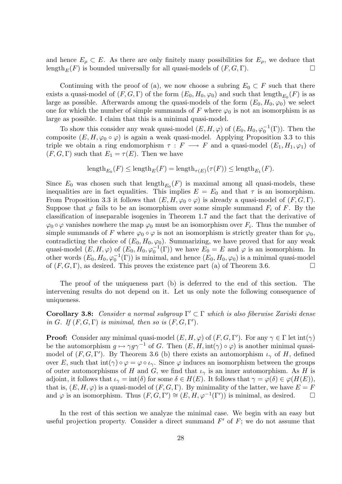and hence  $E_{\rho} \subset E$ . As there are only finitely many possibilities for  $E_{\rho}$ , we deduce that length<sub>E</sub>(F) is bounded universally for all quasi-models of  $(F, G, \Gamma)$ .

Continuing with the proof of (a), we now choose a subring  $E_0 \subset F$  such that there exists a quasi-model of  $(F, G, \Gamma)$  of the form  $(E_0, H_0, \varphi_0)$  and such that  $\text{length}_{E_0}(F)$  is as large as possible. Afterwards among the quasi-models of the form  $(E_0, H_0, \varphi_0)$  we select one for which the number of simple summands of F where  $\varphi_0$  is not an isomorphism is as large as possible. I claim that this is a minimal quasi-model.

To show this consider any weak quasi-model  $(E, H, \varphi)$  of  $(E_0, H_0, \varphi_0^{-1}(\Gamma))$ . Then the composite  $(E, H, \varphi_0 \circ \varphi)$  is again a weak quasi-model. Applying Proposition 3.3 to this triple we obtain a ring endomorphism  $\tau : F \longrightarrow F$  and a quasi-model  $(E_1, H_1, \varphi_1)$  of  $(F, G, \Gamma)$  such that  $E_1 = \tau(E)$ . Then we have

$$
length_{E_0}(F) \leq length_E(F) = length_{\tau(E)}(\tau(F)) \leq length_{E_1}(F).
$$

Since  $E_0$  was chosen such that  $\text{length}_{E_0}(F)$  is maximal among all quasi-models, these inequalities are in fact equalities. This implies  $E = E_0$  and that  $\tau$  is an isomorphism. From Proposition 3.3 it follows that  $(E, H, \varphi_0 \circ \varphi)$  is already a quasi-model of  $(F, G, \Gamma)$ . Suppose that  $\varphi$  fails to be an isomorphism over some simple summand  $F_i$  of F. By the classification of inseparable isogenies in Theorem 1.7 and the fact that the derivative of  $\varphi_0 \circ \varphi$  vanishes nowhere the map  $\varphi_0$  must be an isomorphism over  $F_i$ . Thus the number of simple summands of F where  $\varphi_0 \circ \varphi$  is not an isomorphism is strictly greater than for  $\varphi_0$ , contradicting the choice of  $(E_0, H_0, \varphi_0)$ . Summarizing, we have proved that for any weak quasi-model  $(E, H, \varphi)$  of  $(E_0, H_0, \varphi_0^{-1}(\Gamma))$  we have  $E_0 = E$  and  $\varphi$  is an isomorphism. In other words  $(E_0, H_0, \varphi_0^{-1}(\Gamma))$  is minimal, and hence  $(E_0, H_0, \varphi_0)$  is a minimal quasi-model of  $(F, G, \Gamma)$ , as desired. This proves the existence part (a) of Theorem 3.6.

The proof of the uniqueness part (b) is deferred to the end of this section. The intervening results do not depend on it. Let us only note the following consequence of uniqueness.

Corollary 3.8: Consider a normal subgroup  $\Gamma' \subset \Gamma$  which is also fiberwise Zariski dense in G. If  $(F, G, \Gamma)$  is minimal, then so is  $(F, G, \Gamma')$ .

**Proof:** Consider any minimal quasi-model  $(E, H, \varphi)$  of  $(F, G, \Gamma')$ . For any  $\gamma \in \Gamma$  let  $\text{int}(\gamma)$ be the automorphism  $g \mapsto \gamma g \gamma^{-1}$  of G. Then  $(E, H, \text{int}(\gamma) \circ \varphi)$  is another minimal quasimodel of  $(F, G, \Gamma')$ . By Theorem 3.6 (b) there exists an automorphism  $\iota_{\gamma}$  of H, defined over E, such that  $\text{int}(\gamma) \circ \varphi = \varphi \circ \iota_{\gamma}$ . Since  $\varphi$  induces an isomorphism between the groups of outer automorphisms of H and G, we find that  $\iota_{\gamma}$  is an inner automorphism. As H is adjoint, it follows that  $\iota_{\gamma} = \text{int}(\delta)$  for some  $\delta \in H(E)$ . It follows that  $\gamma = \varphi(\delta) \in \varphi(H(E)),$ that is,  $(E, H, \varphi)$  is a quasi-model of  $(F, G, \Gamma)$ . By minimality of the latter, we have  $E = F$ and  $\varphi$  is an isomorphism. Thus  $(F, G, \Gamma') \cong (E, H, \varphi^{-1}(\Gamma'))$  is minimal, as desired.  $\square$ 

In the rest of this section we analyze the minimal case. We begin with an easy but useful projection property. Consider a direct summand  $F'$  of  $F$ ; we do not assume that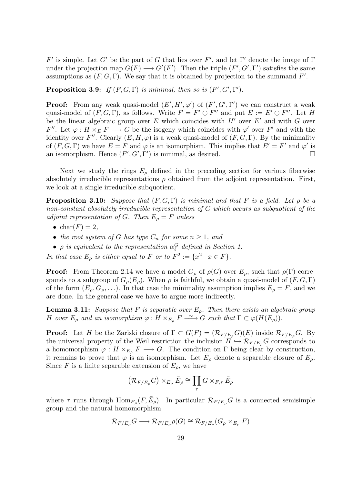F' is simple. Let G' be the part of G that lies over F', and let Γ' denote the image of Γ under the projection map  $G(F) \longrightarrow G'(F')$ . Then the triple  $(F', G', \Gamma')$  satisfies the same assumptions as  $(F, G, \Gamma)$ . We say that it is obtained by projection to the summand  $F'$ .

**Proposition 3.9:** If  $(F, G, \Gamma)$  is minimal, then so is  $(F', G', \Gamma')$ .

**Proof:** From any weak quasi-model  $(E', H', \varphi')$  of  $(F', G', \Gamma')$  we can construct a weak quasi-model of  $(F, G, \Gamma)$ , as follows. Write  $F = F' \oplus F''$  and put  $E := E' \oplus F''$ . Let H be the linear algebraic group over E which coincides with  $H'$  over  $E'$  and with G over F''. Let  $\varphi: H \times_E F \longrightarrow G$  be the isogeny which coincides with  $\varphi'$  over F' and with the identity over F''. Clearly  $(E, H, \varphi)$  is a weak quasi-model of  $(F, G, \Gamma)$ . By the minimality of  $(F, G, \Gamma)$  we have  $E = F$  and  $\varphi$  is an isomorphism. This implies that  $E' = F'$  and  $\varphi'$  is an isomorphism. Hence  $(F', G', \Gamma')$  is minimal, as desired.

Next we study the rings  $E_{\rho}$  defined in the preceding section for various fiberwise absolutely irreducible representations  $\rho$  obtained from the adjoint representation. First, we look at a single irreducible subquotient.

**Proposition 3.10:** Suppose that  $(F, G, \Gamma)$  is minimal and that F is a field. Let  $\rho$  be a non-constant absolutely irreducible representation of G which occurs as subquotient of the adjoint representation of G. Then  $E_{\rho} = F$  unless

- $\bullet$  char( $F$ ) = 2,
- the root system of G has type  $C_n$  for some  $n \geq 1$ , and
- $\rho$  is equivalent to the representation  $\alpha_{\ell}^G$  defined in Section 1.

In that case  $E_{\rho}$  is either equal to F or to  $F^2 := \{x^2 \mid x \in F\}.$ 

**Proof:** From Theorem 2.14 we have a model  $G_{\rho}$  of  $\rho(G)$  over  $E_{\rho}$ , such that  $\rho(\Gamma)$  corresponds to a subgroup of  $G_{\rho}(E_{\rho})$ . When  $\rho$  is faithful, we obtain a quasi-model of  $(F, G, \Gamma)$ of the form  $(E_{\rho}, G_{\rho}, \ldots)$ . In that case the minimality assumption implies  $E_{\rho} = F$ , and we are done. In the general case we have to argue more indirectly.

**Lemma 3.11:** Suppose that F is separable over  $E_{\rho}$ . Then there exists an algebraic group H over  $E_{\rho}$  and an isomorphism  $\varphi: H \times_{E_{\rho}} F \longrightarrow G$  such that  $\Gamma \subset \varphi(H(E_{\rho}))$ .

**Proof:** Let H be the Zariski closure of  $\Gamma \subset G(F) = (\mathcal{R}_{F/E_o}G)(E)$  inside  $\mathcal{R}_{F/E_o}G$ . By the universal property of the Weil restriction the inclusion  $H \hookrightarrow \mathcal{R}_{F/E_{\rho}}G$  corresponds to a homomorphism  $\varphi: H \times_{E_{\rho}} F \longrightarrow G$ . The condition on  $\Gamma$  being clear by construction, it remains to prove that  $\varphi$  is an isomorphism. Let  $\bar{E}_{\rho}$  denote a separable closure of  $E_{\rho}$ . Since F is a finite separable extension of  $E_{\rho}$ , we have

$$
\left(\mathcal{R}_{F/E_{\rho}}G\right)\times_{E_{\rho}}\bar{E}_{\rho}\cong\prod_{\tau}G\times_{F,\tau}\bar{E}_{\rho}
$$

where  $\tau$  runs through  $\text{Hom}_{E_{\rho}}(F,\bar{E}_{\rho})$ . In particular  $\mathcal{R}_{F/E_{\rho}}G$  is a connected semisimple group and the natural homomorphism

$$
\mathcal{R}_{F/E_{\rho}}G \longrightarrow \mathcal{R}_{F/E_{\rho}}\rho(G) \cong \mathcal{R}_{F/E_{\rho}}(G_{\rho} \times_{E_{\rho}} F)
$$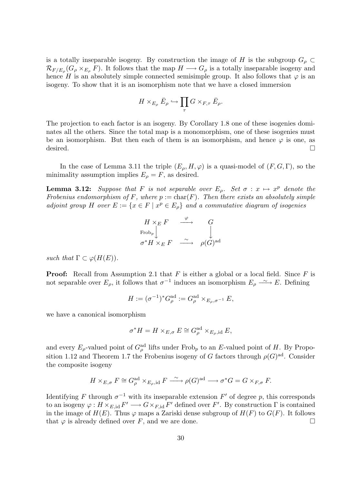is a totally inseparable isogeny. By construction the image of H is the subgroup  $G_{\rho} \subset$  $\mathcal{R}_{F/E_{\rho}}(G_{\rho} \times_{E_{\rho}} F)$ . It follows that the map  $H \longrightarrow G_{\rho}$  is a totally inseparable isogeny and hence H is an absolutely simple connected semisimple group. It also follows that  $\varphi$  is an isogeny. To show that it is an isomorphism note that we have a closed immersion

$$
H\times_{E_{\rho}}\bar{E}_{\rho}\hookrightarrow\prod_{\tau}G\times_{F,\tau}\bar{E}_{\rho}.
$$

The projection to each factor is an isogeny. By Corollary 1.8 one of these isogenies dominates all the others. Since the total map is a monomorphism, one of these isogenies must be an isomorphism. But then each of them is an isomorphism, and hence  $\varphi$  is one, as desired.  $\Box$ 

In the case of Lemma 3.11 the triple  $(E_o, H, \varphi)$  is a quasi-model of  $(F, G, \Gamma)$ , so the minimality assumption implies  $E_{\rho} = F$ , as desired.

**Lemma 3.12:** Suppose that F is not separable over  $E_{\rho}$ . Set  $\sigma : x \mapsto x^p$  denote the Frobenius endomorphism of F, where  $p := char(F)$ . Then there exists an absolutely simple adjoint group H over  $E := \{x \in F \mid x^p \in E_\rho\}$  and a commutative diagram of isogenies

$$
\begin{array}{ccc}\nH \times_E F & \xrightarrow{\varphi} & G \\
\text{Frob}_p \downarrow & & \downarrow \\
\sigma^* H \times_E F & \xrightarrow{\sim} & \rho(G)^{\text{ad}}\n\end{array}
$$

such that  $\Gamma \subset \varphi(H(E)).$ 

**Proof:** Recall from Assumption 2.1 that  $F$  is either a global or a local field. Since  $F$  is not separable over  $E_{\rho}$ , it follows that  $\sigma^{-1}$  induces an isomorphism  $E_{\rho} \longrightarrow E$ . Defining

$$
H:=(\sigma^{-1})^*G^{\mathrm{ad}}_\rho:=G^{\mathrm{ad}}_\rho\times_{E_\rho,\sigma^{-1}}E,
$$

we have a canonical isomorphism

$$
\sigma^* H = H \times_{E,\sigma} E \cong G_{\rho}^{\rm ad} \times_{E_{\rho},\rm id} E,
$$

and every  $E_{\rho}$ -valued point of  $G_{\rho}^{\text{ad}}$  lifts under Frob<sub>p</sub> to an E-valued point of H. By Proposition 1.12 and Theorem 1.7 the Frobenius isogeny of G factors through  $\rho(G)^{ad}$ . Consider the composite isogeny

$$
H \times_{E,\sigma} F \cong G_{\rho}^{\mathrm{ad}} \times_{E_{\rho},\mathrm{id}} F \xrightarrow{\sim} \rho(G)^{\mathrm{ad}} \longrightarrow \sigma^*G = G \times_{F,\sigma} F.
$$

Identifying F through  $\sigma^{-1}$  with its inseparable extension F' of degree p, this corresponds to an isogeny  $\varphi: H \times_{E,\mathrm{id}} F' \longrightarrow G \times_{F,\mathrm{id}} F'$  defined over  $F'$ . By construction  $\Gamma$  is contained in the image of  $H(E)$ . Thus  $\varphi$  maps a Zariski dense subgroup of  $H(F)$  to  $G(F)$ . It follows that  $\varphi$  is already defined over F, and we are done.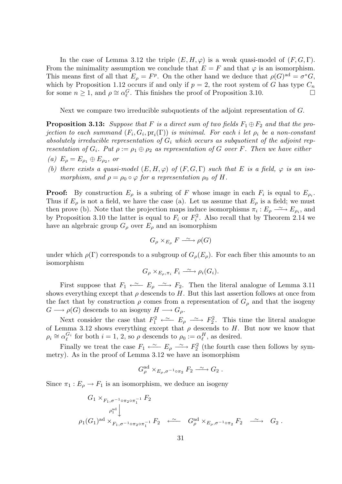In the case of Lemma 3.12 the triple  $(E, H, \varphi)$  is a weak quasi-model of  $(F, G, \Gamma)$ . From the minimality assumption we conclude that  $E = F$  and that  $\varphi$  is an isomorphism. This means first of all that  $E_{\rho} = F^p$ . On the other hand we deduce that  $\rho(G)^{ad} = \sigma^* G$ , which by Proposition 1.12 occurs if and only if  $p = 2$ , the root system of G has type  $C_n$ for some  $n \ge 1$ , and  $\rho \cong \alpha_{\ell}^G$ . This finishes the proof of Proposition 3.10.

Next we compare two irreducible subquotients of the adjoint representation of G.

**Proposition 3.13:** Suppose that F is a direct sum of two fields  $F_1 \oplus F_2$  and that the projection to each summand  $(F_i,G_i,\mathrm{pr}_i(\Gamma))$  is minimal. For each  $i$  let  $\rho_i$  be a non-constant absolutely irreducible representation of  $G_i$  which occurs as subquotient of the adjoint representation of  $G_i$ . Put  $\rho := \rho_1 \oplus \rho_2$  as representation of G over F. Then we have either

- (a)  $E_{\rho} = E_{\rho_1} \oplus E_{\rho_2}$ , or
- (b) there exists a quasi-model  $(E, H, \varphi)$  of  $(F, G, \Gamma)$  such that E is a field,  $\varphi$  is an isomorphism, and  $\rho = \rho_0 \circ \varphi$  for a representation  $\rho_0$  of H.

**Proof:** By construction  $E_{\rho}$  is a subring of F whose image in each  $F_i$  is equal to  $E_{\rho_i}$ . Thus if  $E_\rho$  is not a field, we have the case (a). Let us assume that  $E_\rho$  is a field; we must then prove (b). Note that the projection maps induce isomorphisms  $\pi_i : E_\rho \longrightarrow E_{\rho_i}$ , and by Proposition 3.10 the latter is equal to  $F_i$  or  $F_i^2$ . Also recall that by Theorem 2.14 we have an algebraic group  $G_{\rho}$  over  $E_{\rho}$  and an isomorphism

$$
G_{\rho} \times_{E_{\rho}} F \xrightarrow{\sim} \rho(G)
$$

under which  $\rho(\Gamma)$  corresponds to a subgroup of  $G_{\rho}(E_{\rho})$ . For each fiber this amounts to an isomorphism

$$
G_{\rho} \times_{E_{\rho}, \pi_i} F_i \xrightarrow{\sim} \rho_i(G_i).
$$

First suppose that  $F_1 \stackrel{\sim}{\longleftarrow} E_\rho \stackrel{\sim}{\longrightarrow} F_2$ . Then the literal analogue of Lemma 3.11 shows everything except that  $\rho$  descends to H. But this last assertion follows at once from the fact that by construction  $\rho$  comes from a representation of  $G_{\rho}$  and that the isogeny  $G \longrightarrow \rho(G)$  descends to an isogeny  $H \longrightarrow G_{\rho}$ .

Next consider the case that  $F_1^2 \leftrightarrow F_2^2$ . This time the literal analogue of Lemma 3.12 shows everything except that  $\rho$  descends to H. But now we know that  $\rho_i \cong \alpha_{\ell}^{G_i}$  $\mathcal{G}_i$  for both  $i = 1, 2$ , so  $\rho$  descends to  $\rho_0 := \alpha_{\ell}^H$ , as desired.

Finally we treat the case  $F_1 \stackrel{\sim}{\longleftarrow} F_\rho \stackrel{\sim}{\longrightarrow} F_2^2$  (the fourth case then follows by symmetry). As in the proof of Lemma 3.12 we have an isomorphism

$$
G_{\rho}^{\text{ad}} \times_{E_{\rho}, \sigma^{-1} \circ \pi_2} F_2 \xrightarrow{\sim} G_2.
$$

Since  $\pi_1 : E_\rho \to F_1$  is an isomorphism, we deduce an isogeny

$$
G_1 \times_{F_1, \sigma^{-1} \circ \pi_2 \circ \pi_1^{-1}} F_2
$$
  
\n
$$
\rho_1^{\text{ad}} \downarrow
$$
  
\n
$$
\rho_1(G_1)^{\text{ad}} \times_{F_1, \sigma^{-1} \circ \pi_2 \circ \pi_1^{-1}} F_2 \stackrel{\sim}{\longleftarrow} G_{\rho}^{\text{ad}} \times_{E_{\rho}, \sigma^{-1} \circ \pi_2} F_2 \stackrel{\sim}{\longrightarrow} G_2.
$$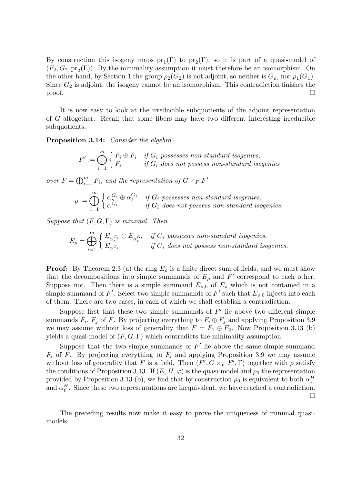By construction this isogeny maps  $pr_1(\Gamma)$  to  $pr_2(\Gamma)$ , so it is part of a quasi-model of  $(F_2, G_2, pr_2(\Gamma))$ . By the minimality assumption it must therefore be an isomorphism. On the other hand, by Section 1 the group  $\rho_2(G_2)$  is not adjoint, so neither is  $G_\rho$ , nor  $\rho_1(G_1)$ . Since  $G_2$  is adjoint, the isogeny cannot be an isomorphism. This contradiction finishes the  $\Box$ 

It is now easy to look at the irreducible subquotients of the adjoint representation of G altogether. Recall that some fibers may have two different interesting irreducible subquotients.

Proposition 3.14: Consider the algebra

$$
F':=\bigoplus_{i=1}^m\left\{\begin{matrix}F_i\oplus F_i&\textit{if }G_i\textit{ possesses non-standard isogenies,}\\F_i&\textit{if }G_i\textit{ does not possess non-standard isogenies}\end{matrix}\right.
$$

over  $F = \bigoplus_{i=1}^m F_i$ , and the representation of  $G \times_F F'$ 

$$
\rho := \bigoplus_{i=1}^m \begin{cases} \alpha_s^{G_i} \oplus \alpha_\ell^{G_i} & \text{if } G_i \text{ possesses non-standard isogenies,} \\ \alpha^{G_i} & \text{if } G_i \text{ does not possess non-standard isogenies.} \end{cases}
$$

Suppose that  $(F, G, \Gamma)$  is minimal. Then

$$
E_{\rho} = \bigoplus_{i=1}^{m} \begin{cases} E_{\alpha_s^{G_i}} \oplus E_{\alpha_\ell^{G_i}} & \text{if } G_i \text{ possesses non-standard isogenies,} \\ E_{\alpha^{G_i}} & \text{if } G_i \text{ does not possess non-standard isogenies.} \end{cases}
$$

**Proof:** By Theorem 2.3 (a) the ring  $E_{\rho}$  is a finite direct sum of fields, and we must show that the decompositions into simple summands of  $E_{\rho}$  and  $F'$  correspond to each other. Suppose not. Then there is a simple summand  $E_{\rho,0}$  of  $E_{\rho}$  which is not contained in a simple summand of F'. Select two simple summands of F' such that  $E_{\rho,0}$  injects into each of them. There are two cases, in each of which we shall establish a contradiction.

Suppose first that these two simple summands of  $F'$  lie above two different simple summands  $F_i$ ,  $F_j$  of F. By projecting everything to  $F_i \oplus F_j$  and applying Proposition 3.9 we may assume without loss of generality that  $F = F_1 \oplus F_2$ . Now Proposition 3.13 (b) yields a quasi-model of  $(F, G, \Gamma)$  which contradicts the minimality assumption.

Suppose that the two simple summands of  $F'$  lie above the same simple summand  $F_i$  of F. By projecting everything to  $F_i$  and applying Proposition 3.9 we may assume without loss of generality that F is a field. Then  $(F', G \times_F F', \Gamma)$  together with  $\rho$  satisfy the conditions of Proposition 3.13. If  $(E, H, \varphi)$  is the quasi-model and  $\rho_0$  the representation provided by Proposition 3.13 (b), we find that by construction  $\rho_0$  is equivalent to both  $\alpha_s^H$ and  $\alpha_{\ell}^H$ . Since these two representations are inequivalent, we have reached a contradiction.  $\Box$ 

The preceding results now make it easy to prove the uniqueness of minimal quasimodels.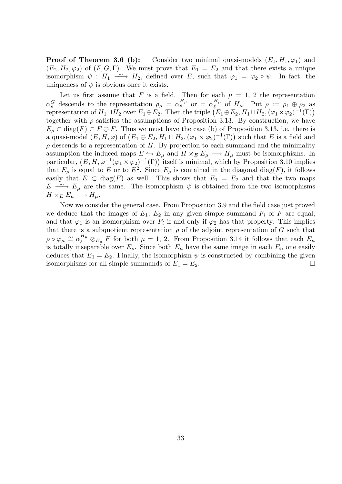**Proof of Theorem 3.6 (b):** Consider two minimal quasi-models  $(E_1, H_1, \varphi_1)$  and  $(E_2, H_2, \varphi_2)$  of  $(F, G, \Gamma)$ . We must prove that  $E_1 = E_2$  and that there exists a unique isomorphism  $\psi : H_1 \longrightarrow H_2$ , defined over E, such that  $\varphi_1 = \varphi_2 \circ \psi$ . In fact, the uniqueness of  $\psi$  is obvious once it exists.

Let us first assume that F is a field. Then for each  $\mu = 1, 2$  the representation  $\alpha_s^G$  descends to the representation  $\rho_\mu = \alpha_s^{H_\mu}$  or  $= \alpha_\ell^{H_\mu}$  $\iota_{\ell}^{H_{\mu}}$  of  $H_{\mu}$ . Put  $\rho := \rho_1 \oplus \rho_2$  as representation of  $H_1 \sqcup H_2$  over  $E_1 \oplus E_2$ . Then the triple  $(E_1 \oplus E_2, H_1 \sqcup H_2, (\varphi_1 \times \varphi_2)^{-1}(\Gamma))$ together with  $\rho$  satisfies the assumptions of Proposition 3.13. By construction, we have  $E_{\rho} \subset \text{diag}(F) \subset F \oplus F$ . Thus we must have the case (b) of Proposition 3.13, i.e. there is a quasi-model  $(E, H, \varphi)$  of  $(E_1 \oplus E_2, H_1 \sqcup H_2, (\varphi_1 \times \varphi_2)^{-1}(\Gamma))$  such that E is a field and  $\rho$  descends to a representation of H. By projection to each summand and the minimality assumption the induced maps  $E \hookrightarrow E_{\mu}$  and  $H \times_E E_{\mu} \longrightarrow H_{\mu}$  must be isomorphisms. In particular,  $(E, H, \varphi^{-1}(\varphi_1 \times \varphi_2)^{-1}(\Gamma))$  itself is minimal, which by Proposition 3.10 implies that  $E_{\rho}$  is equal to E or to  $E^2$ . Since  $E_{\rho}$  is contained in the diagonal diag(F), it follows easily that  $E \subset diag(F)$  as well. This shows that  $E_1 = E_2$  and that the two maps  $E \rightharpoonup E_{\mu}$  are the same. The isomorphism  $\psi$  is obtained from the two isomorphisms  $H \times_E E_\mu \longrightarrow H_\mu.$ 

Now we consider the general case. From Proposition 3.9 and the field case just proved we deduce that the images of  $E_1$ ,  $E_2$  in any given simple summand  $F_i$  of F are equal, and that  $\varphi_1$  is an isomorphism over  $F_i$  if and only if  $\varphi_2$  has that property. This implies that there is a subquotient representation  $\rho$  of the adjoint representation of G such that  $\rho \circ \varphi_{\mu} \cong \alpha_{\ell}^{H_{\mu}} \otimes_{E_{\mu}} F$  for both  $\mu = 1, 2$ . From Proposition 3.14 it follows that each  $E_{\mu}$ is totally inseparable over  $E_{\rho}$ . Since both  $E_{\mu}$  have the same image in each  $F_i$ , one easily deduces that  $E_1 = E_2$ . Finally, the isomorphism  $\psi$  is constructed by combining the given isomorphisms for all simple summands of  $E_1 = E_2$ .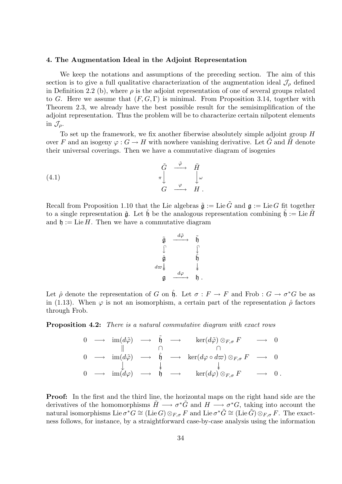#### 4. The Augmentation Ideal in the Adjoint Representation

We keep the notations and assumptions of the preceding section. The aim of this section is to give a full qualitative characterization of the augmentation ideal  $\mathcal{J}_{\rho}$  defined in Definition 2.2 (b), where  $\rho$  is the adjoint representation of one of several groups related to G. Here we assume that  $(F, G, \Gamma)$  is minimal. From Proposition 3.14, together with Theorem 2.3, we already have the best possible result for the semisimplification of the adjoint representation. Thus the problem will be to characterize certain nilpotent elements in  $\mathcal{J}_o$ .

To set up the framework, we fix another fiberwise absolutely simple adjoint group H over F and an isogeny  $\varphi: G \to H$  with nowhere vanishing derivative. Let G and H denote their universal coverings. Then we have a commutative diagram of isogenies

(4.1) 
$$
\begin{array}{ccc}\n\tilde{G} & \stackrel{\tilde{\varphi}}{\longrightarrow} & \tilde{H} \\
\pi & & \downarrow \omega \\
G & \stackrel{\varphi}{\longrightarrow} & H \ .\n\end{array}
$$

Recall from Proposition 1.10 that the Lie algebras  $\tilde{\mathfrak{g}} := \text{Lie } \tilde{G}$  and  $\mathfrak{g} := \text{Lie } G$  fit together to a single representation  $\hat{\mathfrak{g}}$ . Let  $\hat{\mathfrak{h}}$  be the analogous representation combining  $\mathfrak{h} := \text{Lie } H$ and  $\mathfrak{h} := \text{Lie } H$ . Then we have a commutative diagram

$$
\begin{array}{ccc}\n\tilde{\mathfrak{g}} & \xrightarrow{d\tilde{\varphi}} & \tilde{\mathfrak{h}} \\
\downarrow & & \downarrow \\
\hat{\mathfrak{g}} & & \hat{\mathfrak{h}} \\
d\varpi\downarrow & & \downarrow \\
\mathfrak{g} & \xrightarrow{d\varphi} & \mathfrak{h} \n\end{array}
$$

Let  $\hat{\rho}$  denote the representation of G on  $\hat{\mathfrak{h}}$ . Let  $\sigma : F \to F$  and Frob :  $G \to \sigma^*G$  be as in (1.13). When  $\varphi$  is not an isomorphism, a certain part of the representation  $\hat{\rho}$  factors through Frob.

Proposition 4.2: There is a natural commutative diagram with exact rows

$$
\begin{array}{ccccccc}\n0 & \longrightarrow & \operatorname{im}(d\tilde{\varphi}) & \longrightarrow & \tilde{\mathfrak{h}} & \longrightarrow & \ker(d\tilde{\varphi}) \otimes_{F,\sigma} F & \longrightarrow & 0 \\
0 & \longrightarrow & \operatorname{im}(d\tilde{\varphi}) & \longrightarrow & \hat{\mathfrak{h}} & \longrightarrow & \ker(d\varphi \circ d\varpi) \otimes_{F,\sigma} F & \longrightarrow & 0 \\
0 & \longrightarrow & \operatorname{im}(d\varphi) & \longrightarrow & \hat{\mathfrak{h}} & \longrightarrow & \ker(d\varphi) \otimes_{F,\sigma} F & \longrightarrow & 0 \,.\n\end{array}
$$

Proof: In the first and the third line, the horizontal maps on the right hand side are the derivatives of the homomorphisms  $\tilde{H} \longrightarrow \sigma^* \tilde{G}$  and  $H \longrightarrow \sigma^* G$ , taking into account the natural isomorphisms Lie  $\sigma^*G\cong(\text{Lie}\,G)\otimes_{F,\sigma}F$  and Lie  $\sigma^*\tilde{G}\cong(\text{Lie}\,\tilde{G})\otimes_{F,\sigma}F$ . The exactness follows, for instance, by a straightforward case-by-case analysis using the information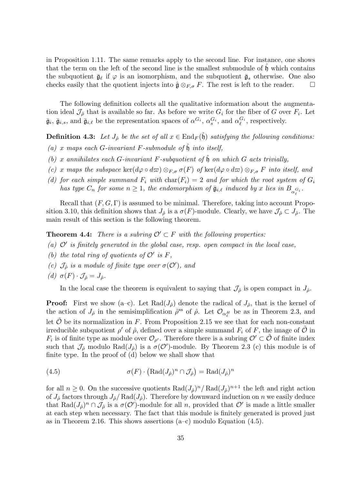in Proposition 1.11. The same remarks apply to the second line. For instance, one shows that the term on the left of the second line is the smallest submodule of  $\mathfrak h$  which contains the subquotient  $\bar{\mathfrak{g}}_{\ell}$  if  $\varphi$  is an isomorphism, and the subquotient  $\bar{\mathfrak{g}}_s$  otherwise. One also checks easily that the quotient injects into  $\hat{\mathfrak{g}} \otimes_{F,\sigma} F$ . The rest is left to the reader.  $\Box$ 

The following definition collects all the qualitative information about the augmentation ideal  $\mathcal{J}_{\hat{\rho}}$  that is available so far. As before we write  $G_i$  for the fiber of G over  $F_i$ . Let  $\bar{\mathfrak{g}}_i$ ,  $\bar{\mathfrak{g}}_{i,s}$ , and  $\bar{\mathfrak{g}}_{i,\ell}$  be the representation spaces of  $\alpha^{G_i}$ ,  $\alpha_s^{G_i}$ , and  $\alpha_{\ell}^{G_i}$  $\mathcal{C}^{i}$ , respectively.

**Definition 4.3:** Let  $J_{\hat{\rho}}$  be the set of all  $x \in$  End<sub>F</sub>( $\hat{\mathfrak{h}}$ ) satisfying the following conditions:

- (a) x maps each G-invariant F-submodule of  $\hat{\mathfrak{h}}$  into itself,
- (b) x annihilates each G-invariant F-subquotient of  $\hat{\mathfrak{h}}$  on which G acts trivially,
- (c) x maps the subspace ker( $d\varphi \circ d\varpi$ )  $\otimes_{F,\sigma} \sigma(F)$  of ker( $d\varphi \circ d\varpi$ )  $\otimes_{F,\sigma} F$  into itself, and
- (d) for each simple summand  $F_i$  with  $char(F_i) = 2$  and for which the root system of  $G_i$ has type  $C_n$  for some  $n \ge 1$ , the endomorphism of  $\bar{\mathfrak{g}}_{i,\ell}$  induced by x lies in  $B_{\alpha_\ell^{G_i}}$ .

Recall that  $(F, G, \Gamma)$  is assumed to be minimal. Therefore, taking into account Proposition 3.10, this definition shows that  $J_{\hat{\rho}}$  is a  $\sigma(F)$ -module. Clearly, we have  $\mathcal{J}_{\hat{\rho}} \subset J_{\hat{\rho}}$ . The main result of this section is the following theorem.

**Theorem 4.4:** There is a subring  $\mathcal{O}' \subset F$  with the following properties:

- (a)  $\mathcal{O}'$  is finitely generated in the global case, resp. open compact in the local case,
- (b) the total ring of quotients of  $\mathcal{O}'$  is F,
- (c)  $\mathcal{J}_{\hat{\rho}}$  is a module of finite type over  $\sigma(\mathcal{O}')$ , and
- (d)  $\sigma(F) \cdot \mathcal{J}_{\hat{\rho}} = J_{\hat{\rho}}$ .

In the local case the theorem is equivalent to saying that  $\mathcal{J}_{\hat{\rho}}$  is open compact in  $J_{\hat{\rho}}$ .

**Proof:** First we show (a–c). Let  $\text{Rad}(J_{\hat{\rho}})$  denote the radical of  $J_{\hat{\rho}}$ , that is the kernel of the action of  $J_{\hat{\rho}}$  in the semisimplification  $\hat{\rho}^{ss}$  of  $\hat{\rho}$ . Let  $\mathcal{O}_{\alpha_{\ell}^H}$  be as in Theorem 2.3, and let  $\hat{\mathcal{O}}$  be its normalization in F. From Proposition 2.15 we see that for each non-constant irreducible subquotient  $\rho'$  of  $\hat{\rho}$ , defined over a simple summand  $F_i$  of  $F$ , the image of  $\tilde{\mathcal{O}}$  in  $F_i$  is of finite type as module over  $\mathcal{O}_{\rho'}$ . Therefore there is a subring  $\mathcal{O}' \subset \tilde{\mathcal{O}}$  of finite index such that  $\mathcal{J}_{\hat{\rho}}$  modulo  $\text{Rad}(J_{\hat{\rho}})$  is a  $\sigma(\mathcal{O}')$ -module. By Theorem 2.3 (c) this module is of finite type. In the proof of (d) below we shall show that

(4.5) 
$$
\sigma(F) \cdot \left( \text{Rad}(J_{\hat{\rho}})^n \cap \mathcal{J}_{\hat{\rho}} \right) = \text{Rad}(J_{\hat{\rho}})^n
$$

for all  $n \geq 0$ . On the successive quotients  $\text{Rad}(J_{\hat{\rho}})^n / \text{Rad}(J_{\hat{\rho}})^{n+1}$  the left and right action of  $J_{\hat{\rho}}$  factors through  $J_{\hat{\rho}}$  Rad $(J_{\hat{\rho}})$ . Therefore by downward induction on n we easily deduce that  $\text{Rad}(J_{\hat{\rho}})^n \cap \mathcal{J}_{\hat{\rho}}$  is a  $\sigma(\mathcal{O}')$ -module for all n, provided that  $\mathcal{O}'$  is made a little smaller at each step when necessary. The fact that this module is finitely generated is proved just as in Theorem 2.16. This shows assertions  $(a-c)$  modulo Equation  $(4.5)$ .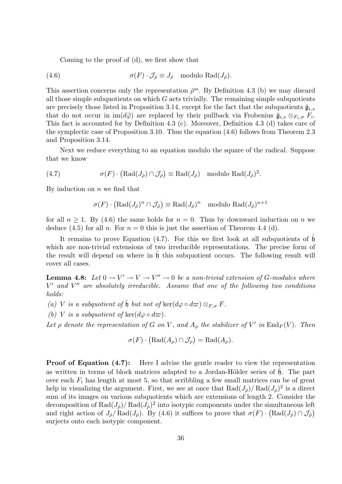Coming to the proof of (d), we first show that

(4.6) 
$$
\sigma(F) \cdot \mathcal{J}_{\hat{\rho}} \equiv J_{\hat{\rho}} \mod \operatorname{dl}(\mathrm{Rad}(J_{\hat{\rho}})).
$$

This assertion concerns only the representation  $\hat{\rho}^{\text{ss}}$ . By Definition 4.3 (b) we may discard all those simple subquotients on which  $G$  acts trivially. The remaining simple subquotients are precisely those listed in Proposition 3.14, except for the fact that the subquotients  $\bar{\mathfrak{g}}_{i,s}$ that do not occur in  $\text{im}(d\tilde{\varphi})$  are replaced by their pullback via Frobenius  $\bar{\mathfrak{g}}_{i,s} \otimes_{F_i,\sigma} F_i$ . This fact is accounted for by Definition 4.3 (c). Moreover, Definition 4.3 (d) takes care of the symplectic case of Proposition 3.10. Thus the equation (4.6) follows from Theorem 2.3 and Proposition 3.14.

Next we reduce everything to an equation modulo the square of the radical. Suppose that we know

(4.7) 
$$
\sigma(F) \cdot (\text{Rad}(J_{\hat{\rho}}) \cap \mathcal{J}_{\hat{\rho}}) \equiv \text{Rad}(J_{\hat{\rho}}) \text{ modulo } \text{Rad}(J_{\hat{\rho}})^2.
$$

By induction on  $n$  we find that

$$
\sigma(F) \cdot (\text{Rad}(J_{\hat{\rho}})^n \cap \mathcal{J}_{\hat{\rho}}) \equiv \text{Rad}(J_{\hat{\rho}})^n \mod \text{Rad}(J_{\hat{\rho}})^{n+1}
$$

for all  $n > 1$ . By (4.6) the same holds for  $n = 0$ . Thus by downward induction on n we deduce (4.5) for all n. For  $n = 0$  this is just the assertion of Theorem 4.4 (d).

It remains to prove Equation  $(4.7)$ . For this we first look at all subquotients of  $\mathfrak h$ which are non-trivial extensions of two irreducible representations. The precise form of the result will depend on where in  $\not\!$  this subquotient occurs. The following result will cover all cases.

**Lemma 4.8:** Let  $0 \to V' \to V \to V'' \to 0$  be a non-trivial extension of G-modules where  $V'$  and  $V''$  are absolutely irreducible. Assume that one of the following two conditions holds:

(a) V is a subquotient of  $\hat{\mathfrak{h}}$  but not of  $\ker(d\varphi \circ d\varpi) \otimes_{F,\sigma} F$ .

(b) V is a subquotient of ker( $d\varphi \circ d\varpi$ ).

Let  $\rho$  denote the representation of G on V, and  $A_{\rho}$  the stabilizer of V' in  $\text{End}_F(V)$ . Then

$$
\sigma(F) \cdot (\text{Rad}(A_{\rho}) \cap \mathcal{J}_{\rho}) = \text{Rad}(A_{\rho}).
$$

**Proof of Equation (4.7):** Here I advise the gentle reader to view the representation as written in terms of block matrices adapted to a Jordan-Hölder series of  $\mathfrak{h}$ . The part over each  $F_i$  has length at most 5, so that scribbling a few small matrices can be of great help in visualizing the argument. First, we see at once that  $\text{Rad}(J_{\hat{\rho}})/\text{Rad}(J_{\hat{\rho}})^2$  is a direct sum of its images on various subquotients which are extensions of length 2. Consider the decomposition of  $\text{Rad}(J_{\hat{\rho}})/\text{Rad}(J_{\hat{\rho}})^2$  into isotypic components under the simultaneous left and right action of  $J_{\hat{\rho}}/\text{Rad}(J_{\hat{\rho}})$ . By (4.6) it suffices to prove that  $\sigma(F) \cdot (\text{Rad}(J_{\hat{\rho}}) \cap \mathcal{J}_{\hat{\rho}})$ surjects onto each isotypic component.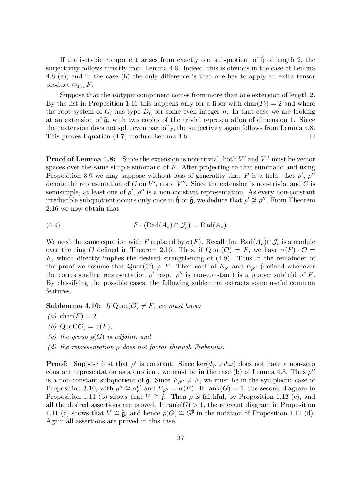If the isotypic component arises from exactly one subquotient of  $\hat{\mathfrak{h}}$  of length 2, the surjectivity follows directly from Lemma 4.8. Indeed, this is obvious in the case of Lemma 4.8 (a); and in the case (b) the only difference is that one has to apply an extra tensor product  $\otimes_{F,\sigma} F$ .

Suppose that the isotypic component comes from more than one extension of length 2. By the list in Proposition 1.11 this happens only for a fiber with  $char(F_i) = 2$  and where the root system of  $G_i$  has type  $D_n$  for some even integer n. In that case we are looking at an extension of  $\bar{\mathfrak{g}}_i$  with two copies of the trivial representation of dimension 1. Since that extension does not split even partially, the surjectivity again follows from Lemma 4.8. This proves Equation  $(4.7)$  modulo Lemma 4.8.

**Proof of Lemma 4.8:** Since the extension is non-trivial, both  $V'$  and  $V''$  must be vector spaces over the same simple summand of F. After projecting to that summand and using Proposition 3.9 we may suppose without loss of generality that F is a field. Let  $\rho'$ ,  $\rho''$ denote the representation of G on V', resp.  $V''$ . Since the extension is non-trivial and G is semisimple, at least one of  $\rho'$ ,  $\rho''$  is a non-constant representation. As every non-constant irreducible subquotient occurs only once in  $\hat{\mathfrak{h}}$  or  $\hat{\mathfrak{g}}$ , we deduce that  $\rho' \not\cong \rho''$ . From Theorem 2.16 we now obtain that

(4.9) 
$$
F \cdot (\text{Rad}(A_{\rho}) \cap \mathcal{J}_{\rho}) = \text{Rad}(A_{\rho}).
$$

We need the same equation with F replaced by  $\sigma(F)$ . Recall that  $\text{Rad}(A_{\rho})\cap \mathcal{J}_{\rho}$  is a module over the ring O defined in Theorem 2.16. Thus, if  $Quot(\mathcal{O}) = F$ , we have  $\sigma(F) \cdot \mathcal{O} =$ F, which directly implies the desired strengthening of (4.9). Thus in the remainder of the proof we assume that  $\text{Quot}(\mathcal{O}) \neq F$ . Then each of  $E_{\rho'}$  and  $E_{\rho''}$  (defined whenever the corresponding representation  $\rho'$  resp.  $\rho''$  is non-constant) is a proper subfield of F. By classifying the possible cases, the following sublemma extracts some useful common features.

**Sublemma 4.10:** If  $Quot(\mathcal{O}) \neq F$ , we must have:

- $(a)$  char $(F) = 2$ ,
- (b)  $\mathrm{Quot}(\mathcal{O}) = \sigma(F)$ ,
- (c) the group  $\rho(G)$  is adjoint, and
- (d) the representation  $\rho$  does not factor through Frobenius.

**Proof:** Suppose first that  $\rho'$  is constant. Since ker $(d\varphi \circ d\varpi)$  does not have a non-zero constant representation as a quotient, we must be in the case (b) of Lemma 4.8. Thus  $\rho''$ is a non-constant subquotient of  $\hat{\mathfrak{g}}$ . Since  $E_{\rho''} \neq F$ , we must be in the symplectic case of Proposition 3.10, with  $\rho'' \cong \alpha_{\ell}^G$  and  $E_{\rho''} = \sigma(F)$ . If rank $(G) = 1$ , the second diagram in Proposition 1.11 (b) shows that  $V \cong \tilde{\mathfrak{g}}$ . Then  $\rho$  is faithful, by Proposition 1.12 (c), and all the desired assertions are proved. If  $rank(G) > 1$ , the relevant diagram in Proposition 1.11 (c) shows that  $V \cong \tilde{\mathfrak{g}}_{\ell}$  and hence  $\rho(G) \cong G^{\sharp}$  in the notation of Proposition 1.12 (d). Again all assertions are proved in this case.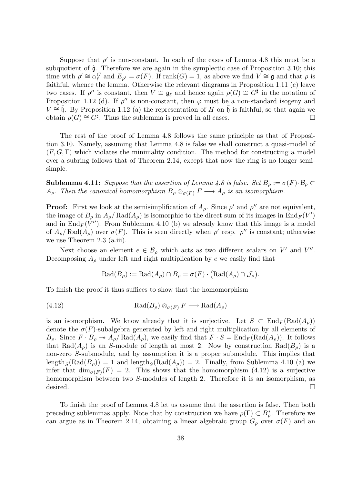Suppose that  $\rho'$  is non-constant. In each of the cases of Lemma 4.8 this must be a subquotient of  $\hat{g}$ . Therefore we are again in the symplectic case of Proposition 3.10; this time with  $\rho' \cong \alpha_{\ell}^G$  and  $E_{\rho'} = \sigma(F)$ . If rank $(G) = 1$ , as above we find  $V \cong \mathfrak{g}$  and that  $\rho$  is faithful, whence the lemma. Otherwise the relevant diagrams in Proposition 1.11 (c) leave two cases. If  $\rho''$  is constant, then  $V \cong \mathfrak{g}_{\ell}$  and hence again  $\rho(G) \cong G^{\sharp}$  in the notation of Proposition 1.12 (d). If  $\rho''$  is non-constant, then  $\varphi$  must be a non-standard isogeny and  $V \cong \bar{\mathfrak{h}}$ . By Proposition 1.12 (a) the representation of H on  $\bar{\mathfrak{h}}$  is faithful, so that again we obtain  $\rho(G) \cong G^{\sharp}$ . Thus the sublemma is proved in all cases.

The rest of the proof of Lemma 4.8 follows the same principle as that of Proposition 3.10. Namely, assuming that Lemma 4.8 is false we shall construct a quasi-model of  $(F, G, \Gamma)$  which violates the minimality condition. The method for constructing a model over a subring follows that of Theorem 2.14, except that now the ring is no longer semisimple.

**Sublemma 4.11:** Suppose that the assertion of Lemma 4.8 is false. Set  $B_\rho := \sigma(F) \cdot B_\rho \subset$  $A_{\rho}$ . Then the canonical homomorphism  $B_{\rho} \otimes_{\sigma(F)} F \longrightarrow A_{\rho}$  is an isomorphism.

**Proof:** First we look at the semisimplification of  $A_\rho$ . Since  $\rho'$  and  $\rho''$  are not equivalent, the image of  $B_\rho$  in  $A_\rho$  Rad $(A_\rho)$  is isomorphic to the direct sum of its images in  $\text{End}_F(V')$ and in  $\text{End}_F(V'')$ . From Sublemma 4.10 (b) we already know that this image is a model of  $A_{\rho}/\text{Rad}(A_{\rho})$  over  $\sigma(F)$ . This is seen directly when  $\rho'$  resp.  $\rho''$  is constant; otherwise we use Theorem 2.3 (a.iii).

Next choose an element  $e \in \mathcal{B}_{\rho}$  which acts as two different scalars on V' and V". Decomposing  $A_{\rho}$  under left and right multiplication by e we easily find that

$$
\operatorname{Rad}(B_{\rho}) := \operatorname{Rad}(A_{\rho}) \cap B_{\rho} = \sigma(F) \cdot (\operatorname{Rad}(A_{\rho}) \cap \mathcal{J}_{\rho}).
$$

To finish the proof it thus suffices to show that the homomorphism

(4.12) 
$$
\operatorname{Rad}(B_{\rho}) \otimes_{\sigma(F)} F \longrightarrow \operatorname{Rad}(A_{\rho})
$$

is an isomorphism. We know already that it is surjective. Let  $S \subset \text{End}_F(\text{Rad}(A_\rho))$ denote the  $\sigma(F)$ -subalgebra generated by left and right multiplication by all elements of  $B_\rho$ . Since  $F \cdot B_\rho \to A_\rho/Rad(A_\rho)$ , we easily find that  $F \cdot S = \text{End}_F(\text{Rad}(A_\rho))$ . It follows that Rad( $A_{\rho}$ ) is an S-module of length at most 2. Now by construction Rad( $B_{\rho}$ ) is a non-zero S-submodule, and by assumption it is a proper submodule. This implies that length<sub>S</sub>(Rad( $B<sub>o</sub>$ )) = 1 and length<sub>S</sub>(Rad( $A<sub>o</sub>$ )) = 2. Finally, from Sublemma 4.10 (a) we infer that  $\dim_{\sigma(F)}(F) = 2$ . This shows that the homomorphism (4.12) is a surjective homomorphism between two S-modules of length 2. Therefore it is an isomorphism, as desired.  $\square$ 

To finish the proof of Lemma 4.8 let us assume that the assertion is false. Then both preceding sublemmas apply. Note that by construction we have  $\rho(\Gamma) \subset B_{\rho}^*$ . Therefore we can argue as in Theorem 2.14, obtaining a linear algebraic group  $G_{\rho}$  over  $\sigma(F)$  and an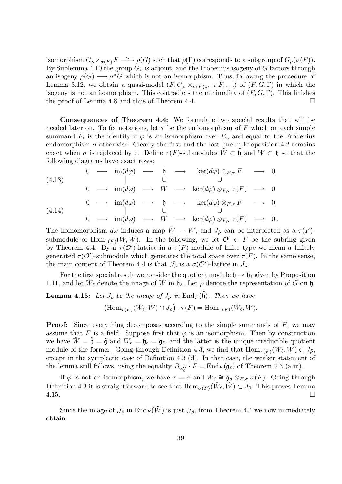isomorphism  $G_{\rho} \times_{\sigma(F)} F \longrightarrow \rho(G)$  such that  $\rho(\Gamma)$  corresponds to a subgroup of  $G_{\rho}(\sigma(F))$ . By Sublemma 4.10 the group  $G_{\rho}$  is adjoint, and the Frobenius isogeny of G factors through an isogeny  $\rho(G) \longrightarrow \sigma^*G$  which is not an isomorphism. Thus, following the procedure of Lemma 3.12, we obtain a quasi-model  $(F, G_{\rho} \times_{\sigma(F), \sigma^{-1}} F, \ldots)$  of  $(F, G, \Gamma)$  in which the isogeny is not an isomorphism. This contradicts the minimality of  $(F, G, \Gamma)$ . This finishes the proof of Lemma 4.8 and thus of Theorem 4.4.

Consequences of Theorem 4.4: We formulate two special results that will be needed later on. To fix notations, let  $\tau$  be the endomorphism of F which on each simple summand  $F_i$  is the identity if  $\varphi$  is an isomorphism over  $F_i$ , and equal to the Frobenius endomorphism  $\sigma$  otherwise. Clearly the first and the last line in Proposition 4.2 remains exact when  $\sigma$  is replaced by  $\tau$ . Define  $\tau(F)$ -submodules  $W \subset \mathfrak{h}$  and  $W \subset \mathfrak{h}$  so that the following diagrams have exact rows:

(4.13)  
\n
$$
\begin{array}{ccccccc}\n & 0 & \longrightarrow & \text{im}(d\tilde{\varphi}) & \longrightarrow & \tilde{\mathfrak{h}} & \longrightarrow & \text{ker}(d\tilde{\varphi}) \otimes_{F,\tau} F & \longrightarrow & 0 \\
 & & \parallel & & \cup & & \cup & \\
0 & \longrightarrow & \text{im}(d\tilde{\varphi}) & \longrightarrow & \tilde{W} & \longrightarrow & \text{ker}(d\tilde{\varphi}) \otimes_{F,\tau} \tau(F) & \longrightarrow & 0 \\
0 & \longrightarrow & \text{im}(d\varphi) & \longrightarrow & \mathfrak{h} & \longrightarrow & \text{ker}(d\varphi) \otimes_{F,\tau} F & \longrightarrow & 0 \\
 & & \parallel & & \cup & & \cup & \\
0 & \longrightarrow & \text{im}(d\varphi) & \longrightarrow & W & \longrightarrow & \text{ker}(d\varphi) \otimes_{F,\tau} \tau(F) & \longrightarrow & 0 \,.\n\end{array}
$$

The homomorphism  $d\omega$  induces a map  $\tilde{W} \to W$ , and  $J_{\hat{\rho}}$  can be interpreted as a  $\tau(F)$ submodule of  $\text{Hom}_{\tau(F)}(W, \tilde{W})$ . In the following, we let  $\mathcal{O}' \subset F$  be the subring given by Theorem 4.4. By a  $\tau(\mathcal{O}')$ -lattice in a  $\tau(F)$ -module of finite type we mean a finitely generated  $\tau(\mathcal{O}')$ -submodule which generates the total space over  $\tau(F)$ . In the same sense, the main content of Theorem 4.4 is that  $\mathcal{J}_{\hat{\rho}}$  is a  $\sigma(\mathcal{O}')$ -lattice in  $J_{\hat{\rho}}$ .

For the first special result we consider the quotient module  $\tilde{\mathfrak{h}} \to \tilde{\mathfrak{h}}_\ell$  given by Proposition 1.11, and let  $\bar{W}_{\ell}$  denote the image of  $\tilde{W}$  in  $\bar{\mathfrak{h}}_{\ell}$ . Let  $\tilde{\rho}$  denote the representation of G on  $\tilde{\mathfrak{h}}$ .

**Lemma 4.15:** Let  $J_{\tilde{\rho}}$  be the image of  $J_{\hat{\rho}}$  in  $\text{End}_F(\tilde{\mathfrak{h}})$ . Then we have  $(\text{Hom}_{\tau(F)}(\bar{W}_{\ell}, \tilde{W}) \cap J_{\tilde{\rho}}) \cdot \tau(F) = \text{Hom}_{\tau(F)}(\bar{W}_{\ell}, \tilde{W}).$ 

**Proof:** Since everything decomposes according to the simple summands of  $F$ , we may assume that F is a field. Suppose first that  $\varphi$  is an isomorphism. Then by construction we have  $\tilde{W} = \tilde{\mathfrak{h}} = \tilde{\mathfrak{g}}$  and  $\bar{W}_{\ell} = \bar{\mathfrak{g}}_{\ell} = \bar{\mathfrak{g}}_{\ell}$ , and the latter is the unique irreducible quotient module of the former. Going through Definition 4.3, we find that  $\text{Hom}_{\tau(F)}(\bar{W}_{\ell}, \tilde{W}) \subset J_{\tilde{\rho}},$ except in the symplectic case of Definition 4.3 (d). In that case, the weaker statement of the lemma still follows, using the equality  $B_{\alpha_{\ell}^G} \cdot F = \text{End}_F(\bar{\mathfrak{g}}_{\ell})$  of Theorem 2.3 (a.iii).

If  $\varphi$  is not an isomorphism, we have  $\tau = \sigma$  and  $\bar{W}_\ell \cong \bar{\mathfrak{g}}_s \otimes_{F,\sigma} \sigma(F)$ . Going through Definition 4.3 it is straightforward to see that  $\text{Hom}_{\sigma(F)}(\bar{W}_{\ell}, \tilde{W}) \subset J_{\tilde{\rho}}$ . This proves Lemma  $4.15.$ 

Since the image of  $\mathcal{J}_{\hat{\rho}}$  in End<sub>F</sub>( $\tilde{W}$ ) is just  $\mathcal{J}_{\tilde{\rho}}$ , from Theorem 4.4 we now immediately obtain: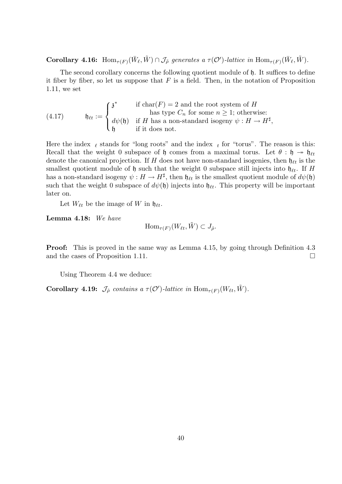**Corollary 4.16:**  $\text{Hom}_{\tau(F)}(\bar{W}_{\ell}, \tilde{W}) \cap \mathcal{J}_{\tilde{\rho}}$  generates a  $\tau(\mathcal{O}')$ -lattice in  $\text{Hom}_{\tau(F)}(\bar{W}_{\ell}, \tilde{W})$ .

The second corollary concerns the following quotient module of h. It suffices to define it fiber by fiber, so let us suppose that  $F$  is a field. Then, in the notation of Proposition 1.11, we set

(4.17) 
$$
\mathfrak{h}_{\ell t} := \begin{cases} \mathfrak{z}^* & \text{if char}(F) = 2 \text{ and the root system of } H \\ \text{has type } C_n \text{ for some } n \geq 1; \text{ otherwise:} \\ d\psi(\mathfrak{h}) & \text{if } H \text{ has a non-standard isogeny } \psi : H \to H^{\sharp}, \\ \mathfrak{h} & \text{if it does not.} \end{cases}
$$

Here the index  $\ell$  stands for "long roots" and the index  $\ell$  for "torus". The reason is this: Recall that the weight 0 subspace of h comes from a maximal torus. Let  $\theta : \mathfrak{h} \to \mathfrak{h}_{\ell t}$ denote the canonical projection. If H does not have non-standard isogenies, then  $\mathfrak{h}_{\ell t}$  is the smallest quotient module of  $\mathfrak h$  such that the weight 0 subspace still injects into  $\mathfrak h_{\ell t}$ . If H has a non-standard isogeny  $\psi: H \to H^{\sharp}$ , then  $\mathfrak{h}_{\ell t}$  is the smallest quotient module of  $d\psi(\mathfrak{h})$ such that the weight 0 subspace of  $d\psi(\mathfrak{h})$  injects into  $\mathfrak{h}_{\ell t}$ . This property will be important later on.

Let  $W_{\ell t}$  be the image of W in  $\mathfrak{h}_{\ell t}$ .

Lemma 4.18: We have

$$
\operatorname{Hom}_{\tau(F)}(W_{\ell t}, \tilde{W}) \subset J_{\hat{\rho}}.
$$

Proof: This is proved in the same way as Lemma 4.15, by going through Definition 4.3 and the cases of Proposition 1.11.

Using Theorem 4.4 we deduce:

**Corollary 4.19:**  $\mathcal{J}_{\hat{\rho}}$  contains a  $\tau(\mathcal{O}')$ -lattice in  $\text{Hom}_{\tau(F)}(W_{\ell t}, \tilde{W})$ .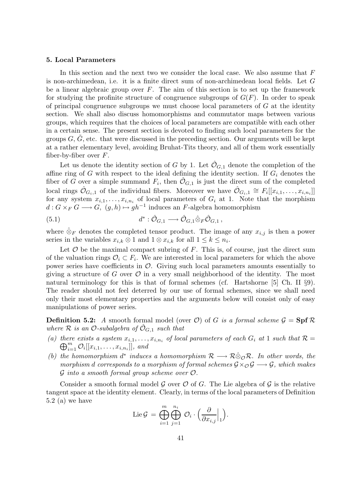# 5. Local Parameters

In this section and the next two we consider the local case. We also assume that F is non-archimedean, i.e. it is a finite direct sum of non-archimedean local fields. Let G be a linear algebraic group over  $F$ . The aim of this section is to set up the framework for studying the profinite structure of congruence subgroups of  $G(F)$ . In order to speak of principal congruence subgroups we must choose local parameters of  $G$  at the identity section. We shall also discuss homomorphisms and commutator maps between various groups, which requires that the choices of local parameters are compatible with each other in a certain sense. The present section is devoted to finding such local parameters for the groups  $G, G$ , etc. that were discussed in the preceding section. Our arguments will be kept at a rather elementary level, avoiding Bruhat-Tits theory, and all of them work essentially fiber-by-fiber over  $F$ .

Let us denote the identity section of G by 1. Let  $\hat{\mathcal{O}}_{G,1}$  denote the completion of the affine ring of G with respect to the ideal defining the identity section. If  $G_i$  denotes the fiber of G over a simple summand  $F_i$ , then  $\hat{\mathcal{O}}_{G,1}$  is just the direct sum of the completed local rings  $\hat{\mathcal{O}}_{G_i,1}$  of the individual fibers. Moreover we have  $\hat{\mathcal{O}}_{G_i,1} \cong F_i[[x_{i,1},\ldots,x_{i,n_i}]]$ for any system  $x_{i,1}, \ldots, x_{i,n_i}$  of local parameters of  $G_i$  at 1. Note that the morphism  $d: G \times_F G \longrightarrow G$ ,  $(g, h) \mapsto gh^{-1}$  induces an F-algebra homomorphism

(5.1) 
$$
d^* : \hat{\mathcal{O}}_{G,1} \longrightarrow \hat{\mathcal{O}}_{G,1} \hat{\otimes}_F \hat{\mathcal{O}}_{G,1},
$$

where  $\hat{\otimes}_F$  denotes the completed tensor product. The image of any  $x_{i,j}$  is then a power series in the variables  $x_{i,k} \otimes 1$  and  $1 \otimes x_{i,k}$  for all  $1 \leq k \leq n_i$ .

Let  $\mathcal O$  be the maximal compact subring of  $F$ . This is, of course, just the direct sum of the valuation rings  $\mathcal{O}_i \subset F_i$ . We are interested in local parameters for which the above power series have coefficients in  $\mathcal{O}$ . Giving such local parameters amounts essentially to giving a structure of G over  $\mathcal O$  in a very small neighborhood of the identity. The most natural terminology for this is that of formal schemes (cf. Hartshorne [5] Ch. II §9). The reader should not feel deterred by our use of formal schemes, since we shall need only their most elementary properties and the arguments below will consist only of easy manipulations of power series.

**Definition 5.2:** A smooth formal model (over O) of G is a formal scheme  $\mathcal{G} = \mathbf{Spf} \mathcal{R}$ where R is an O-subalgebra of  $\mathcal{O}_{G,1}$  such that

- (a) there exists a system  $x_{i,1},...,x_{i,n_i}$  of local parameters of each  $G_i$  at 1 such that  $\mathcal{R} =$  $\bigoplus_{i=1}^m \mathcal{O}_i[[x_{i,1},\ldots,x_{i,n_i}]]$ , and
- (b) the homomorphism  $d^*$  induces a homomorphism  $\mathcal{R} \longrightarrow \mathcal{R} \hat{\otimes}_{\mathcal{O}} \mathcal{R}$ . In other words, the morphism d corresponds to a morphism of formal schemes  $\mathcal{G} \times_{\mathcal{O}} \mathcal{G} \longrightarrow \mathcal{G}$ , which makes  $\mathcal G$  into a smooth formal group scheme over  $\mathcal O$ .

Consider a smooth formal model G over  $\mathcal O$  of G. The Lie algebra of G is the relative tangent space at the identity element. Clearly, in terms of the local parameters of Definition 5.2 (a) we have

$$
\operatorname{Lie} \mathcal{G} \,=\, \bigoplus_{i=1}^m \bigoplus_{j=1}^{n_i} \, \mathcal{O}_i \cdot \Big( \frac{\partial}{\partial x_{i,j}} \Big|_1 \Big).
$$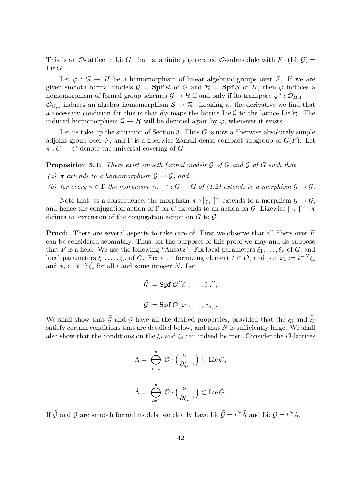This is an O-lattice in Lie G, that is, a finitely generated O-submodule with  $F \cdot (\text{Lie } \mathcal{G}) =$ Lie G.

Let  $\varphi: G \to H$  be a homomorphism of linear algebraic groups over F. If we are given smooth formal models  $\mathcal{G} = \mathbf{Spf} \mathcal{R}$  of G and  $\mathcal{H} = \mathbf{Spf} \mathcal{S}$  of H, then  $\varphi$  induces a homomorphism of formal group schemes  $\mathcal{G} \to \mathcal{H}$  if and only if its transpose  $\varphi^* : \hat{\mathcal{O}}_{H,1} \longrightarrow$  $\hat{\mathcal{O}}_{G,1}$  induces an algebra homomorphism  $\mathcal{S} \to \mathcal{R}$ . Looking at the derivative we find that a necessary condition for this is that  $d\varphi$  maps the lattice Lie G to the lattice Lie H. The induced homomorphism  $\mathcal{G} \to \mathcal{H}$  will be denoted again by  $\varphi$ , whenever it exists.

Let us take up the situation of Section 3. Thus  $G$  is now a fiberwise absolutely simple adjoint group over F, and  $\Gamma$  is a fiberwise Zariski dense compact subgroup of  $G(F)$ . Let  $\pi: G \to G$  denote the universal covering of G.

**Proposition 5.3:** There exist smooth formal models  $\mathcal G$  of  $G$  and  $\tilde{\mathcal G}$  of  $\tilde{G}$  such that (a)  $\pi$  extends to a homomorphism  $\tilde{G} \rightarrow G$ , and

(b) for every  $\gamma \in \Gamma$  the morphism  $[\gamma, \;]^{\sim} : G \to \tilde{G}$  of (1.2) extends to a morphism  $\mathcal{G} \to \tilde{\mathcal{G}}$ .

Note that, as a consequence, the morphism  $\pi \circ [\gamma, \gamma]$ <sup>~</sup> extends to a morphism  $\mathcal{G} \to \mathcal{G}$ , and hence the conjugation action of  $\Gamma$  on G extends to an action on G. Likewise  $[\gamma, ]^{\sim} \circ \pi$ defines an extension of the conjugation action on  $\tilde{G}$  to  $\tilde{G}$ .

**Proof:** There are several aspects to take care of. First we observe that all fibers over F can be considered separately. Thus, for the purposes of this proof we may and do suppose that F is a field. We use the following "Ansatz": Fix local parameters  $\xi_1, \ldots, \xi_n$  of G, and local parameters  $\tilde{\xi}_1,\ldots,\tilde{\xi}_n$  of  $\tilde{G}$ . Fix a uniformizing element  $t \in \mathcal{O}$ , and put  $x_i := t^{-N} \xi_i$ and  $\tilde{x}_i := t^{-N} \tilde{\xi}_i$  for all i and some integer N. Let

$$
\tilde{\mathcal{G}} := \mathbf{Spf} \, \mathcal{O}[[\tilde{x}_1, \dots, \tilde{x}_n]],
$$
  

$$
\mathcal{G} := \mathbf{Spf} \, \mathcal{O}[[x_1, \dots, x_n]].
$$

We shall show that  $\tilde{\mathcal{G}}$  and  $\mathcal{G}$  have all the desired properties, provided that the  $\xi_i$  and  $\tilde{\xi}_i$ satisfy certain conditions that are detailed below, and that  $N$  is sufficiently large. We shall also show that the conditions on the  $\xi_i$  and  $\xi_i$  can indeed be met. Consider the O-lattices

$$
\begin{array}{l} \Lambda=\ \bigoplus\limits_{i=1}^n\ \mathcal{O}\cdot\Big(\frac{\partial}{\partial\xi_i}\Big|_1\Big)\subset\operatorname{Lie} G,\\ \\ \tilde\Lambda=\ \bigoplus\limits_{i=1}^n\ \mathcal{O}\cdot\Big(\frac{\partial}{\partial\tilde\xi_i}\Big|_1\Big)\subset\operatorname{Lie} \tilde G. \end{array}
$$

If  $\tilde{G}$  and  $G$  are smooth formal models, we clearly have Lie  $\tilde{G} = t^N \tilde{\Lambda}$  and Lie  $G = t^N \Lambda$ .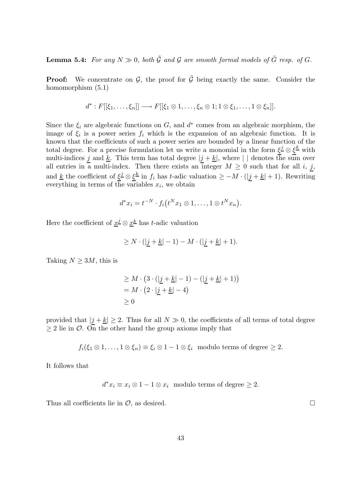**Lemma 5.4:** For any  $N \gg 0$ , both  $\tilde{G}$  and  $G$  are smooth formal models of  $\tilde{G}$  resp. of  $G$ .

**Proof:** We concentrate on  $\mathcal{G}$ , the proof for  $\tilde{\mathcal{G}}$  being exactly the same. Consider the homomorphism  $(5.1)$ 

$$
d^*: F[[\xi_1,\ldots,\xi_n]] \longrightarrow F[[\xi_1 \otimes 1,\ldots,\xi_n \otimes 1; 1 \otimes \xi_1,\ldots,1 \otimes \xi_n]].
$$

Since the  $\xi_i$  are algebraic functions on G, and  $d^*$  comes from an algebraic morphism, the image of  $\xi_i$  is a power series  $f_i$  which is the expansion of an algebraic function. It is known that the coefficients of such a power series are bounded by a linear function of the total degree. For a precise formulation let us write a monomial in the form  $\xi^j \otimes \xi^{\underline{k}}$  with multi-indices  $\underline{j}$  and  $\underline{k}$ . This term has total degree  $|\underline{j} + \underline{k}|$ , where  $|\ ]$  denotes the sum over all entries in a multi-index. Then there exists an integer  $M \geq 0$  such that for all i, j, and <u>k</u> the coefficient of  $\xi^j \otimes \xi^k$  in  $f_i$  has t-adic valuation  $\geq -M \cdot (\vert j+k \vert + 1)$ . Rewriting everything in terms of the variables  $x_i$ , we obtain

$$
d^*x_i = t^{-N} \cdot f_i(t^N x_1 \otimes 1, \dots, 1 \otimes t^N x_n).
$$

Here the coefficient of  $\underline{x}^{\underline{j}} \otimes \underline{x}^{\underline{k}}$  has t-adic valuation

$$
\geq N \cdot (|j + \underline{k}| - 1) - M \cdot (|j + \underline{k}| + 1).
$$

Taking  $N \geq 3M$ , this is

$$
\geq M \cdot \left(3 \cdot \left(\left|\underline{j} + \underline{k}\right| - 1\right) - \left(\left|\underline{j} + \underline{k}\right| + 1\right)\right)
$$

$$
= M \cdot \left(2 \cdot \left|\underline{j} + \underline{k}\right| - 4\right)
$$

$$
\geq 0
$$

provided that  $|j + k| \ge 2$ . Thus for all  $N \gg 0$ , the coefficients of all terms of total degree  $\geq 2$  lie in O. On the other hand the group axioms imply that

 $f_i(\xi_1 \otimes 1, \ldots, 1 \otimes \xi_n) \equiv \xi_i \otimes 1 - 1 \otimes \xi_i \mod \text{terms of degree } \geq 2.$ 

It follows that

 $d^*x_i \equiv x_i \otimes 1 - 1 \otimes x_i$  modulo terms of degree  $\geq 2$ .

Thus all coefficients lie in  $\mathcal{O}$ , as desired.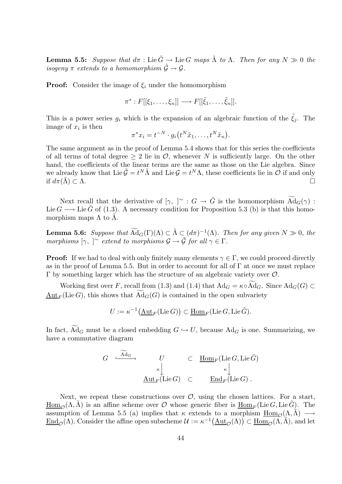**Lemma 5.5:** Suppose that  $d\pi$ : Lie  $\tilde{G} \to$  Lie G maps  $\tilde{\Lambda}$  to  $\Lambda$ . Then for any  $N \gg 0$  the isogeny  $\pi$  extends to a homomorphism  $\tilde{G} \rightarrow G$ .

**Proof:** Consider the image of  $\xi_i$  under the homomorphism

$$
\pi^*: F[[\xi_1,\ldots,\xi_n]] \longrightarrow F[[\tilde{\xi}_1,\ldots,\tilde{\xi}_n]].
$$

This is a power series  $g_i$  which is the expansion of an algebraic function of the  $\tilde{\xi}_j$ . The image of  $x_i$  is then

$$
\pi^* x_i = t^{-N} \cdot g_i(t^N \tilde{x}_1, \dots, t^N \tilde{x}_n).
$$

The same argument as in the proof of Lemma 5.4 shows that for this series the coefficients of all terms of total degree  $> 2$  lie in  $\mathcal{O}$ , whenever N is sufficiently large. On the other hand, the coefficients of the linear terms are the same as those on the Lie algebra. Since we already know that Lie  $\tilde{G} = t^N \tilde{\Lambda}$  and Lie  $G = t^N \Lambda$ , these coefficients lie in  $\tilde{\mathcal{O}}$  if and only if  $d\pi(\Lambda) \subset \Lambda$ .

Next recall that the derivative of  $[\gamma, \ ]^{\sim} : G \to \tilde{G}$  is the homomorphism  $\widetilde{Ad}_G(\gamma) :$ Lie  $G \longrightarrow$  Lie G of (1.3). A necessary condition for Proposition 5.3 (b) is that this homomorphism maps  $\Lambda$  to  $\Lambda$ .

**Lemma 5.6:** Suppose that  $\widetilde{Ad}_G(\Gamma)(\Lambda) \subset \widetilde{\Lambda} \subset (d\pi)^{-1}(\Lambda)$ . Then for any given  $N \gg 0$ , the morphisms  $[\gamma, \ ]^{\sim}$  extend to morphisms  $\mathcal{G} \to \tilde{\mathcal{G}}$  for all  $\gamma \in \Gamma$ .

**Proof:** If we had to deal with only finitely many elements  $\gamma \in \Gamma$ , we could proceed directly as in the proof of Lemma 5.5. But in order to account for all of Γ at once we must replace Γ by something larger which has the structure of an algebraic variety over O.

Working first over F, recall from (1.3) and (1.4) that  $\text{Ad}_G = \kappa \circ \text{Ad}_G$ . Since  $\text{Ad}_G(G) \subset$  $\frac{\text{Aut}_F(\text{Lie }G)}{\text{Aut}_F(\text{Lie }G)}$ , this shows that  $\text{Ad}_G(G)$  is contained in the open subvariety

$$
U := \kappa^{-1}(\underline{\operatorname{Aut}}_F(\operatorname{Lie} G)) \subset \underline{\operatorname{Hom}}_F(\operatorname{Lie} G, \operatorname{Lie} \tilde{G}).
$$

In fact,  $\overline{Ad}_G$  must be a closed embedding  $G \hookrightarrow U$ , because  $\overline{Ad}_G$  is one. Summarizing, we have a commutative diagram

$$
G \xrightarrow{\mathbf{Ad}_G} U \subset \underline{\text{Hom}}_F(\text{Lie }G, \text{Lie } \tilde{G})
$$

$$
\xrightarrow{\kappa} \underline{\downarrow}_{\mathbf{Aut}_F(\text{Lie }G)} \subset \underline{\text{End}}_F(\text{Lie }G).
$$

Next, we repeat these constructions over  $\mathcal{O}$ , using the chosen lattices. For a start,  $\underline{\text{Hom}}_{\mathcal{O}}(\Lambda, \Lambda)$  is an affine scheme over *O* whose generic fiber is  $\underline{\text{Hom}}_F(\text{Lie }G, \text{Lie }G)$ . The assumption of Lemma 5.5 (a) implies that  $\kappa$  extends to a morphism  $\underline{Hom}_{\mathcal{O}}(\Lambda, \tilde{\Lambda}) \longrightarrow$  $\underline{\mathrm{End}}_{\mathcal{O}}(\Lambda)$ . Consider the affine open subscheme  $\mathcal{U} := \kappa^{-1}(\underline{\mathrm{Aut}}_{\mathcal{O}}(\Lambda)) \subset \underline{\mathrm{Hom}}_{\mathcal{O}}(\Lambda, \widetilde{\Lambda})$ , and let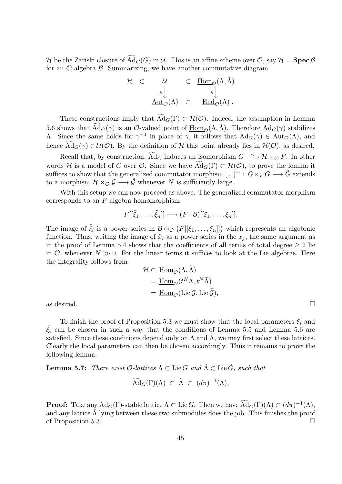H be the Zariski closure of  $\widetilde{Ad}_G(G)$  in U. This is an affine scheme over  $\mathcal{O}$ , say  $\mathcal{H} = \textbf{Spec}\,\mathcal{B}$ for an  $\mathcal{O}\text{-algebra }\mathcal{B}$ . Summarizing, we have another commutative diagram

$$
\mathcal{H} \quad \subset \quad \mathcal{U} \quad \subset \quad \underline{\underline{\mathrm{Hom}}}_{\mathcal{O}}(\Lambda, \tilde{\Lambda})
$$
\n
$$
\begin{array}{ccc}\n\kappa \downarrow & \kappa \downarrow \\
\underline{\mathrm{Aut}}_{\mathcal{O}}(\Lambda) & \subset & \underline{\mathrm{End}}_{\mathcal{O}}(\Lambda)\n\end{array}.
$$

These constructions imply that  $\text{Ad}_G(\Gamma) \subset \mathcal{H}(\mathcal{O})$ . Indeed, the assumption in Lemma 5.6 shows that  $\widetilde{Ad}_G(\gamma)$  is an  $\mathcal{O}\text{-valued point}$  of  $\underline{Hom}_{\mathcal{O}}(\Lambda, \tilde{\Lambda})$ . Therefore  $Ad_G(\gamma)$  stabilizes A. Since the same holds for  $\gamma^{-1}$  in place of  $\gamma$ , it follows that Ad<sub>*G*</sub>( $\gamma$ ) ∈ Aut<sub>*O*</sub>( $Λ$ ), and hence  $\text{Ad}_G(\gamma) \in \mathcal{U}(\mathcal{O})$ . By the definition of H this point already lies in  $\mathcal{H}(\mathcal{O})$ , as desired.

Recall that, by construction,  $\widetilde{Ad}_G$  induces an isomorphism  $G \longrightarrow \mathcal{H} \times_{\mathcal{O}} F$ . In other words H is a model of G over  $\mathcal O$ . Since we have  $\text{Ad}_G(\Gamma) \subset \mathcal H(\mathcal O)$ , to prove the lemma it suffices to show that the generalized commutator morphism  $[~,~]^{\sim}$  :  $G\times_F G\longrightarrow \tilde{G}$  extends to a morphism  $\mathcal{H} \times_{\mathcal{O}} \mathcal{G} \longrightarrow \tilde{\mathcal{G}}$  whenever N is sufficiently large.

With this setup we can now proceed as above. The generalized commutator morphism corresponds to an F-algebra homomorphism

$$
F[[\tilde{\xi}_1,\ldots,\tilde{\xi}_n]]\longrightarrow (F\cdot\mathcal{B})[[\xi_1,\ldots,\xi_n]].
$$

The image of  $\tilde{\xi}_i$  is a power series in  $\mathcal{B} \otimes_{\mathcal{O}} (F[[\xi_1,\ldots,\xi_n]])$  which represents an algebraic function. Thus, writing the image of  $\tilde{x}_i$  as a power series in the  $x_i$ , the same argument as in the proof of Lemma 5.4 shows that the coefficients of all terms of total degree  $\geq 2$  lie in  $\mathcal{O}$ , whenever  $N \gg 0$ . For the linear terms it suffices to look at the Lie algebras. Here the integrality follows from

$$
\mathcal{H} \subset \underline{\text{Hom}}_{\mathcal{O}}(\Lambda, \tilde{\Lambda})
$$
  
= 
$$
\underline{\text{Hom}}_{\mathcal{O}}(t^N \Lambda, t^N \tilde{\Lambda})
$$
  
= 
$$
\underline{\text{Hom}}_{\mathcal{O}}(\text{Lie } \tilde{\mathcal{G}}),
$$
  
as desired.

To finish the proof of Proposition 5.3 we must show that the local parameters  $\xi_i$  and  $\tilde{\xi}_i$  can be chosen in such a way that the conditions of Lemma 5.5 and Lemma 5.6 are satisfied. Since these conditions depend only on  $\Lambda$  and  $\Lambda$ , we may first select these lattices. Clearly the local parameters can then be chosen accordingly. Thus it remains to prove the following lemma.

**Lemma 5.7:** There exist  $\mathcal{O}\text{-}lattices \Lambda \subset \text{Lie }G$  and  $\tilde{\Lambda} \subset \text{Lie }G$ , such that

$$
\widetilde{\mathrm{Ad}}_G(\Gamma)(\Lambda) \ \subset \ \widetilde{\Lambda} \ \subset \ (d\pi)^{-1}(\Lambda).
$$

**Proof:** Take any  $\text{Ad}_G(\Gamma)$ -stable lattice  $\Lambda \subset \text{Lie } G$ . Then we have  $\widetilde{\text{Ad}}_G(\Gamma)(\Lambda) \subset (d\pi)^{-1}(\Lambda)$ , and any lattice  $\Lambda$  lying between these two submodules does the job. This finishes the proof of Proposition 5.3.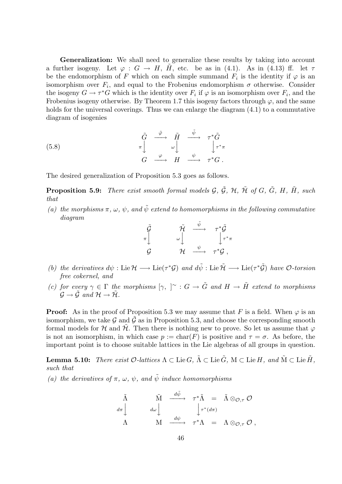Generalization: We shall need to generalize these results by taking into account a further isogeny. Let  $\varphi : G \to H$ ,  $\tilde{H}$ , etc. be as in (4.1). As in (4.13) ff. let  $\tau$ be the endomorphism of F which on each simple summand  $F_i$  is the identity if  $\varphi$  is an isomorphism over  $F_i$ , and equal to the Frobenius endomorphism  $\sigma$  otherwise. Consider the isogeny  $G \to \tau^*G$  which is the identity over  $F_i$  if  $\varphi$  is an isomorphism over  $F_i$ , and the Frobenius isogeny otherwise. By Theorem 1.7 this isogeny factors through  $\varphi$ , and the same holds for the universal coverings. Thus we can enlarge the diagram  $(4.1)$  to a commutative diagram of isogenies

(5.8) 
$$
\begin{array}{ccc}\n\tilde{G} & \stackrel{\tilde{\varphi}}{\longrightarrow} & \tilde{H} & \stackrel{\tilde{\psi}}{\longrightarrow} & \tau^*\tilde{G} \\
\pi \downarrow & & \omega \downarrow & & \downarrow \tau^*\pi \\
G & \stackrel{\varphi}{\longrightarrow} & H & \stackrel{\psi}{\longrightarrow} & \tau^*G \ .\end{array}
$$

The desired generalization of Proposition 5.3 goes as follows.

**Proposition 5.9:** There exist smooth formal models  $\mathcal{G}, \tilde{\mathcal{G}}, \mathcal{H}, \tilde{\mathcal{H}}$  of  $G, \tilde{G}, H, \tilde{H}$ , such that

(a) the morphisms  $\pi, \omega, \psi$ , and  $\tilde{\psi}$  extend to homomorphisms in the following commutative diagram

$$
\begin{array}{ccc}\n\tilde{\mathcal{G}} & \tilde{\mathcal{H}} & \stackrel{\tilde{\psi}}{\longrightarrow} & \tau^*\tilde{\mathcal{G}} \\
\pi \downarrow & & \omega \downarrow & & \downarrow \tau^*\pi \\
\mathcal{G} & \mathcal{H} & \stackrel{\psi}{\longrightarrow} & \tau^*\mathcal{G} \;,\n\end{array}
$$

- (b) the derivatives  $d\psi : \text{Lie } \mathcal{H} \longrightarrow \text{Lie}(\tau^* \mathcal{G})$  and  $d\tilde{\psi} : \text{Lie } \tilde{\mathcal{H}} \longrightarrow \text{Lie}(\tau^* \tilde{\mathcal{G}})$  have  $\mathcal{O}$ -torsion free cokernel, and
- (c) for every  $\gamma \in \Gamma$  the morphisms  $[\gamma, \;]^\sim : G \to \tilde{G}$  and  $H \to \tilde{H}$  extend to morphisms  $\mathcal{G} \rightarrow \tilde{\mathcal{G}}$  and  $\mathcal{H} \rightarrow \tilde{\mathcal{H}}$ .

**Proof:** As in the proof of Proposition 5.3 we may assume that F is a field. When  $\varphi$  is an isomorphism, we take  $\mathcal G$  and  $\tilde{\mathcal G}$  as in Proposition 5.3, and choose the corresponding smooth formal models for H and  $\hat{\mathcal{H}}$ . Then there is nothing new to prove. So let us assume that  $\varphi$ is not an isomorphism, in which case  $p := \text{char}(F)$  is positive and  $\tau = \sigma$ . As before, the important point is to choose suitable lattices in the Lie algebras of all groups in question.

**Lemma 5.10:** There exist  $\mathcal{O}\text{-}lattices \Lambda \subset \text{Lie }G$ ,  $\tilde{\Lambda} \subset \text{Lie }G$ ,  $\tilde{\Lambda} \subset \text{Lie }H$ , and  $\tilde{\mathcal{M}} \subset \text{Lie }H$ , such that

(a) the derivatives of  $\pi$ ,  $\omega$ ,  $\psi$ , and  $\tilde{\psi}$  induce homomorphisms

$$
\begin{array}{ccc}\n\tilde{\Lambda} & \tilde{\mathrm{M}} & \xrightarrow{d\tilde{\psi}} & \tau^*\tilde{\Lambda} & = & \tilde{\Lambda} \otimes_{\mathcal{O},\tau} \mathcal{O} \\
d\pi & & d\omega & \downarrow & \downarrow \tau^*(d\pi) \\
\Lambda & \mathrm{M} & \xrightarrow{d\psi} & \tau^*\Lambda & = & \Lambda \otimes_{\mathcal{O},\tau} \mathcal{O}\n\end{array},
$$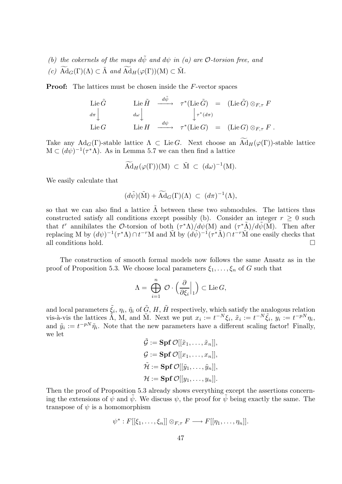- (b) the cokernels of the maps  $d\tilde{\psi}$  and  $d\psi$  in (a) are *O*-torsion free, and
- (c)  $\widetilde{Ad}_G(\Gamma)(\Lambda) \subset \widetilde{\Lambda}$  and  $\widetilde{Ad}_H(\varphi(\Gamma))(M) \subset \widetilde{M}$ .

**Proof:** The lattices must be chosen inside the F-vector spaces

$$
\begin{array}{ccc}\n\text{Lie } \tilde{G} & \text{Lie } \tilde{H} & \xrightarrow{d\tilde{\psi}} & \tau^*(\text{Lie } \tilde{G}) = & (\text{Lie } \tilde{G}) \otimes_{F,\tau} F \\
\downarrow d\pi & \downarrow d\omega & \downarrow \qquad & \downarrow \tau^*(d\pi) \\
\text{Lie } G & \text{Lie } H & \xrightarrow{d\psi} & \tau^*(\text{Lie } G) = & (\text{Lie } G) \otimes_{F,\tau} F .\n\end{array}
$$

Take any Ad<sub>G</sub>(Γ)-stable lattice  $\Lambda \subset \text{Lie } G$ . Next choose an  $\widetilde{\text{Ad}}_H(\varphi(\Gamma))$ -stable lattice  $M \subset (d\psi)^{-1}(\tau^*\Lambda)$ . As in Lemma 5.7 we can then find a lattice

$$
\widetilde{\mathrm{Ad}}_H(\varphi(\Gamma))(M) \ \subset \ \widetilde{M} \ \subset \ (d\omega)^{-1}(M).
$$

We easily calculate that

$$
(d\tilde{\psi})(\tilde{\mathbf{M}}) + \widetilde{\mathbf{A}} \mathbf{d}_G(\Gamma)(\Lambda) \ \subset \ (d\pi)^{-1}(\Lambda),
$$

so that we can also find a lattice  $\tilde{\Lambda}$  between these two submodules. The lattices thus constructed satisfy all conditions except possibly (b). Consider an integer  $r > 0$  such that t<sup>r</sup> annihilates the O-torsion of both  $(\tau^*\Lambda)/d\psi(\mathbf{M})$  and  $(\tau^*\tilde{\Lambda})/d\tilde{\psi}(\tilde{\mathbf{M}})$ . Then after replacing M by  $(d\psi)^{-1}(\tau^*\Lambda) \cap t^{-r}M$  and  $\tilde{M}$  by  $(d\tilde{\psi})^{-1}(\tau^*\tilde{\Lambda}) \cap t^{-r}\tilde{M}$  one easily checks that all conditions hold.

The construction of smooth formal models now follows the same Ansatz as in the proof of Proposition 5.3. We choose local parameters  $\xi_1, \ldots, \xi_n$  of G such that

$$
\Lambda = \bigoplus_{i=1}^n \mathcal{O} \cdot \left( \frac{\partial}{\partial \xi_i} \Big|_1 \right) \subset \text{Lie } G,
$$

and local parameters  $\tilde{\xi}_i$ ,  $\eta_i$ ,  $\tilde{\eta}_i$  of  $\tilde{G}$ , H,  $\tilde{H}$  respectively, which satisfy the analogous relation vis-à-vis the lattices  $\tilde{\Lambda}$ , M, and  $\tilde{\M}$ . Next we put  $x_i := t^{-N} \xi_i$ ,  $\tilde{x}_i := t^{-N} \tilde{\xi}_i$ ,  $y_i := t^{-pN} \eta_i$ , and  $\tilde{y}_i := t^{-p} \tilde{\eta}_i$ . Note that the new parameters have a different scaling factor! Finally, we let

 $\tilde{\mathcal{G}} := \mathbf{Spf}\,\mathcal{O}[[\tilde{x}_1, \ldots, \tilde{x}_n]],$  $\mathcal{G} := \textbf{Spf } \mathcal{O}[[x_1, \ldots, x_n]],$  $\tilde{\mathcal{H}} := \mathbf{Spf}\,\mathcal{O}[[\tilde{y}_1,\ldots,\tilde{y}_n]],$  $\mathcal{H} := \mathbf{Spf}\,\mathcal{O}[[y_1,\ldots,y_n]].$ 

Then the proof of Proposition 5.3 already shows everything except the assertions concerning the extensions of  $\psi$  and  $\psi$ . We discuss  $\psi$ , the proof for  $\psi$  being exactly the same. The transpose of  $\psi$  is a homomorphism

$$
\psi^*: F[[\xi_1,\ldots,\xi_n]] \otimes_{F,\tau} F \longrightarrow F[[\eta_1,\ldots,\eta_n]].
$$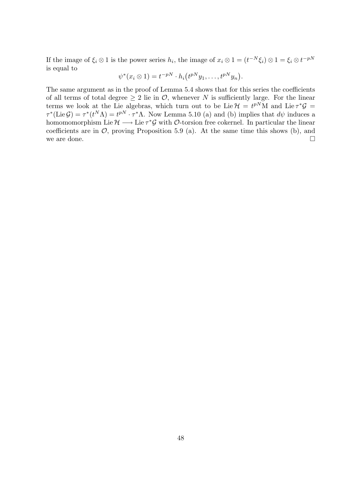If the image of  $\xi_i \otimes 1$  is the power series  $h_i$ , the image of  $x_i \otimes 1 = (t^{-N} \xi_i) \otimes 1 = \xi_i \otimes t^{-pN}$ is equal to

$$
\psi^*(x_i \otimes 1) = t^{-pN} \cdot h_i(t^{pN}y_1, \dots, t^{pN}y_n).
$$

The same argument as in the proof of Lemma 5.4 shows that for this series the coefficients of all terms of total degree  $> 2$  lie in  $\mathcal{O}$ , whenever N is sufficiently large. For the linear terms we look at the Lie algebras, which turn out to be Lie  $\mathcal{H} = t^{pN}M$  and Lie  $\tau^*\mathcal{G} =$  $\tau^*(\text{Lie } \mathcal{G}) = \tau^*(t^N \Lambda) = t^{pN} \cdot \tau^* \Lambda$ . Now Lemma 5.10 (a) and (b) implies that  $d\psi$  induces a homomomorphism Lie  $\mathcal{H} \longrightarrow$  Lie  $\tau^* \mathcal{G}$  with  $\mathcal{O}$ -torsion free cokernel. In particular the linear coefficients are in  $\mathcal{O}$ , proving Proposition 5.9 (a). At the same time this shows (b), and we are done.  $\Box$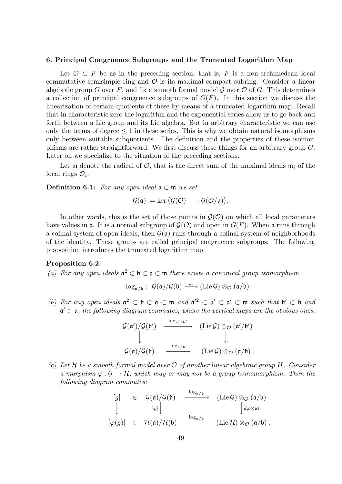# 6. Principal Congruence Subgroups and the Truncated Logarithm Map

Let  $\mathcal{O} \subset F$  be as in the preceding section, that is, F is a non-archimedean local commutative semisimple ring and  $\mathcal O$  is its maximal compact subring. Consider a linear algebraic group G over F, and fix a smooth formal model  $\mathcal G$  over  $\mathcal O$  of G. This determines a collection of principal congruence subgroups of  $G(F)$ . In this section we discuss the linearization of certain quotients of these by means of a truncated logarithm map. Recall that in characteristic zero the logarithm and the exponential series allow us to go back and forth between a Lie group and its Lie algebra. But in arbitrary characteristic we can use only the terms of degree  $\leq 1$  in these series. This is why we obtain natural isomorphisms only between suitable subquotients. The definition and the properties of these isomorphisms are rather straightforward. We first discuss these things for an arbitrary group G. Later on we specialize to the situation of the preceding sections.

Let m denote the radical of  $\mathcal{O}$ , that is the direct sum of the maximal ideals  $\mathfrak{m}_i$  of the local rings  $\mathcal{O}_i$ .

**Definition 6.1:** For any open ideal  $a \subset \mathfrak{m}$  we set

$$
\mathcal{G}(\mathfrak{a}) := \ker \big(\mathcal{G}(\mathcal{O}) \longrightarrow \mathcal{G}(\mathcal{O}/\mathfrak{a})\big).
$$

In other words, this is the set of those points in  $\mathcal{G}(\mathcal{O})$  on which all local parameters have values in  $\mathfrak{a}$ . It is a normal subgroup of  $\mathcal{G}(\mathcal{O})$  and open in  $G(F)$ . When  $\mathfrak{a}$  runs through a cofinal system of open ideals, then  $\mathcal{G}(\mathfrak{a})$  runs through a cofinal system of neighborhoods of the identity. These groups are called principal congruence subgroups. The following proposition introduces the truncated logarithm map.

#### Proposition 6.2:

(a) For any open ideals  $\mathfrak{a}^2 \subset \mathfrak{b} \subset \mathfrak{a} \subset \mathfrak{m}$  there exists a canonical group isomorphism

$$
\log_{\mathfrak{a}/\mathfrak{b}}:\ \mathcal{G}(\mathfrak{a})/\mathcal{G}(\mathfrak{b})\longrightarrow (\mathrm{Lie}\,\mathcal{G})\otimes_{\mathcal{O}}(\mathfrak{a}/\mathfrak{b})\ .
$$

(b) For any open ideals  $\mathfrak{a}^2 \subset \mathfrak{b} \subset \mathfrak{a} \subset \mathfrak{m}$  and  $\mathfrak{a'}^2 \subset \mathfrak{b'} \subset \mathfrak{a'} \subset \mathfrak{m}$  such that  $\mathfrak{b'} \subset \mathfrak{b}$  and  $a' \subset a$ , the following diagram commutes, where the vertical maps are the obvious ones:

$$
\begin{array}{ccc}\nG(\mathfrak{a}')/\mathcal{G}(\mathfrak{b}') & \xrightarrow{\log_{\mathfrak{a}'/\mathfrak{b}'}} & (\mathrm{Lie}\,\mathcal{G})\otimes_{\mathcal{O}}(\mathfrak{a}'/\mathfrak{b}') \\
\downarrow & & \downarrow \\
\mathcal{G}(\mathfrak{a})/\mathcal{G}(\mathfrak{b}) & \xrightarrow{\log_{\mathfrak{a}/\mathfrak{b}}} & (\mathrm{Lie}\,\mathcal{G})\otimes_{\mathcal{O}}(\mathfrak{a}/\mathfrak{b})\n\end{array}.
$$

(c) Let H be a smooth formal model over  $\mathcal O$  of another linear algebraic group H. Consider a morphism  $\varphi : \mathcal{G} \to \mathcal{H}$ , which may or may not be a group homomorphism. Then the following diagram commutes:

$$
\begin{array}{ccc}\n[g] & \in & \mathcal{G}(\mathfrak{a})/\mathcal{G}(\mathfrak{b}) & \xrightarrow{\log_{\mathfrak{a}/\mathfrak{b}}} & (\mathrm{Lie}\,\mathcal{G})\otimes_{\mathcal{O}}(\mathfrak{a}/\mathfrak{b}) \\
\downarrow & & [\varphi] \downarrow & & \downarrow_{d\varphi\otimes\mathrm{id}} \\
[\varphi(g)] & \in & \mathcal{H}(\mathfrak{a})/\mathcal{H}(\mathfrak{b}) & \xrightarrow{\log_{\mathfrak{a}/\mathfrak{b}}} & (\mathrm{Lie}\,\mathcal{H})\otimes_{\mathcal{O}}(\mathfrak{a}/\mathfrak{b})\ .\end{array}
$$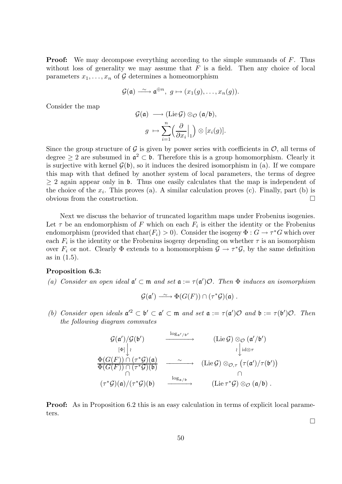**Proof:** We may decompose everything according to the simple summands of F. Thus without loss of generality we may assume that  $F$  is a field. Then any choice of local parameters  $x_1, \ldots, x_n$  of G determines a homeomorphism

$$
\mathcal{G}(\mathfrak{a}) \xrightarrow{\sim} \mathfrak{a}^{\oplus n}, \ g \mapsto (x_1(g), \dots, x_n(g)).
$$

Consider the map

$$
\mathcal{G}(\mathfrak{a}) \longrightarrow (\text{Lie}\,\mathcal{G}) \otimes_{\mathcal{O}} (\mathfrak{a}/\mathfrak{b}),
$$

$$
g \mapsto \sum_{i=1}^{n} \left(\frac{\partial}{\partial x_{i}} \Big|_{1}\right) \otimes [x_{i}(g)].
$$

Since the group structure of  $\mathcal G$  is given by power series with coefficients in  $\mathcal O$ , all terms of degree  $\geq 2$  are subsumed in  $\mathfrak{a}^2 \subset \mathfrak{b}$ . Therefore this is a group homomorphism. Clearly it is surjective with kernel  $\mathcal{G}(\mathfrak{b})$ , so it induces the desired isomorphism in (a). If we compare this map with that defined by another system of local parameters, the terms of degree  $> 2$  again appear only in b. Thus one easily calculates that the map is independent of the choice of the  $x_i$ . This proves (a). A similar calculation proves (c). Finally, part (b) is obvious from the construction.

Next we discuss the behavior of truncated logarithm maps under Frobenius isogenies. Let  $\tau$  be an endomorphism of F which on each  $F_i$  is either the identity or the Frobenius endomorphism (provided that  $char(F_i) > 0$ ). Consider the isogeny  $\Phi : G \to \tau^*G$  which over each  $F_i$  is the identity or the Frobenius isogeny depending on whether  $\tau$  is an isomorphism over  $F_i$  or not. Clearly  $\Phi$  extends to a homomorphism  $\mathcal{G} \to \tau^* \mathcal{G}$ , by the same definition as in (1.5).

#### Proposition 6.3:

(a) Consider an open ideal  $\mathfrak{a}' \subset \mathfrak{m}$  and set  $\mathfrak{a} := \tau(\mathfrak{a}')\mathcal{O}$ . Then  $\Phi$  induces an isomorphism

$$
\mathcal{G}(\mathfrak{a}') \longrightarrow \Phi(G(F)) \cap (\tau^*\mathcal{G})(\mathfrak{a}) .
$$

(b) Consider open ideals  $\mathfrak{a}^2 \subset \mathfrak{b}' \subset \mathfrak{a}' \subset \mathfrak{m}$  and set  $\mathfrak{a} := \tau(\mathfrak{a}')\mathcal{O}$  and  $\mathfrak{b} := \tau(\mathfrak{b}')\mathcal{O}$ . Then the following diagram commutes

$$
\begin{array}{ccc}\nG(\mathfrak{a}')/G(\mathfrak{b}') & \xrightarrow{\log_{\mathfrak{a}'/\mathfrak{b}'}} & (\mathrm{Lie}\,\mathcal{G}) \otimes_{\mathcal{O}} (\mathfrak{a}'/\mathfrak{b}') \\
\downarrow^{\mathfrak{b}} \downarrow^{\mathfrak{d}} & \downarrow^{\mathfrak{d}} \otimes_{\tau} \\
\Phi(G(F)) \cap (\tau^* \mathcal{G})(\mathfrak{a}) & \xrightarrow{\sim} & (\mathrm{Lie}\,\mathcal{G}) \otimes_{\mathcal{O},\tau} (\tau(\mathfrak{a}')/\tau(\mathfrak{b}')) \\
\uparrow^{\mathfrak{b}}(\mathcal{G}(F)) \cap (\tau^* \mathcal{G})(\mathfrak{b}) & \xrightarrow{\log_{\mathfrak{a}/\mathfrak{b}}} & \cap \\
(\tau^* \mathcal{G})(\mathfrak{a})/(\tau^* \mathcal{G})(\mathfrak{b}) & \xrightarrow{\log_{\mathfrak{a}/\mathfrak{b}}} & (\mathrm{Lie}\,\tau^* \mathcal{G}) \otimes_{\mathcal{O}} (\mathfrak{a}/\mathfrak{b}) .\n\end{array}
$$

**Proof:** As in Proposition 6.2 this is an easy calculation in terms of explicit local parameters.

 $\Box$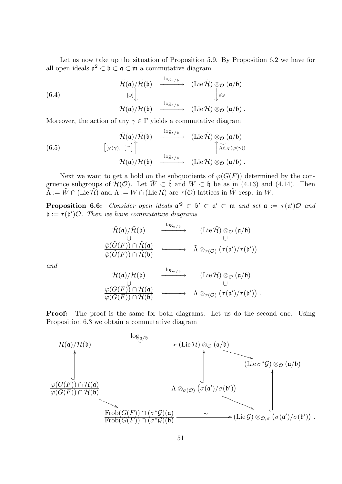Let us now take up the situation of Proposition 5.9. By Proposition 6.2 we have for all open ideals  $\mathfrak{a}^2 \subset \mathfrak{b} \subset \mathfrak{a} \subset \mathfrak{m}$  a commutative diagram

(6.4)  
\n
$$
\begin{array}{ccc}\n\widetilde{\mathcal{H}}(\mathfrak{a})/\widetilde{\mathcal{H}}(\mathfrak{b}) & \xrightarrow{\log_{\mathfrak{a}/\mathfrak{b}}} & (\mathrm{Lie}\,\widetilde{\mathcal{H}}) \otimes_{\mathcal{O}} (\mathfrak{a}/\mathfrak{b}) \\
\downarrow^{\omega} & & \downarrow^{\omega} \\
\mathcal{H}(\mathfrak{a})/\mathcal{H}(\mathfrak{b}) & \xrightarrow{\log_{\mathfrak{a}/\mathfrak{b}}} & (\mathrm{Lie}\,\mathcal{H}) \otimes_{\mathcal{O}} (\mathfrak{a}/\mathfrak{b}) .\n\end{array}
$$

Moreover, the action of any  $\gamma \in \Gamma$  yields a commutative diagram

(6.5)  
\n
$$
\tilde{\mathcal{H}}(\mathfrak{a})/\tilde{\mathcal{H}}(\mathfrak{b}) \xrightarrow{\log_{\mathfrak{a}/\mathfrak{b}}} (\mathrm{Lie}\,\tilde{\mathcal{H}}) \otimes_{\mathcal{O}} (\mathfrak{a}/\mathfrak{b})
$$
\n
$$
[(\varphi(\gamma), \; ]^{\sim}] \bigcap_{\log_{\mathfrak{a}/\mathfrak{b}}} \qquad \qquad [\widetilde{\mathrm{Ad}}_{H}(\varphi(\gamma)) \atop \longrightarrow (\mathrm{Lie}\,\mathcal{H}) \otimes_{\mathcal{O}} (\mathfrak{a}/\mathfrak{b}).
$$

Next we want to get a hold on the subquotients of  $\varphi(G(F))$  determined by the congruence subgroups of  $\mathcal{H}(\mathcal{O})$ . Let  $W \subset \mathfrak{h}$  and  $W \subset \mathfrak{h}$  be as in (4.13) and (4.14). Then  $\tilde{\Lambda} := \tilde{W} \cap (\text{Lie } \tilde{\mathcal{H}})$  and  $\Lambda := W \cap (\text{Lie } \mathcal{H})$  are  $\tau(\mathcal{O})$ -lattices in  $\tilde{W}$  resp. in W.

**Proposition 6.6:** Consider open ideals  $\mathfrak{a}'^2 \subset \mathfrak{b}' \subset \mathfrak{a}' \subset \mathfrak{m}$  and set  $\mathfrak{a} := \tau(\mathfrak{a}')\mathcal{O}$  and  $\mathfrak{b} := \tau(\mathfrak{b}')\mathcal{O}$ . Then we have commutative diagrams

$$
\begin{array}{ccc}\n\tilde{\mathcal{H}}(\mathfrak{a})/\tilde{\mathcal{H}}(\mathfrak{b}) & \xrightarrow{\log_{\mathfrak{a}/\mathfrak{b}}} & (\mathrm{Lie}\,\tilde{\mathcal{H}})\otimes_{\mathcal{O}}(\mathfrak{a}/\mathfrak{b})\\ \n\tilde{\varphi}(\tilde{G}(F))\cap \tilde{\mathcal{H}}(\mathfrak{a}) & \xrightarrow{\tilde{\Lambda}} & \tilde{\Lambda}\otimes_{\tau(\mathcal{O})}(\tau(\mathfrak{a}')/\tau(\mathfrak{b}'))\\ \n\tilde{\varphi}(\tilde{G}(F))\cap \tilde{\mathcal{H}}(\mathfrak{b}) & \xrightarrow{\tilde{\Lambda}} & \tilde{\Lambda}\otimes_{\tau(\mathcal{O})}(\tau(\mathfrak{a}')/\tau(\mathfrak{b}'))\n\end{array}
$$

and

$$
\begin{array}{ccc}\n\mathcal{H}(\mathfrak{a})/\mathcal{H}(\mathfrak{b}) & \xrightarrow{\log_{\mathfrak{a}/\mathfrak{b}}} & (\mathrm{Lie}\,\mathcal{H})\otimes_{\mathcal{O}}(\mathfrak{a}/\mathfrak{b}) \\
\downarrow^{\mathcal{O}} & \cup & \cup \\
\varphi(G(F))\cap\mathcal{H}(\mathfrak{a}) & \xrightarrow{\Lambda}\otimes_{\tau(\mathcal{O})}(\tau(\mathfrak{a}')/\tau(\mathfrak{b}'))\n\end{array}.
$$

**Proof:** The proof is the same for both diagrams. Let us do the second one. Using Proposition 6.3 we obtain a commutative diagram

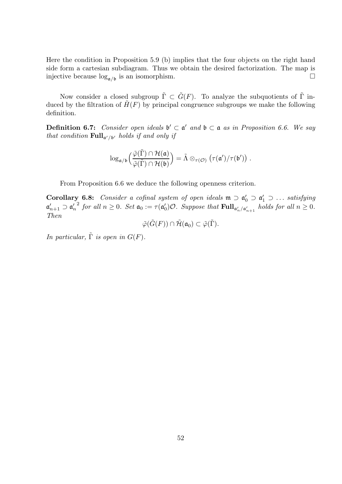Here the condition in Proposition 5.9 (b) implies that the four objects on the right hand side form a cartesian subdiagram. Thus we obtain the desired factorization. The map is injective because  $\log_{\mathfrak{a}/\mathfrak{b}}$  is an isomorphism.

Now consider a closed subgroup  $\tilde{\Gamma} \subset \tilde{G}(F)$ . To analyze the subquotients of  $\tilde{\Gamma}$  induced by the filtration of  $\tilde{H}(F)$  by principal congruence subgroups we make the following definition.

**Definition 6.7:** Consider open ideals  $\mathfrak{b}' \subset \mathfrak{a}'$  and  $\mathfrak{b} \subset \mathfrak{a}$  as in Proposition 6.6. We say that condition  $\text{Full}_{\mathfrak{a}'/\mathfrak{b}'}$  holds if and only if

$$
\log_{\mathfrak{a}/\mathfrak{b}}\Big(\frac{\tilde{\varphi}(\tilde{\Gamma})\cap \mathcal{H}(\mathfrak{a})}{\tilde{\varphi}(\tilde{\Gamma})\cap \mathcal{H}(\mathfrak{b})}\Big)=\tilde{\Lambda}\otimes_{\tau(\mathcal{O})}\big(\tau(\mathfrak{a}')/\tau(\mathfrak{b}')\big)\;.
$$

From Proposition 6.6 we deduce the following openness criterion.

Corollary 6.8: Consider a cofinal system of open ideals  $\mathfrak{m} \supset \mathfrak{a}'_0 \supset \mathfrak{a}'_1 \supset \dots$  satisfying  $\mathfrak{a}'_{n+1} \supset \mathfrak{a}'_n$ n <sup>2</sup> for all  $n \geq 0$ . Set  $\mathfrak{a}_0 := \tau(\mathfrak{a}_0')$  $C_0$ ) $O.$  Suppose that  $\text{Full}_{\mathfrak{a}'_n/\mathfrak{a}'_{n+1}}$  holds for all  $n \geq 0$ . Then

$$
\tilde{\varphi}(\tilde{G}(F)) \cap \tilde{\mathcal{H}}(\mathfrak{a}_0) \subset \tilde{\varphi}(\tilde{\Gamma}).
$$

In particular,  $\tilde{\Gamma}$  is open in  $G(F)$ .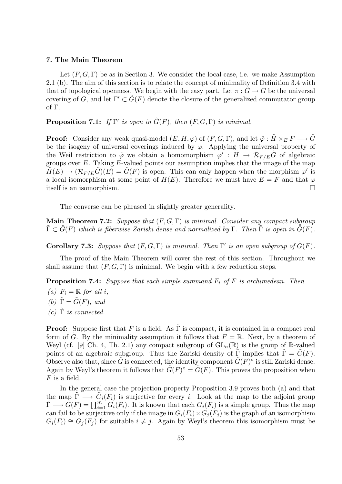# 7. The Main Theorem

Let  $(F, G, \Gamma)$  be as in Section 3. We consider the local case, i.e. we make Assumption 2.1 (b). The aim of this section is to relate the concept of minimality of Definition 3.4 with that of topological openness. We begin with the easy part. Let  $\pi : \tilde{G} \to G$  be the universal covering of G, and let  $\Gamma' \subset \tilde{G}(F)$  denote the closure of the generalized commutator group of Γ.

**Proposition 7.1:** If  $\Gamma'$  is open in  $\tilde{G}(F)$ , then  $(F, G, \Gamma)$  is minimal.

**Proof:** Consider any weak quasi-model  $(E, H, \varphi)$  of  $(F, G, \Gamma)$ , and let  $\tilde{\varphi} : \tilde{H} \times_E F \longrightarrow \tilde{G}$ be the isogeny of universal coverings induced by  $\varphi$ . Applying the universal property of the Weil restriction to  $\tilde{\varphi}$  we obtain a homomorphism  $\varphi' : H \to \mathcal{R}_{F/E} \tilde{G}$  of algebraic groups over  $E$ . Taking  $E$ -valued points our assumption implies that the image of the map  $\tilde{H}(E) \to (\mathcal{R}_{F/E}\tilde{G})(E) = \tilde{G}(F)$  is open. This can only happen when the morphism  $\varphi'$  is a local isomorphism at some point of  $H(E)$ . Therefore we must have  $E = F$  and that  $\varphi$ itself is an isomorphism.

The converse can be phrased in slightly greater generality.

**Main Theorem 7.2:** Suppose that  $(F, G, \Gamma)$  is minimal. Consider any compact subgroup  $\Gamma \subset G(F)$  which is fiberwise Zariski dense and normalized by  $\Gamma$ . Then  $\Gamma$  is open in  $G(F)$ .

**Corollary 7.3:** Suppose that  $(F, G, \Gamma)$  is minimal. Then  $\Gamma'$  is an open subgroup of  $\tilde{G}(F)$ .

The proof of the Main Theorem will cover the rest of this section. Throughout we shall assume that  $(F, G, \Gamma)$  is minimal. We begin with a few reduction steps.

**Proposition 7.4:** Suppose that each simple summand  $F_i$  of F is archimedean. Then

(a)  $F_i = \mathbb{R}$  for all i,

(b)  $\tilde{\Gamma} = \tilde{G}(F)$ , and

(c)  $\tilde{\Gamma}$  is connected.

**Proof:** Suppose first that F is a field. As  $\tilde{\Gamma}$  is compact, it is contained in a compact real form of  $\tilde{G}$ . By the minimality assumption it follows that  $F = \mathbb{R}$ . Next, by a theorem of Weyl (cf. [9] Ch. 4, Th. 2.1) any compact subgroup of  $GL_n(\mathbb{R})$  is the group of R-valued points of an algebraic subgroup. Thus the Zariski density of  $\Gamma$  implies that  $\Gamma = \tilde{G}(F)$ . Observe also that, since  $\tilde{G}$  is connected, the identity component  $\tilde{G}(F)^\circ$  is still Zariski dense. Again by Weyl's theorem it follows that  $\tilde{G}(F)^\circ = \tilde{G}(F)$ . This proves the proposition when  $F$  is a field.

In the general case the projection property Proposition 3.9 proves both (a) and that the map  $\tilde{\Gamma} \longrightarrow \tilde{G}_i(F_i)$  is surjective for every i. Look at the map to the adjoint group  $\tilde{\Gamma} \longrightarrow \tilde{G}(F) = \prod_{i=1}^{m} G_i(F_i)$ . It is known that each  $G_i(F_i)$  is a simple group. Thus the map can fail to be surjective only if the image in  $G_i(F_i) \times G_i(F_j)$  is the graph of an isomorphism  $G_i(F_i) \cong G_i(F_i)$  for suitable  $i \neq j$ . Again by Weyl's theorem this isomorphism must be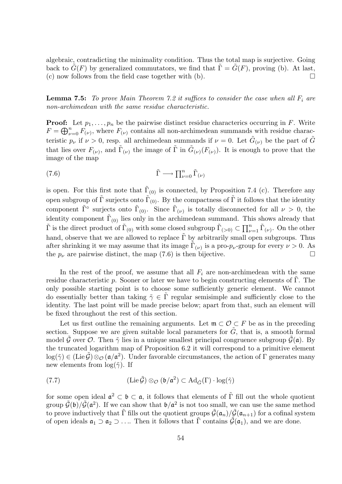algebraic, contradicting the minimality condition. Thus the total map is surjective. Going back to  $\tilde{G}(F)$  by generalized commutators, we find that  $\tilde{\Gamma} = \tilde{G}(F)$ , proving (b). At last, (c) now follows from the field case together with  $(b)$ .

**Lemma 7.5:** To prove Main Theorem 7.2 it suffices to consider the case when all  $F_i$  are non-archimedean with the same residue characteristic.

**Proof:** Let  $p_1, \ldots, p_n$  be the pairwise distinct residue characterics occurring in F. Write  $F = \bigoplus_{\nu=0}^n F_{(\nu)}$ , where  $F_{(\nu)}$  contains all non-archimedean summands with residue characteristic  $p_{\nu}$  if  $\nu > 0$ , resp. all archimedean summands if  $\nu = 0$ . Let  $\tilde{G}_{(\nu)}$  be the part of  $\tilde{G}$ that lies over  $F_{(\nu)}$ , and  $\tilde{\Gamma}_{(\nu)}$  the image of  $\tilde{\Gamma}$  in  $\tilde{G}_{(\nu)}(F_{(\nu)})$ . It is enough to prove that the image of the map

(7.6) 
$$
\tilde{\Gamma} \longrightarrow \prod_{\nu=0}^{n} \tilde{\Gamma}_{(\nu)}
$$

is open. For this first note that  $\tilde{\Gamma}_{(0)}$  is connected, by Proposition 7.4 (c). Therefore any open subgroup of  $\tilde{\Gamma}$  surjects onto  $\tilde{\Gamma}_{(0)}$ . By the compactness of  $\tilde{\Gamma}$  it follows that the identity component  $\tilde{\Gamma}^{\circ}$  surjects onto  $\tilde{\Gamma}_{(0)}$ . Since  $\tilde{\Gamma}_{(\nu)}$  is totally disconnected for all  $\nu > 0$ , the identity component  $\tilde{\Gamma}_{(0)}$  lies only in the archimedean summand. This shows already that  $\tilde{\Gamma}$  is the direct product of  $\tilde{\Gamma}_{(0)}$  with some closed subgroup  $\tilde{\Gamma}_{(>0)} \subset \prod_{\nu=1}^n \tilde{\Gamma}_{(\nu)}$ . On the other hand, observe that we are allowed to replace  $\tilde{\Gamma}$  by arbitrarily small open subgroups. Thus after shrinking it we may assume that its image  $\tilde{\Gamma}_{(\nu)}$  is a pro- $p_{\nu}$ -group for every  $\nu > 0$ . As the  $p_{\nu}$  are pairwise distinct, the map (7.6) is then bijective.

In the rest of the proof, we assume that all  $F_i$  are non-archimedean with the same residue characteristic p. Sooner or later we have to begin constructing elements of  $\Gamma$ . The only possible starting point is to choose some sufficiently generic element. We cannot do essentially better than taking  $\tilde{\gamma} \in \Gamma$  regular semisimple and sufficiently close to the identity. The last point will be made precise below; apart from that, such an element will be fixed throughout the rest of this section.

Let us first outline the remaining arguments. Let  $\mathfrak{m} \subset \mathcal{O} \subset F$  be as in the preceding section. Suppose we are given suitable local parameters for  $\tilde{G}$ , that is, a smooth formal model  $\hat{G}$  over  $\hat{O}$ . Then  $\tilde{\gamma}$  lies in a unique smallest principal congruence subgroup  $\hat{G}(\mathfrak{a})$ . By the truncated logarithm map of Proposition 6.2 it will correspond to a primitive element  $\log(\tilde{\gamma}) \in (\mathrm{Lie}\,\tilde{\mathcal{G}}) \otimes_{\mathcal{O}} (\mathfrak{a}/\mathfrak{a}^2)$ . Under favorable circumstances, the action of  $\Gamma$  generates many new elements from  $\log(\tilde{\gamma})$ . If

(7.7) 
$$
(\mathrm{Lie}\,\tilde{\mathcal{G}})\otimes_{\mathcal{O}}(\mathfrak{b}/\mathfrak{a}^2)\subset \mathrm{Ad}_{\tilde{G}}(\Gamma)\cdot \log(\tilde{\gamma})
$$

for some open ideal  $\mathfrak{a}^2 \subset \mathfrak{b} \subset \mathfrak{a}$ , it follows that elements of  $\tilde{\Gamma}$  fill out the whole quotient group  $\tilde{\mathcal{G}}(\mathfrak{b})/\tilde{\mathcal{G}}(\mathfrak{a}^2)$ . If we can show that  $\mathfrak{b}/\mathfrak{a}^2$  is not too small, we can use the same method to prove inductively that  $\tilde{\Gamma}$  fills out the quotient groups  $\tilde{\mathcal{G}}(\mathfrak{a}_n)/\tilde{\mathcal{G}}(\mathfrak{a}_{n+1})$  for a cofinal system of open ideals  $\mathfrak{a}_1 \supset \mathfrak{a}_2 \supset \ldots$  Then it follows that  $\Gamma$  contains  $\mathcal{G}(\mathfrak{a}_1)$ , and we are done.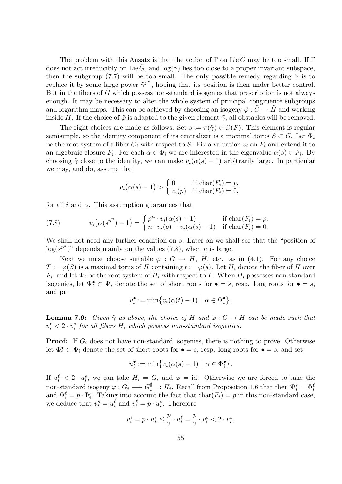The problem with this Ansatz is that the action of  $\Gamma$  on Lie  $\tilde{G}$  may be too small. If  $\Gamma$ does not act irreducibly on Lie $\tilde{G}$ , and  $log(\tilde{\gamma})$  lies too close to a proper invariant subspace, then the subgroup (7.7) will be too small. The only possible remedy regarding  $\tilde{\gamma}$  is to replace it by some large power  $\tilde{\gamma}^{p^n}$ , hoping that its position is then under better control. But in the fibers of  $\tilde{G}$  which possess non-standard isogenies that prescription is not always enough. It may be necessary to alter the whole system of principal congruence subgroups and logarithm maps. This can be achieved by choosing an isogeny  $\tilde{\varphi}$  :  $\tilde{G} \to \tilde{H}$  and working inside H. If the choice of  $\tilde{\varphi}$  is adapted to the given element  $\tilde{\gamma}$ , all obstacles will be removed.

The right choices are made as follows. Set  $s := \pi(\tilde{\gamma}) \in G(F)$ . This element is regular semisimple, so the identity component of its centralizer is a maximal torus  $S \subset G$ . Let  $\Phi_i$ be the root system of a fiber  $G_i$  with respect to S. Fix a valuation  $v_i$  on  $F_i$  and extend it to an algebraic closure  $\bar{F}_i$ . For each  $\alpha \in \Phi_i$  we are interested in the eigenvalue  $\alpha(s) \in \bar{F}_i$ . By choosing  $\tilde{\gamma}$  close to the identity, we can make  $v_i(\alpha(s) - 1)$  arbitrarily large. In particular we may, and do, assume that

$$
v_i(\alpha(s) - 1) > \begin{cases} 0 & \text{if char}(F_i) = p, \\ v_i(p) & \text{if char}(F_i) = 0, \end{cases}
$$

for all i and  $\alpha$ . This assumption guarantees that

(7.8) 
$$
v_i(\alpha(s^{p^n})-1)=\begin{cases}p^n\cdot v_i(\alpha(s)-1) & \text{if char}(F_i)=p,\\n\cdot v_i(p)+v_i(\alpha(s)-1) & \text{if char}(F_i)=0.\end{cases}
$$

We shall not need any further condition on s. Later on we shall see that the "position of  $log(s^{p^n})$ " depends mainly on the values (7.8), when *n* is large.

Next we must choose suitable  $\varphi : G \to H$ , H, etc. as in (4.1). For any choice  $T := \varphi(S)$  is a maximal torus of H containing  $t := \varphi(s)$ . Let  $H_i$  denote the fiber of H over  $F_i$ , and let  $\Psi_i$  be the root system of  $H_i$  with respect to T. When  $H_i$  possesses non-standard isogenies, let  $\Psi_i^{\bullet} \subset \Psi_i$  denote the set of short roots for  $\bullet = s$ , resp. long roots for  $\bullet = s$ , and put

$$
v_i^{\bullet} := \min\bigl\{v_i(\alpha(t) - 1) \mid \alpha \in \Psi_i^{\bullet}\bigr\}.
$$

**Lemma 7.9:** Given  $\tilde{\gamma}$  as above, the choice of H and  $\varphi : G \to H$  can be made such that  $v_i^{\ell} < 2 \cdot v_i^s$  for all fibers  $H_i$  which possess non-standard isogenies.

**Proof:** If  $G_i$  does not have non-standard isogenies, there is nothing to prove. Otherwise let  $\Phi_i^{\bullet} \subset \Phi_i$  denote the set of short roots for  $\bullet = s$ , resp. long roots for  $\bullet = s$ , and set

$$
u_i^{\bullet} := \min \bigl\{ v_i(\alpha(s) - 1) \bigm| \alpha \in \Phi_i^{\bullet} \bigr\}.
$$

If  $u_i^{\ell} < 2 \cdot u_i^s$ , we can take  $H_i = G_i$  and  $\varphi = id$ . Otherwise we are forced to take the non-standard isogeny  $\varphi: G_i \longrightarrow G_i^{\sharp} =: H_i$ . Recall from Proposition 1.6 that then  $\Psi_i^s = \Phi_i^{\ell}$ and  $\Psi_i^{\ell} = p \cdot \Phi_i^s$ . Taking into account the fact that  $char(F_i) = p$  in this non-standard case, we deduce that  $v_i^s = u_i^\ell$  and  $v_i^\ell = p \cdot u_i^s$ . Therefore

$$
v_i^\ell=p\cdot u_i^s\leq \frac{p}{2}\cdot u_i^\ell=\frac{p}{2}\cdot v_i^s<2\cdot v_i^s,
$$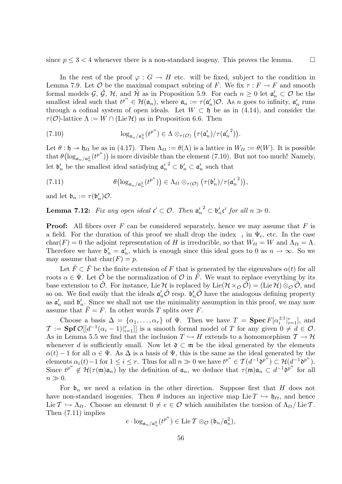since  $p \leq 3 < 4$  whenever there is a non-standard isogeny. This proves the lemma.

In the rest of the proof  $\varphi : G \to H$  etc. will be fixed, subject to the condition in Lemma 7.9. Let  $\mathcal O$  be the maximal compact subring of F. We fix  $\tau : F \to F$  and smooth formal models  $\mathcal{G}, \tilde{\mathcal{G}}, \mathcal{H}, \text{ and } \tilde{\mathcal{H}}$  as in Proposition 5.9. For each  $n \geq 0$  let  $\mathfrak{a}'_n \subset \mathcal{O}$  be the smallest ideal such that  $t^{p^n} \in \mathcal{H}(\mathfrak{a}_n)$ , where  $\mathfrak{a}_n := \tau(\mathfrak{a}'_n)$  $n'_n$ ) $\mathcal{O}$ . As *n* goes to infinity,  $\mathfrak{a}'_n$  $n \text{ runs}$ through a cofinal system of open ideals. Let  $W \subset \mathfrak{h}$  be as in (4.14), and consider the  $\tau(\mathcal{O})$ -lattice  $\Lambda := W \cap (\text{Lie } \mathcal{H})$  as in Proposition 6.6. Then

(7.10) 
$$
\log_{\mathfrak{a}_n/\mathfrak{a}_n^2}(t^{p^n}) \in \Lambda \otimes_{\tau(\mathcal{O})} (\tau(\mathfrak{a}'_n)/\tau(\mathfrak{a}'_n^2)).
$$

Let  $\theta : \mathfrak{h} \to \mathfrak{h}_{\ell t}$  be as in (4.17). Then  $\Lambda_{\ell t} := \theta(\Lambda)$  is a lattice in  $W_{\ell t} := \theta(W)$ . It is possible that  $\theta(\log_{\mathfrak{a}_n/\mathfrak{a}_n^2}(t^{p^n}))$  is more divisible than the element (7.10). But not too much! Namely, let  $\mathfrak{b}'_n$  be the smallest ideal satisfying  $\mathfrak{a}'_n$  $n_n^{\prime 2} \subset \mathfrak{b}'_n \subset \mathfrak{a}'_n$  such that

(7.11) 
$$
\theta\bigl(\log_{\mathfrak{a}_n/\mathfrak{a}_n^2}(t^{p^n})\bigr) \in \Lambda_{\ell t} \otimes_{\tau(\mathcal{O})} \bigl(\tau(\mathfrak{b}'_n)/\tau(\mathfrak{a}'_n^2)\bigr),
$$

and let  $\mathfrak{b}_n := \tau(\mathfrak{b}'_n)$  $_n^{\prime})$ O.

**Lemma 7.12:** Fix any open ideal  $\mathfrak{c}' \subset \mathcal{O}$ . Then  $\mathfrak{a}'_r$  $\frac{n}{n}^2 \subset \mathfrak{b}_n' \mathfrak{c}'$  for all  $n \gg 0$ .

**Proof:** All fibers over F can be considered separately, hence we may assume that F is a field. For the duration of this proof we shall drop the index  $_i$  in  $\Psi_i$ , etc. In the case char(F) = 0 the adjoint representation of H is irreducible, so that  $W_{\ell t} = W$  and  $\Lambda_{\ell t} = \Lambda$ . Therefore we have  $\mathfrak{b}'_n = \mathfrak{a}'_n$ he, which is enough since this ideal goes to 0 as  $n \to \infty$ . So we may assume that  $char(F) = p$ .

Let  $\tilde{F} \subset \overline{F}$  be the finite extension of F that is generated by the eigenvalues  $\alpha(t)$  for all roots  $\alpha \in \Psi$ . Let  $\tilde{\mathcal{O}}$  be the normalization of  $\mathcal{O}$  in  $\tilde{F}$ . We want to replace everything by its base extension to  $\mathcal O$ . For instance, Lie H is replaced by Lie( $\mathcal H \times_{\mathcal O} \mathcal O$ ) = (Lie H)  $\otimes_{\mathcal O} \mathcal O$ , and so on. We find easily that the ideals  $\mathfrak{a}'_n \tilde{\mathcal{O}}$  resp.  $\mathfrak{b}'_n \tilde{\mathcal{O}}$  have the analogous defining property as  $\mathfrak{a}'_n$  and  $\mathfrak{b}'_n$ . Since we shall not use the minimality assumption in this proof, we may now assume that  $\tilde{F} = F$ . In other words T splits over F.

Choose a basis  $\Delta = {\alpha_1, ..., \alpha_r}$  of  $\Psi$ . Then we have  $T = \text{Spec } F[\alpha_i^{\pm 1}]$  $_{i}^{\pm 1}|_{i=1}^{r}],$  and  $\mathcal{T} := \text{Spf } \mathcal{O}[[d^{-1}(\alpha_i-1)|_{i=1}^r]]$  is a smooth formal model of T for any given  $0 \neq d \in \mathcal{O}$ . As in Lemma 5.5 we find that the inclusion  $T \hookrightarrow H$  extends to a homomorphism  $\mathcal{T} \to \mathcal{H}$ whenever d is sufficiently small. Now let  $\mathfrak{d} \subset \mathfrak{m}$  be the ideal generated by the elements  $\alpha(t) - 1$  for all  $\alpha \in \Psi$ . As  $\Delta$  is a basis of  $\Psi$ , this is the same as the ideal generated by the elements  $\alpha_i(t) - 1$  for  $1 \leq i \leq r$ . Thus for all  $n \gg 0$  we have  $t^{p^n} \in \mathcal{T}(d^{-1} \mathfrak{d}^{p^n}) \subset \mathcal{H}(d^{-1} \mathfrak{d}^{p^n})$ . Since  $t^{p^n} \notin \mathcal{H}(\tau(\mathfrak{m})\mathfrak{a}_n)$  by the definition of  $\mathfrak{a}_n$ , we deduce that  $\tau(\mathfrak{m})\mathfrak{a}_n \subset d^{-1} \mathfrak{d}^{p^n}$  for all  $n \gg 0$ .

For  $\mathfrak{b}_n$  we need a relation in the other direction. Suppose first that H does not have non-standard isogenies. Then  $\theta$  induces an injective map Lie  $T \hookrightarrow \mathfrak{h}_{\ell t}$ , and hence Lie  $\mathcal{T} \hookrightarrow \Lambda_{\ell t}$ . Choose an element  $0 \neq e \in \mathcal{O}$  which annihilates the torsion of  $\Lambda_{\ell t}/$  Lie T. Then (7.11) implies

$$
e\cdot \log_{\mathfrak{a}_n/\mathfrak{a}_n^2}(t^{p^n})\in \operatorname{Lie} \mathcal{T}\otimes_{\mathcal{O}}(\mathfrak{b}_n/\mathfrak{a}_n^2),
$$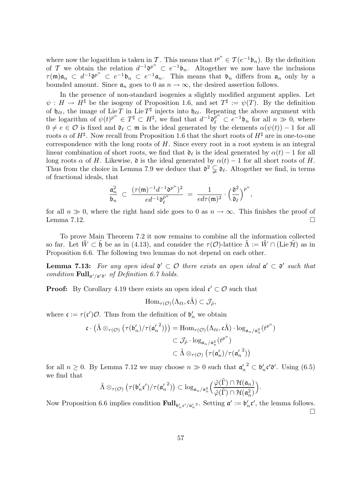where now the logarithm is taken in T. This means that  $t^{p^n} \in \mathcal{T}(e^{-1}\mathfrak{b}_n)$ . By the definition of T we obtain the relation  $d^{-1}$  $\mathfrak{d}^{p^n} \subset e^{-1} \mathfrak{b}_n$ . Altogether we now have the inclusions  $\tau(\mathfrak{m})\mathfrak{a}_n \subset d^{-1}\mathfrak{d}^{p^n} \subset e^{-1}\mathfrak{b}_n \subset e^{-1}\mathfrak{a}_n$ . This means that  $\mathfrak{b}_n$  differs from  $\mathfrak{a}_n$  only by a bounded amount. Since  $a_n$  goes to 0 as  $n \to \infty$ , the desired assertion follows.

In the presence of non-standard isogenies a slightly modified argument applies. Let  $\psi: H \to H^{\sharp}$  be the isogeny of Proposition 1.6, and set  $T^{\sharp} := \psi(T)$ . By the definition of  $\mathfrak{h}_{\ell t}$ , the image of Lie T in Lie  $T^{\sharp}$  injects into  $\mathfrak{h}_{\ell t}$ . Repeating the above argument with the logarithm of  $\psi(t)^{p^n} \in T^{\sharp} \subset H^{\sharp}$ , we find that  $d^{-1} \mathfrak{d}_\ell^{p^n} \subset e^{-1} \mathfrak{b}_n$  for all  $n \gg 0$ , where  $0 \neq e \in \mathcal{O}$  is fixed and  $\mathfrak{d}_{\ell} \subset \mathfrak{m}$  is the ideal generated by the elements  $\alpha(\psi(t)) - 1$  for all roots  $\alpha$  of  $H^{\sharp}$ . Now recall from Proposition 1.6 that the short roots of  $H^{\sharp}$  are in one-to-one correspondence with the long roots of  $H$ . Since every root in a root system is an integral linear combination of short roots, we find that  $\mathfrak{d}_{\ell}$  is the ideal generated by  $\alpha(t) - 1$  for all long roots  $\alpha$  of H. Likewise,  $\mathfrak d$  is the ideal generated by  $\alpha(t) - 1$  for all short roots of H. Thus from the choice in Lemma 7.9 we deduce that  $\mathfrak{d}^2 \subsetneq \mathfrak{d}_{\ell}$ . Altogether we find, in terms of fractional ideals, that

$$
\frac{\mathfrak{a}_n^2}{\mathfrak{b}_n} \ \subset \ \frac{(\tau(\mathfrak{m})^{-1} d^{-1} \mathfrak{d}^{p^n})^2}{ed^{-1} \mathfrak{d}_{\ell}^{p^n}} \ = \ \frac{1}{ed\tau(\mathfrak{m})^2} \cdot \Big(\frac{\mathfrak{d}^2}{\mathfrak{d}_{\ell}}\Big)^{p^n},
$$

for all  $n \gg 0$ , where the right hand side goes to 0 as  $n \to \infty$ . This finishes the proof of Lemma 7.12.  $\Box$ 

To prove Main Theorem 7.2 it now remains to combine all the information collected so far. Let  $\tilde{W} \subset \tilde{W}$  be as in (4.13), and consider the  $\tau(\mathcal{O})$ -lattice  $\tilde{\Lambda} := \tilde{W} \cap (\text{Lie } \tilde{\mathcal{H}})$  as in Proposition 6.6. The following two lemmas do not depend on each other.

**Lemma 7.13:** For any open ideal  $\mathfrak{d}' \subset \mathcal{O}$  there exists an open ideal  $\mathfrak{a}' \subset \mathfrak{d}'$  such that condition  $\text{Full}_{\mathfrak{a}'/\mathfrak{a}'\mathfrak{d}'}$  of Definition 6.7 holds.

**Proof:** By Corollary 4.19 there exists an open ideal  $\mathfrak{c}' \subset \mathcal{O}$  such that

$$
\mathrm{Hom}_{\tau(\mathcal{O})}(\Lambda_{\ell t}, \mathfrak{c}\tilde{\Lambda}) \subset \mathcal{J}_{\hat{\rho}},
$$

where  $\mathfrak{c} := \tau(\mathfrak{c}')\mathcal{O}$ . Thus from the definition of  $\mathfrak{b}'_n$  we obtain

$$
\begin{aligned} \mathfrak{c} \cdot \left( \tilde{\Lambda} \otimes_{\tau(\mathcal{O})} \left( \tau(\mathfrak{b}'_n) / \tau({\mathfrak{a}'_n}^2) \right) \right) &= \text{Hom}_{\tau(\mathcal{O})}(\Lambda_{\ell t}, \mathfrak{c}\tilde{\Lambda}) \cdot \log_{\mathfrak{a}_n/\mathfrak{a}_n^2} (t^{p^n}) \\ &\subset \mathcal{J}_{\hat{\rho}} \cdot \log_{\mathfrak{a}_n/\mathfrak{a}_n^2} (t^{p^n}) \\ &\subset \tilde{\Lambda} \otimes_{\tau(\mathcal{O})} \left( \tau(\mathfrak{a}'_n) / \tau(\mathfrak{a}'_n^2) \right) \end{aligned}
$$

for all  $n \geq 0$ . By Lemma 7.12 we may choose  $n \gg 0$  such that  $\mathfrak{a}'_n$  $\frac{1}{n}$ <sup>2</sup>  $\subset$   $\mathfrak{b}'_n$ **c'** $\mathfrak{d}'$ . Using (6.5) we find that

$$
\tilde{\Lambda} \otimes_{\tau(\mathcal{O})} \big( \tau(\mathfrak{b}'_n \mathfrak{c}')/\tau({\mathfrak{a}'_n}^2) \big) \subset \log_{\mathfrak{a}_n/\mathfrak{a}_n^2} \Big( \frac{\tilde{\varphi}(\tilde{\Gamma}) \cap \mathcal{H}(\mathfrak{a}_n)}{\tilde{\varphi}(\tilde{\Gamma}) \cap \mathcal{H}(\mathfrak{a}_n^2)} \Big).
$$

Now Proposition 6.6 implies condition  $\text{Full}_{\mathfrak{b}'_n \mathfrak{c}'/\mathfrak{a}'_n}$ <sup>2</sup>. Setting  $\mathfrak{a}' := \mathfrak{b}'_n$  $n'$ , the lemma follows.  $\Box$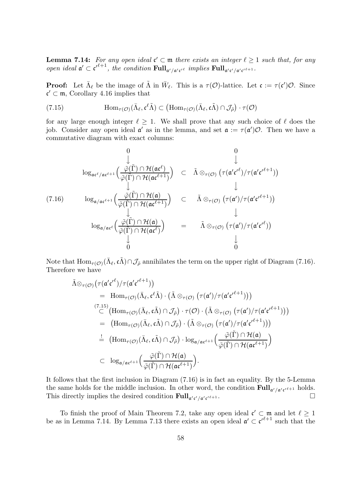**Lemma 7.14:** For any open ideal  $\mathfrak{c}' \subset \mathfrak{m}$  there exists an integer  $\ell \geq 1$  such that, for any open ideal  $\mathfrak{a}' \subset {\mathfrak{c}'}^{\ell+1}$ , the condition  $\text{Full}_{\mathfrak{a}'/\mathfrak{a}'\mathfrak{c}'}^{\ell}$  implies  $\text{Full}_{\mathfrak{a}'\mathfrak{c}'/\mathfrak{a}'\mathfrak{c}'}^{\ell+1}$ .

**Proof:** Let  $\bar{\Lambda}_{\ell}$  be the image of  $\tilde{\Lambda}$  in  $\bar{W}_{\ell}$ . This is a  $\tau(\mathcal{O})$ -lattice. Let  $\mathfrak{c} := \tau(\mathfrak{c}')\mathcal{O}$ . Since  $c' \subset \mathfrak{m}$ , Corollary 4.16 implies that

(7.15) 
$$
\text{Hom}_{\tau(\mathcal{O})}(\bar{\Lambda}_{\ell}, \mathfrak{e}^{\ell}\tilde{\Lambda}) \subset (\text{Hom}_{\tau(\mathcal{O})}(\bar{\Lambda}_{\ell}, \mathfrak{e}\tilde{\Lambda}) \cap \mathcal{J}_{\tilde{\rho}}) \cdot \tau(\mathcal{O})
$$

for any large enough integer  $\ell \geq 1$ . We shall prove that any such choice of  $\ell$  does the job. Consider any open ideal  $\mathfrak{a}'$  as in the lemma, and set  $\mathfrak{a} := \tau(\mathfrak{a}')\mathcal{O}$ . Then we have a commutative diagram with exact columns:

$$
\log_{\mathfrak{ac}^{\ell}/\mathfrak{ac}^{\ell+1}}\left(\frac{\tilde{\varphi}(\tilde{\Gamma}) \cap \mathcal{H}(\mathfrak{ac}^{\ell})}{\tilde{\varphi}(\tilde{\Gamma}) \cap \mathcal{H}(\mathfrak{ac}^{\ell+1})}\right) \subset \tilde{\Lambda} \otimes_{\tau(\mathcal{O})} \left(\tau(\mathfrak{a}' \mathfrak{c}'^{\ell}) / \tau(\mathfrak{a}' \mathfrak{c}'^{\ell+1})\right)
$$
\n
$$
\log_{\mathfrak{a}/\mathfrak{ac}^{\ell+1}}\left(\frac{\tilde{\varphi}(\tilde{\Gamma}) \cap \mathcal{H}(\mathfrak{a})}{\tilde{\varphi}(\tilde{\Gamma}) \cap \mathcal{H}(\mathfrak{ac}^{\ell+1})}\right) \subset \tilde{\Lambda} \otimes_{\tau(\mathcal{O})} \left(\tau(\mathfrak{a}') / \tau(\mathfrak{a}' \mathfrak{c}'^{\ell+1})\right)
$$
\n
$$
\log_{\mathfrak{a}/\mathfrak{ac}^{\ell}}\left(\frac{\tilde{\varphi}(\tilde{\Gamma}) \cap \mathcal{H}(\mathfrak{a})}{\tilde{\varphi}(\tilde{\Gamma}) \cap \mathcal{H}(\mathfrak{ac}^{\ell})}\right) = \tilde{\Lambda} \otimes_{\tau(\mathcal{O})} \left(\tau(\mathfrak{a}') / \tau(\mathfrak{a}' \mathfrak{c}'^{\ell})\right)
$$
\n
$$
\downarrow
$$
\n
$$
\begin{array}{ccc}\n\log_{\mathfrak{a}/\mathfrak{ac}^{\ell}}\left(\frac{\tilde{\varphi}(\tilde{\Gamma}) \cap \mathcal{H}(\mathfrak{a})}{\tilde{\varphi}(\tilde{\Gamma}) \cap \mathcal{H}(\mathfrak{ac}^{\ell})}\right) & = & \tilde{\Lambda} \otimes_{\tau(\mathcal{O})} \left(\tau(\mathfrak{a}') / \tau(\mathfrak{a}' \mathfrak{c}'^{\ell})\right)\n\end{array}
$$

Note that  $\text{Hom}_{\tau(\mathcal{O})}(\bar{\Lambda}_{\ell}, \tilde{\Lambda}) \cap \mathcal{J}_{\tilde{\rho}}$  annihilates the term on the upper right of Diagram (7.16). Therefore we have

$$
\tilde{\Lambda} \otimes_{\tau(\mathcal{O})} (\tau(\mathfrak{a}' \mathfrak{c'}^{\ell}) / \tau(\mathfrak{a}' \mathfrak{c'}^{\ell+1}))
$$
\n=  $\text{Hom}_{\tau(\mathcal{O})} (\bar{\Lambda}_{\ell}, \mathfrak{c}^{\ell} \tilde{\Lambda}) \cdot (\tilde{\Lambda} \otimes_{\tau(\mathcal{O})} (\tau(\mathfrak{a}') / \tau(\mathfrak{a}' \mathfrak{c'}^{\ell+1})))$ \n  
\n
$$
\stackrel{(7.15)}{\subset} (\text{Hom}_{\tau(\mathcal{O})} (\bar{\Lambda}_{\ell}, \mathfrak{c} \tilde{\Lambda}) \cap \mathcal{J}_{\tilde{\rho}}) \cdot \tau(\mathcal{O}) \cdot (\tilde{\Lambda} \otimes_{\tau(\mathcal{O})} (\tau(\mathfrak{a}') / \tau(\mathfrak{a}' \mathfrak{c'}^{\ell+1})))
$$
\n=  $(\text{Hom}_{\tau(\mathcal{O})} (\bar{\Lambda}_{\ell}, \mathfrak{c} \tilde{\Lambda}) \cap \mathcal{J}_{\tilde{\rho}}) \cdot (\tilde{\Lambda} \otimes_{\tau(\mathcal{O})} (\tau(\mathfrak{a}') / \tau(\mathfrak{a}' \mathfrak{c'}^{\ell+1})))$ \n
$$
\stackrel{!}{=} (\text{Hom}_{\tau(\mathcal{O})} (\bar{\Lambda}_{\ell}, \mathfrak{c} \tilde{\Lambda}) \cap \mathcal{J}_{\tilde{\rho}}) \cdot \log_{\mathfrak{a}/\mathfrak{a} \mathfrak{c}^{\ell+1}} \left( \frac{\tilde{\varphi}(\tilde{\Gamma}) \cap \mathcal{H}(\mathfrak{a})}{\tilde{\varphi}(\tilde{\Gamma}) \cap \mathcal{H}(\mathfrak{a} \mathfrak{c}^{\ell+1})} \right)
$$
\n
$$
\subset \log_{\mathfrak{a}/\mathfrak{a} \mathfrak{c}^{\ell+1}} \left( \frac{\tilde{\varphi}(\tilde{\Gamma}) \cap \mathcal{H}(\mathfrak{a})}{\tilde{\varphi}(\tilde{\Gamma}) \cap \mathcal{H}(\mathfrak{a} \mathfrak{c}^{\ell+1})} \right).
$$

It follows that the first inclusion in Diagram (7.16) is in fact an equality. By the 5-Lemma the same holds for the middle inclusion. In other word, the condition  $\text{Full}_{\mathfrak{a}'/\mathfrak{a}'\mathfrak{c}'^{\ell+1}}$  holds. This directly implies the desired condition  $\text{Full}_{\mathfrak{a}'c'/\mathfrak{a}'c}$  $\frac{1}{\ell+1}$ .

To finish the proof of Main Theorem 7.2, take any open ideal  $\mathfrak{c}' \subset \mathfrak{m}$  and let  $\ell \geq 1$ be as in Lemma 7.14. By Lemma 7.13 there exists an open ideal  $\mathfrak{a}' \subset {\mathfrak{c}'}^{\ell+1}$  such that the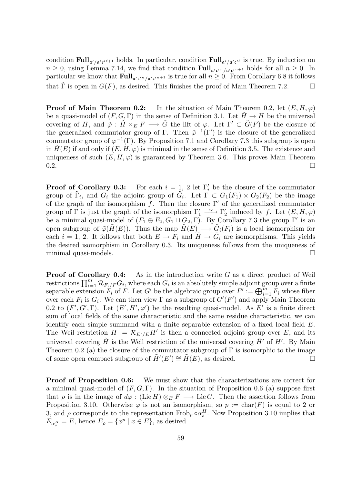condition  $\text{Full}_{\mathfrak{a}'/\mathfrak{a}'\mathfrak{c}'}^{\ell+1}$  holds. In particular, condition  $\text{Full}_{\mathfrak{a}'/\mathfrak{a}'\mathfrak{c}'}^{\ell}$  is true. By induction on  $n \geq 0$ , using Lemma 7.14, we find that condition  $\text{Full}_{\mathfrak{a}'\mathfrak{c}'^n/\mathfrak{a}'\mathfrak{c}'^{n+\ell}}$  holds for all  $n \geq 0$ . In particular we know that  $\text{Full}_{\mathfrak{a}' \mathfrak{c}'^n/\mathfrak{a}' \mathfrak{c}'^{n+1}}$  is true for all  $n \geq 0$ . From Corollary 6.8 it follows that  $\tilde{\Gamma}$  is open in  $G(F)$ , as desired. This finishes the proof of Main Theorem 7.2.

**Proof of Main Theorem 0.2:** In the situation of Main Theorem 0.2, let  $(E, H, \varphi)$ be a quasi-model of  $(F, G, \Gamma)$  in the sense of Definition 3.1. Let  $H \to H$  be the universal covering of H, and  $\tilde{\varphi}$  :  $\tilde{H} \times_E F \longrightarrow \tilde{G}$  the lift of  $\varphi$ . Let  $\Gamma' \subset \tilde{G}(F)$  be the closure of the generalized commutator group of Γ. Then  $\tilde{\varphi}^{-1}(\Gamma')$  is the closure of the generalized commutator group of  $\varphi^{-1}(\Gamma)$ . By Proposition 7.1 and Corollary 7.3 this subgroup is open in  $H(E)$  if and only if  $(E, H, \varphi)$  is minimal in the sense of Definition 3.5. The existence and uniqueness of such  $(E, H, \varphi)$  is guaranteed by Theorem 3.6. This proves Main Theorem  $0.2.$ 

Proof of Corollary 0.3: For each  $i = 1, 2$  let  $\Gamma'_i$  be the closure of the commutator group of  $\tilde{\Gamma}_i$ , and  $G_i$  the adjoint group of  $\tilde{G}_i$ . Let  $\Gamma \subset G_1(F_1) \times G_2(F_2)$  be the image of the graph of the isomorphism f. Then the closure  $\Gamma'$  of the generalized commutator group of  $\Gamma$  is just the graph of the isomorphism  $\Gamma'_1 \stackrel{\sim}{\longrightarrow} \Gamma'_2$  $'_{2}$  induced by f. Let  $(E, H, \varphi)$ be a minimal quasi-model of  $(F_1 \oplus F_2, G_1 \sqcup G_2, \Gamma)$ . By Corollary 7.3 the group  $\Gamma'$  is an open subgroup of  $\tilde{\varphi}(\tilde{H}(E))$ . Thus the map  $\tilde{H}(E) \longrightarrow \tilde{G}_i(F_i)$  is a local isomorphism for each  $i = 1, 2$ . It follows that both  $E \to F_i$  and  $\tilde{H} \to \tilde{G}_i$  are isomorphisms. This yields the desired isomorphism in Corollary 0.3. Its uniqueness follows from the uniqueness of minimal quasi-models.

**Proof of Corollary 0.4:** As in the introduction write  $G$  as a direct product of Weil restrictions  $\prod_{i=1}^m {\cal R}_{F_i/F}G_i$ , where each  $G_i$  is an absolutely simple adjoint group over a finite separable extension  $F_i$  of F. Let G' be the algebraic group over  $F' := \bigoplus_{i=1}^m F_i$  whose fiber over each  $F_i$  is  $G_i$ . We can then view  $\Gamma$  as a subgroup of  $G'(F')$  and apply Main Theorem 0.2 to  $(F', G', \Gamma)$ . Let  $(E', H', \varphi')$  be the resulting quasi-model. As E' is a finite direct sum of local fields of the same characteristic and the same residue characteristic, we can identify each simple summand with a finite separable extension of a fixed local field E. The Weil restriction  $H := \mathcal{R}_{E'/E} H'$  is then a connected adjoint group over E, and its universal covering  $\tilde{H}$  is the Weil restriction of the universal covering  $\tilde{H}'$  of  $H'$ . By Main Theorem 0.2 (a) the closure of the commutator subgroup of  $\Gamma$  is isomorphic to the image of some open compact subgroup of  $\tilde{H}'(E') \cong \tilde{H}(E)$ , as desired.

**Proof of Proposition 0.6:** We must show that the characterizations are correct for a minimal quasi-model of  $(F, G, \Gamma)$ . In the situation of Proposition 0.6 (a) suppose first that  $\rho$  is in the image of  $d\varphi$  : (Lie H)  $\otimes_E F \longrightarrow$  Lie G. Then the assertion follows from Proposition 3.10. Otherwise  $\varphi$  is not an isomorphism, so  $p := \text{char}(F)$  is equal to 2 or 3, and  $\rho$  corresponds to the representation Frob<sub>p</sub>  $\circ \alpha_s^H$ . Now Proposition 3.10 implies that  $E_{\alpha_{s}^{H}} = E$ , hence  $E_{\rho} = \{x^{p} | x \in E\}$ , as desired.